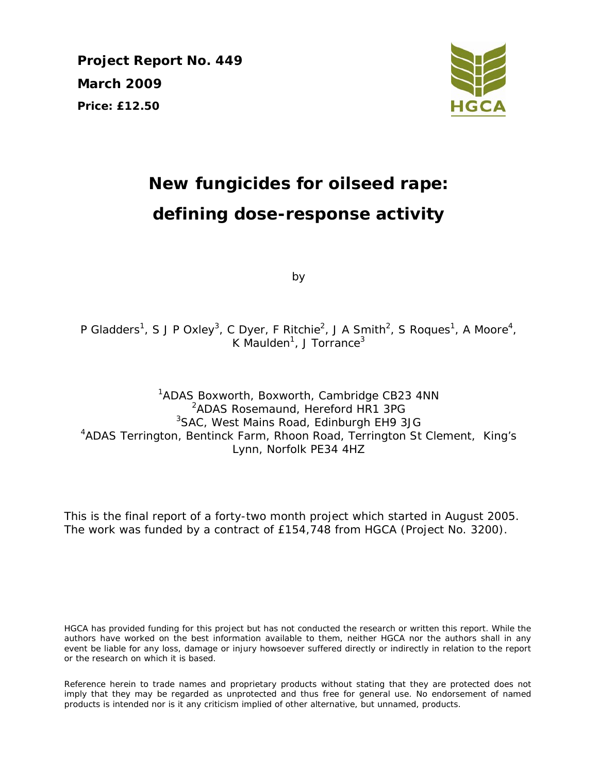**Project Report No. 449 March 2009 Price: £12.50** 



# **New fungicides for oilseed rape: defining dose-response activity**

by

P Gladders<sup>1</sup>, S J P Oxley<sup>3</sup>, C Dyer, F Ritchie<sup>2</sup>, J A Smith<sup>2</sup>, S Roques<sup>1</sup>, A Moore<sup>4</sup>, K Maulden<sup>1</sup>, J Torrance<sup>3</sup>

<sup>1</sup>ADAS Boxworth, Boxworth, Cambridge CB23 4NN 2 ADAS Rosemaund, Hereford HR1 3PG <sup>3</sup>SAC, West Mains Road, Edinburgh EH9 3JG <sup>4</sup>ADAS Terrington, Bentinck Farm, Rhoon Road, Terrington St Clement, King's Lynn, Norfolk PE34 4HZ

This is the final report of a forty-two month project which started in August 2005. The work was funded by a contract of £154,748 from HGCA (Project No. 3200).

HGCA has provided funding for this project but has not conducted the research or written this report. While the authors have worked on the best information available to them, neither HGCA nor the authors shall in any event be liable for any loss, damage or injury howsoever suffered directly or indirectly in relation to the report or the research on which it is based.

Reference herein to trade names and proprietary products without stating that they are protected does not imply that they may be regarded as unprotected and thus free for general use. No endorsement of named products is intended nor is it any criticism implied of other alternative, but unnamed, products.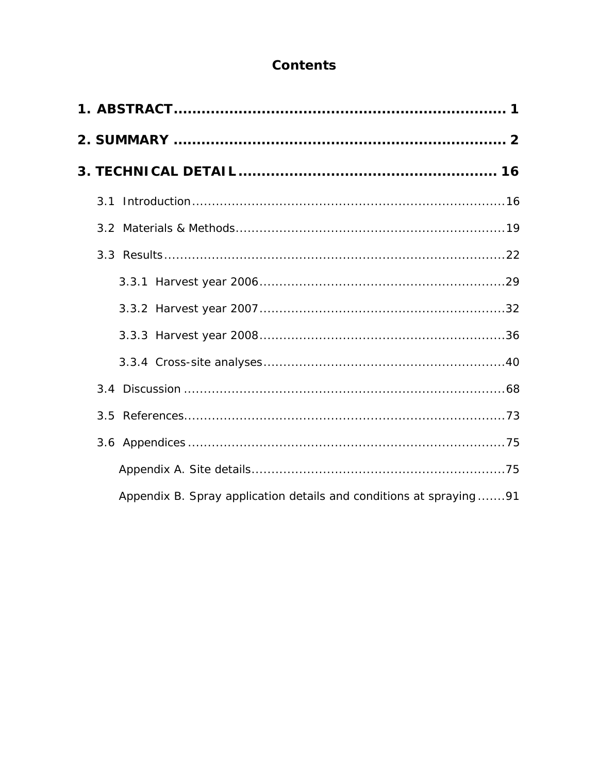## **Contents**

| Appendix B. Spray application details and conditions at spraying 91 |  |
|---------------------------------------------------------------------|--|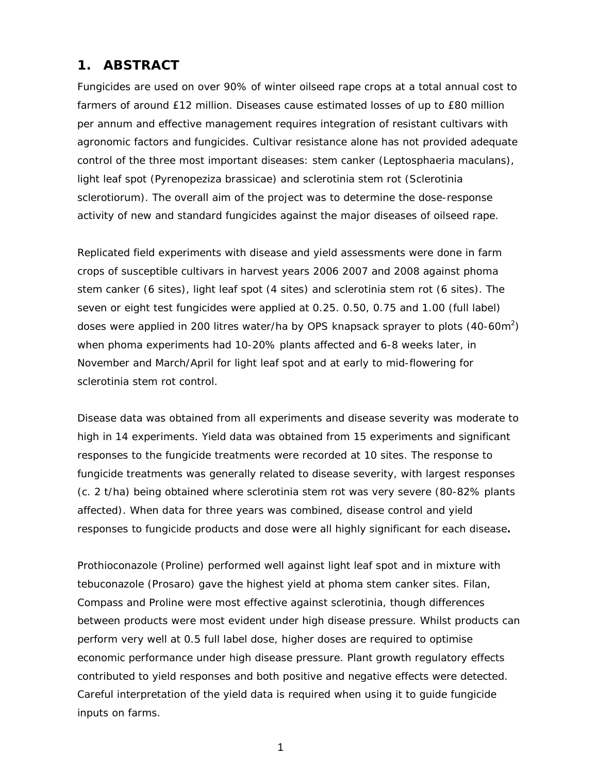## **1. ABSTRACT**

Fungicides are used on over 90% of winter oilseed rape crops at a total annual cost to farmers of around £12 million. Diseases cause estimated losses of up to £80 million per annum and effective management requires integration of resistant cultivars with agronomic factors and fungicides. Cultivar resistance alone has not provided adequate control of the three most important diseases: stem canker (*Leptosphaeria maculans*), light leaf spot (*Pyrenopeziza brassicae*) and sclerotinia stem rot (*Sclerotinia sclerotiorum*). The overall aim of the project was to determine the dose-response activity of new and standard fungicides against the major diseases of oilseed rape.

Replicated field experiments with disease and yield assessments were done in farm crops of susceptible cultivars in harvest years 2006 2007 and 2008 against phoma stem canker (6 sites), light leaf spot (4 sites) and sclerotinia stem rot (6 sites). The seven or eight test fungicides were applied at 0.25. 0.50, 0.75 and 1.00 (full label) doses were applied in 200 litres water/ha by OPS knapsack sprayer to plots  $(40\text{-}60\text{m}^2)$ when phoma experiments had 10-20% plants affected and 6-8 weeks later, in November and March/April for light leaf spot and at early to mid-flowering for sclerotinia stem rot control.

Disease data was obtained from all experiments and disease severity was moderate to high in 14 experiments. Yield data was obtained from 15 experiments and significant responses to the fungicide treatments were recorded at 10 sites. The response to fungicide treatments was generally related to disease severity, with largest responses (c. 2 t/ha) being obtained where sclerotinia stem rot was very severe (80-82% plants affected). When data for three years was combined, disease control and yield responses to fungicide products and dose were all highly significant for each disease**.** 

Prothioconazole (Proline) performed well against light leaf spot and in mixture with tebuconazole (Prosaro) gave the highest yield at phoma stem canker sites. Filan, Compass and Proline were most effective against sclerotinia, though differences between products were most evident under high disease pressure. Whilst products can perform very well at 0.5 full label dose, higher doses are required to optimise economic performance under high disease pressure. Plant growth regulatory effects contributed to yield responses and both positive and negative effects were detected. Careful interpretation of the yield data is required when using it to guide fungicide inputs on farms.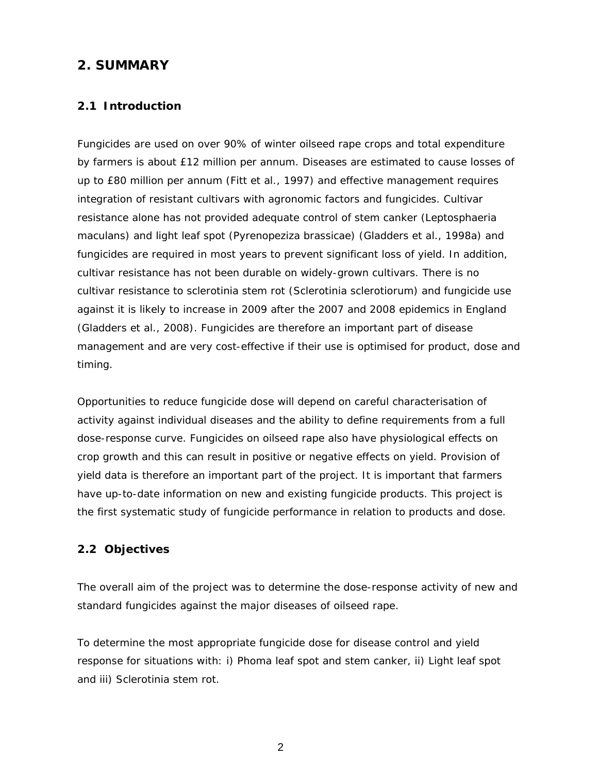## **2. SUMMARY**

## **2.1 Introduction**

Fungicides are used on over 90% of winter oilseed rape crops and total expenditure by farmers is about £12 million per annum. Diseases are estimated to cause losses of up to £80 million per annum (Fitt *et al*., 1997) and effective management requires integration of resistant cultivars with agronomic factors and fungicides. Cultivar resistance alone has not provided adequate control of stem canker (*Leptosphaeria maculans*) and light leaf spot (*Pyrenopeziza brassicae*) (Gladders *et al*., 1998a) and fungicides are required in most years to prevent significant loss of yield. In addition, cultivar resistance has not been durable on widely-grown cultivars. There is no cultivar resistance to sclerotinia stem rot (*Sclerotinia sclerotiorum*) and fungicide use against it is likely to increase in 2009 after the 2007 and 2008 epidemics in England (Gladders *et al*., 2008). Fungicides are therefore an important part of disease management and are very cost-effective if their use is optimised for product, dose and timing.

Opportunities to reduce fungicide dose will depend on careful characterisation of activity against individual diseases and the ability to define requirements from a full dose-response curve. Fungicides on oilseed rape also have physiological effects on crop growth and this can result in positive or negative effects on yield. Provision of yield data is therefore an important part of the project. It is important that farmers have up-to-date information on new and existing fungicide products. This project is the first systematic study of fungicide performance in relation to products and dose.

## **2.2 Objectives**

The overall aim of the project was to determine the dose-response activity of new and standard fungicides against the major diseases of oilseed rape.

To determine the most appropriate fungicide dose for disease control and yield response for situations with: i) Phoma leaf spot and stem canker, ii) Light leaf spot and iii) Sclerotinia stem rot.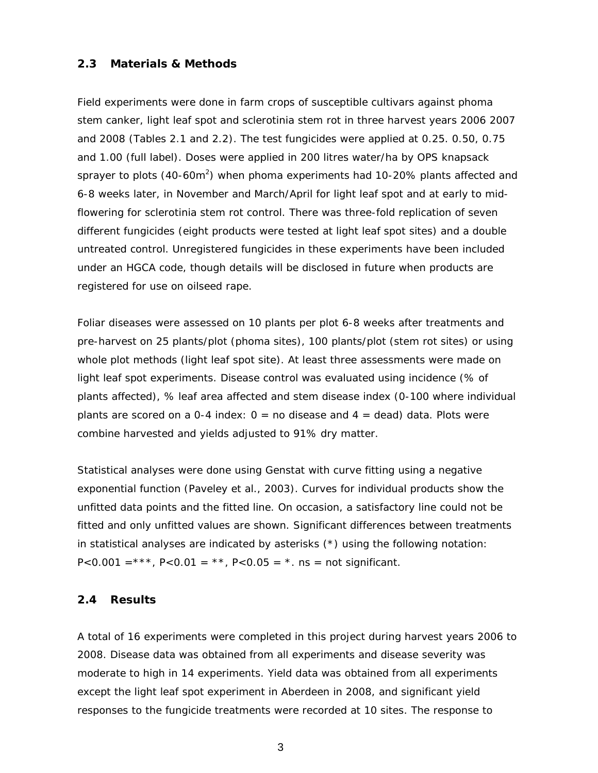## **2.3 Materials & Methods**

Field experiments were done in farm crops of susceptible cultivars against phoma stem canker, light leaf spot and sclerotinia stem rot in three harvest years 2006 2007 and 2008 (Tables 2.1 and 2.2). The test fungicides were applied at 0.25. 0.50, 0.75 and 1.00 (full label). Doses were applied in 200 litres water/ha by OPS knapsack sprayer to plots (40-60m<sup>2</sup>) when phoma experiments had 10-20% plants affected and 6-8 weeks later, in November and March/April for light leaf spot and at early to midflowering for sclerotinia stem rot control. There was three-fold replication of seven different fungicides (eight products were tested at light leaf spot sites) and a double untreated control. Unregistered fungicides in these experiments have been included under an HGCA code, though details will be disclosed in future when products are registered for use on oilseed rape.

Foliar diseases were assessed on 10 plants per plot 6-8 weeks after treatments and pre-harvest on 25 plants/plot (phoma sites), 100 plants/plot (stem rot sites) or using whole plot methods (light leaf spot site). At least three assessments were made on light leaf spot experiments. Disease control was evaluated using incidence (% of plants affected), % leaf area affected and stem disease index (0-100 where individual plants are scored on a 0-4 index:  $0 =$  no disease and  $4 =$  dead) data. Plots were combine harvested and yields adjusted to 91% dry matter.

Statistical analyses were done using Genstat with curve fitting using a negative exponential function (Paveley *et al.,* 2003). Curves for individual products show the unfitted data points and the fitted line. On occasion, a satisfactory line could not be fitted and only unfitted values are shown. Significant differences between treatments in statistical analyses are indicated by asterisks (\*) using the following notation:  $P<0.001 =$ \*\*\*,  $P<0.01 =$ \*\*,  $P<0.05 =$ \*. ns = not significant.

#### **2.4 Results**

A total of 16 experiments were completed in this project during harvest years 2006 to 2008. Disease data was obtained from all experiments and disease severity was moderate to high in 14 experiments. Yield data was obtained from all experiments except the light leaf spot experiment in Aberdeen in 2008, and significant yield responses to the fungicide treatments were recorded at 10 sites. The response to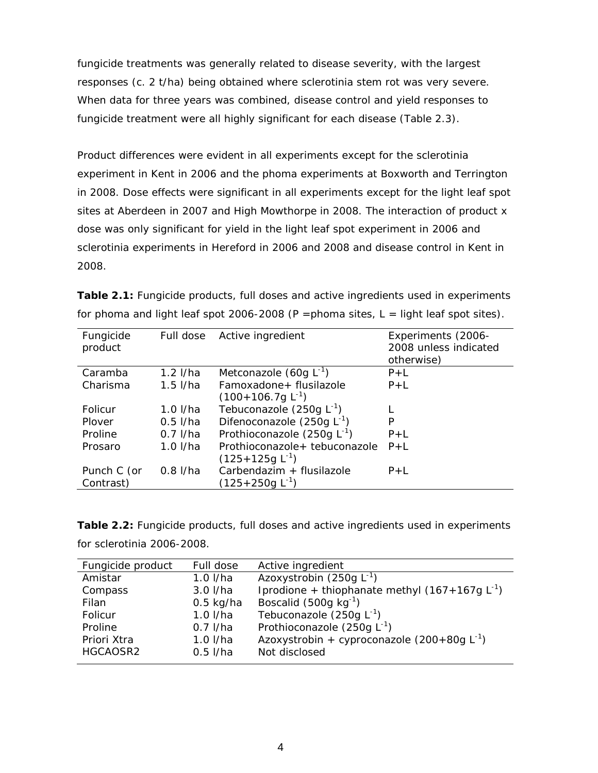fungicide treatments was generally related to disease severity, with the largest responses (c. 2 t/ha) being obtained where sclerotinia stem rot was very severe. When data for three years was combined, disease control and yield responses to fungicide treatment were all highly significant for each disease (Table 2.3).

Product differences were evident in all experiments except for the sclerotinia experiment in Kent in 2006 and the phoma experiments at Boxworth and Terrington in 2008. Dose effects were significant in all experiments except for the light leaf spot sites at Aberdeen in 2007 and High Mowthorpe in 2008. The interaction of product x dose was only significant for yield in the light leaf spot experiment in 2006 and sclerotinia experiments in Hereford in 2006 and 2008 and disease control in Kent in 2008.

| Fungicide<br>product     | Full dose  | Active ingredient                                        | Experiments (2006-<br>2008 unless indicated<br>otherwise) |
|--------------------------|------------|----------------------------------------------------------|-----------------------------------------------------------|
| Caramba                  | $1.2$ I/ha | Metconazole $(60g L^{-1})$                               | $P+L$                                                     |
| Charisma                 | $1.5$ I/ha | Famoxadone+ flusilazole<br>$(100+106.7g L-1)$            | $P+L$                                                     |
| Folicur                  | $1.0$ I/ha | Tebuconazole (250g $L^{-1}$ )                            |                                                           |
| Plover                   | $0.5$ I/ha | Difenoconazole (250g $L^{-1}$ )                          | P                                                         |
| Proline                  | $0.7$ I/ha | Prothioconazole (250g $L^{-1}$ )                         | $P+I$                                                     |
| Prosaro                  | $1.0$ I/ha | Prothioconazole+ tebuconazole<br>$(125+125g L^{-1})$     | $P+L$                                                     |
| Punch C (or<br>Contrast) | $0.8$ I/ha | Carbendazim + flusilazole<br>(125+250g L <sup>-1</sup> ) | $P+L$                                                     |

| <b>Table 2.1:</b> Fungicide products, full doses and active ingredients used in experiments |
|---------------------------------------------------------------------------------------------|
| for phoma and light leaf spot 2006-2008 (P = phoma sites, $L =$ light leaf spot sites).     |

**Table 2.2:** Fungicide products, full doses and active ingredients used in experiments for sclerotinia 2006-2008.

| Fungicide product | Full dose   | Active ingredient                                  |
|-------------------|-------------|----------------------------------------------------|
| Amistar           | $1.0$ I/ha  | Azoxystrobin (250g $L^{-1}$ )                      |
| Compass           | $3.0$ I/ha  | Iprodione + thiophanate methyl $(167+167g L^{-1})$ |
| Filan             | $0.5$ kg/ha | Boscalid (500g $kg^{-1}$ )                         |
| Folicur           | $1.0$ I/ha  | Tebuconazole (250g $L^{-1}$ )                      |
| Proline           | $0.7$ I/ha  | Prothioconazole (250g $L^{-1}$ )                   |
| Priori Xtra       | $1.0$ I/ha  | Azoxystrobin + cyproconazole $(200+80g L^{-1})$    |
| HGCAOSR2          | $0.5$ I/ha  | Not disclosed                                      |
|                   |             |                                                    |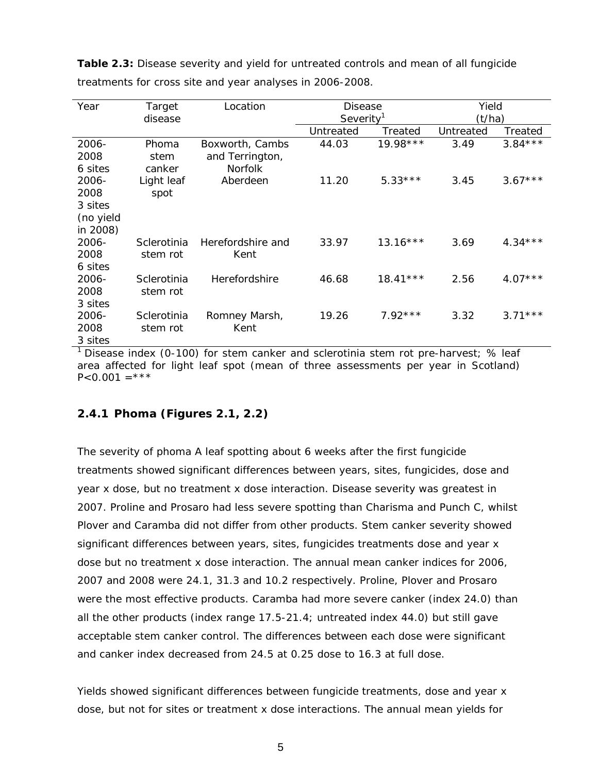| Year      | Location<br>Target |                   | <b>Disease</b>        |            | Yield     |           |
|-----------|--------------------|-------------------|-----------------------|------------|-----------|-----------|
|           | disease            |                   | Severity <sup>1</sup> |            | (t/ha)    |           |
|           |                    |                   | Untreated             | Treated    | Untreated | Treated   |
| 2006-     | Phoma              | Boxworth, Cambs   | 44.03                 | 19.98 ***  | 3.49      | $3.84***$ |
| 2008      | stem               | and Terrington,   |                       |            |           |           |
| 6 sites   | canker             | <b>Norfolk</b>    |                       |            |           |           |
| 2006-     | Light leaf         | Aberdeen          | 11.20                 | $5.33***$  | 3.45      | $3.67***$ |
| 2008      | spot               |                   |                       |            |           |           |
| 3 sites   |                    |                   |                       |            |           |           |
| (no yield |                    |                   |                       |            |           |           |
| in 2008)  |                    |                   |                       |            |           |           |
| 2006-     | Sclerotinia        | Herefordshire and | 33.97                 | $13.16***$ | 3.69      | $4.34***$ |
| 2008      | stem rot           | Kent              |                       |            |           |           |
| 6 sites   |                    |                   |                       |            |           |           |
| 2006-     | Sclerotinia        | Herefordshire     | 46.68                 | $18.41***$ | 2.56      | $4.07***$ |
| 2008      | stem rot           |                   |                       |            |           |           |
| 3 sites   |                    |                   |                       |            |           |           |
| 2006-     | Sclerotinia        | Romney Marsh,     | 19.26                 | $7.92***$  | 3.32      | $3.71***$ |
| 2008      | stem rot           | Kent              |                       |            |           |           |
| 3 sites   |                    |                   |                       |            |           |           |

**Table 2.3:** Disease severity and yield for untreated controls and mean of all fungicide treatments for cross site and year analyses in 2006-2008.

<sup>1</sup> Disease index (0-100) for stem canker and sclerotinia stem rot pre-harvest;  $%$  leaf area affected for light leaf spot (mean of three assessments per year in Scotland)  $P < 0.001 = ***$ 

## **2.4.1 Phoma (Figures 2.1, 2.2)**

The severity of phoma A leaf spotting about 6 weeks after the first fungicide treatments showed significant differences between years, sites, fungicides, dose and year x dose, but no treatment x dose interaction. Disease severity was greatest in 2007. Proline and Prosaro had less severe spotting than Charisma and Punch C, whilst Plover and Caramba did not differ from other products. Stem canker severity showed significant differences between years, sites, fungicides treatments dose and year x dose but no treatment x dose interaction. The annual mean canker indices for 2006, 2007 and 2008 were 24.1, 31.3 and 10.2 respectively. Proline, Plover and Prosaro were the most effective products. Caramba had more severe canker (index 24.0) than all the other products (index range 17.5-21.4; untreated index 44.0) but still gave acceptable stem canker control. The differences between each dose were significant and canker index decreased from 24.5 at 0.25 dose to 16.3 at full dose.

Yields showed significant differences between fungicide treatments, dose and year x dose, but not for sites or treatment x dose interactions. The annual mean yields for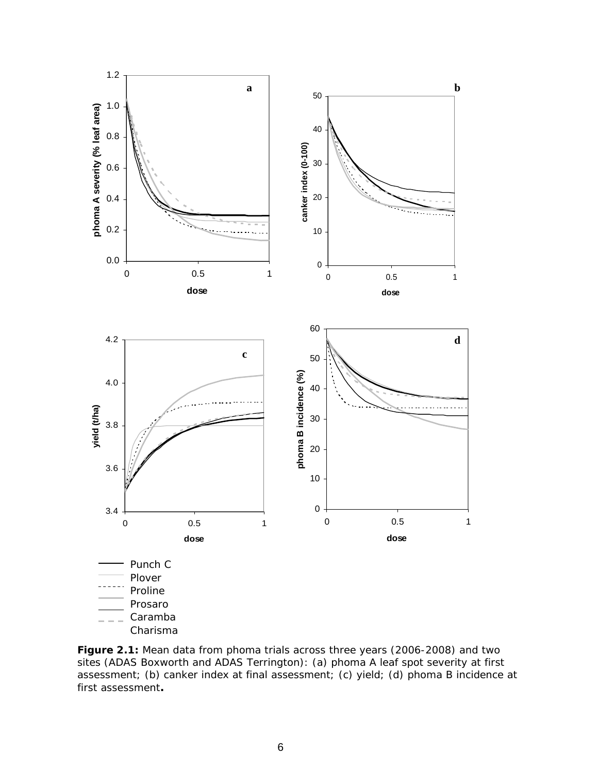

**Figure 2.1:** Mean data from phoma trials across three years (2006-2008) and two sites (ADAS Boxworth and ADAS Terrington): (a) phoma A leaf spot severity at first assessment; (b) canker index at final assessment; (c) yield; (d) phoma B incidence at first assessment**.**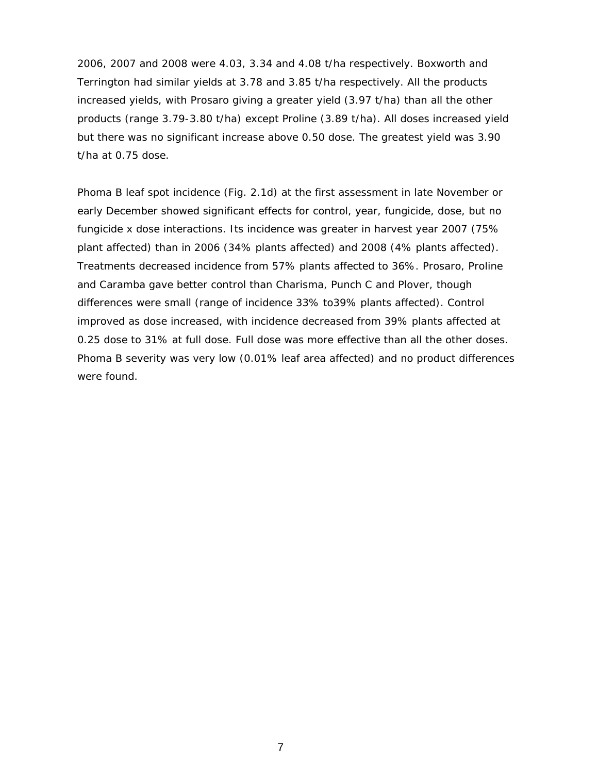2006, 2007 and 2008 were 4.03, 3.34 and 4.08 t/ha respectively. Boxworth and Terrington had similar yields at 3.78 and 3.85 t/ha respectively. All the products increased yields, with Prosaro giving a greater yield (3.97 t/ha) than all the other products (range 3.79-3.80 t/ha) except Proline (3.89 t/ha). All doses increased yield but there was no significant increase above 0.50 dose. The greatest yield was 3.90 t/ha at 0.75 dose.

Phoma B leaf spot incidence (Fig. 2.1d) at the first assessment in late November or early December showed significant effects for control, year, fungicide, dose, but no fungicide x dose interactions. Its incidence was greater in harvest year 2007 (75% plant affected) than in 2006 (34% plants affected) and 2008 (4% plants affected). Treatments decreased incidence from 57% plants affected to 36%. Prosaro, Proline and Caramba gave better control than Charisma, Punch C and Plover, though differences were small (range of incidence 33% to39% plants affected). Control improved as dose increased, with incidence decreased from 39% plants affected at 0.25 dose to 31% at full dose. Full dose was more effective than all the other doses. Phoma B severity was very low (0.01% leaf area affected) and no product differences were found.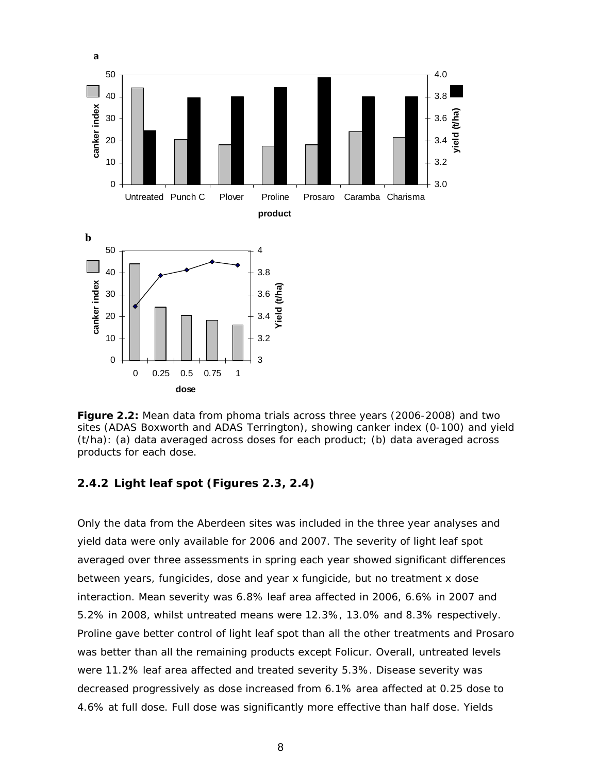

**Figure 2.2:** Mean data from phoma trials across three years (2006-2008) and two sites (ADAS Boxworth and ADAS Terrington), showing canker index (0-100) and yield (t/ha): (a) data averaged across doses for each product; (b) data averaged across products for each dose.

## **2.4.2 Light leaf spot (Figures 2.3, 2.4)**

Only the data from the Aberdeen sites was included in the three year analyses and yield data were only available for 2006 and 2007. The severity of light leaf spot averaged over three assessments in spring each year showed significant differences between years, fungicides, dose and year x fungicide, but no treatment x dose interaction. Mean severity was 6.8% leaf area affected in 2006, 6.6% in 2007 and 5.2% in 2008, whilst untreated means were 12.3%, 13.0% and 8.3% respectively. Proline gave better control of light leaf spot than all the other treatments and Prosaro was better than all the remaining products except Folicur. Overall, untreated levels were 11.2% leaf area affected and treated severity 5.3%. Disease severity was decreased progressively as dose increased from 6.1% area affected at 0.25 dose to 4.6% at full dose. Full dose was significantly more effective than half dose. Yields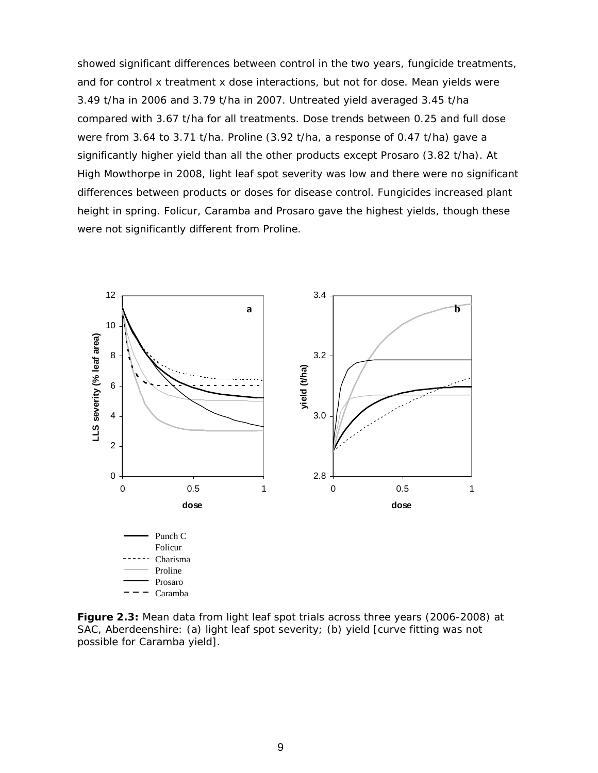showed significant differences between control in the two years, fungicide treatments, and for control x treatment x dose interactions, but not for dose. Mean yields were 3.49 t/ha in 2006 and 3.79 t/ha in 2007. Untreated yield averaged 3.45 t/ha compared with 3.67 t/ha for all treatments. Dose trends between 0.25 and full dose were from 3.64 to 3.71 t/ha. Proline (3.92 t/ha, a response of 0.47 t/ha) gave a significantly higher yield than all the other products except Prosaro (3.82 t/ha). At High Mowthorpe in 2008, light leaf spot severity was low and there were no significant differences between products or doses for disease control. Fungicides increased plant height in spring. Folicur, Caramba and Prosaro gave the highest yields, though these were not significantly different from Proline.



**Figure 2.3:** Mean data from light leaf spot trials across three years (2006-2008) at SAC, Aberdeenshire: (a) light leaf spot severity; (b) yield [curve fitting was not possible for Caramba yield].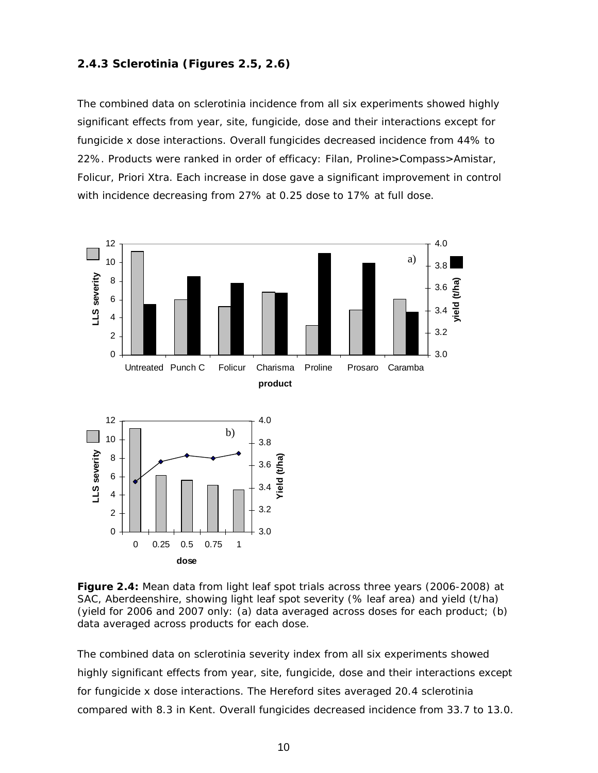## **2.4.3 Sclerotinia (Figures 2.5, 2.6)**

The combined data on sclerotinia incidence from all six experiments showed highly significant effects from year, site, fungicide, dose and their interactions except for fungicide x dose interactions. Overall fungicides decreased incidence from 44% to 22%. Products were ranked in order of efficacy: Filan, Proline>Compass>Amistar, Folicur, Priori Xtra. Each increase in dose gave a significant improvement in control with incidence decreasing from 27% at 0.25 dose to 17% at full dose.



**Figure 2.4:** Mean data from light leaf spot trials across three years (2006-2008) at SAC, Aberdeenshire, showing light leaf spot severity (% leaf area) and yield (t/ha) (yield for 2006 and 2007 only: (a) data averaged across doses for each product; (b) data averaged across products for each dose.

The combined data on sclerotinia severity index from all six experiments showed highly significant effects from year, site, fungicide, dose and their interactions except for fungicide x dose interactions. The Hereford sites averaged 20.4 sclerotinia compared with 8.3 in Kent. Overall fungicides decreased incidence from 33.7 to 13.0.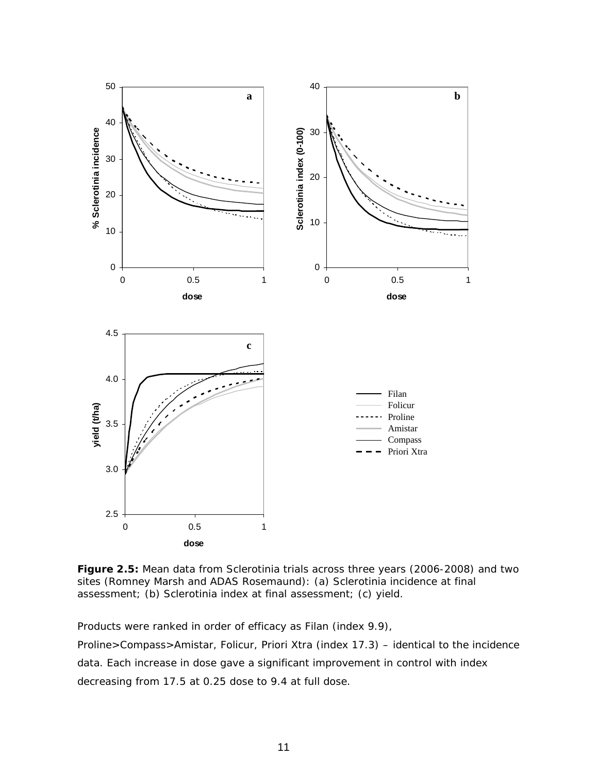

**Figure 2.5:** Mean data from Sclerotinia trials across three years (2006-2008) and two sites (Romney Marsh and ADAS Rosemaund): (a) Sclerotinia incidence at final assessment; (b) Sclerotinia index at final assessment; (c) yield.

Products were ranked in order of efficacy as Filan (index 9.9), Proline>Compass>Amistar, Folicur, Priori Xtra (index 17.3) – identical to the incidence data. Each increase in dose gave a significant improvement in control with index decreasing from 17.5 at 0.25 dose to 9.4 at full dose.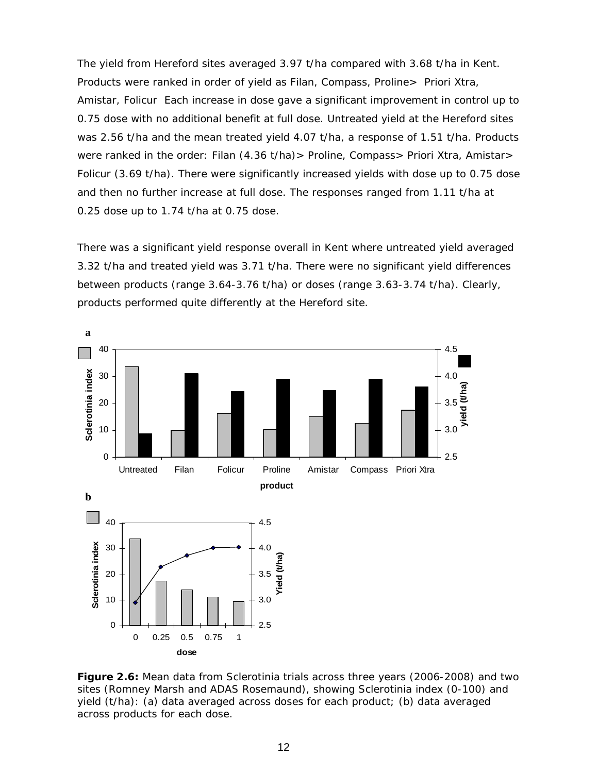The yield from Hereford sites averaged 3.97 t/ha compared with 3.68 t/ha in Kent. Products were ranked in order of yield as Filan, Compass, Proline> Priori Xtra, Amistar, Folicur Each increase in dose gave a significant improvement in control up to 0.75 dose with no additional benefit at full dose. Untreated yield at the Hereford sites was 2.56 t/ha and the mean treated yield 4.07 t/ha, a response of 1.51 t/ha. Products were ranked in the order: Filan (4.36 t/ha) > Proline, Compass > Priori Xtra, Amistar > Folicur (3.69 t/ha). There were significantly increased yields with dose up to 0.75 dose and then no further increase at full dose. The responses ranged from 1.11 t/ha at 0.25 dose up to 1.74 t/ha at 0.75 dose.

There was a significant yield response overall in Kent where untreated yield averaged 3.32 t/ha and treated yield was 3.71 t/ha. There were no significant yield differences between products (range 3.64-3.76 t/ha) or doses (range 3.63-3.74 t/ha). Clearly, products performed quite differently at the Hereford site.



**Figure 2.6:** Mean data from Sclerotinia trials across three years (2006-2008) and two sites (Romney Marsh and ADAS Rosemaund), showing Sclerotinia index (0-100) and yield (t/ha): (a) data averaged across doses for each product; (b) data averaged across products for each dose.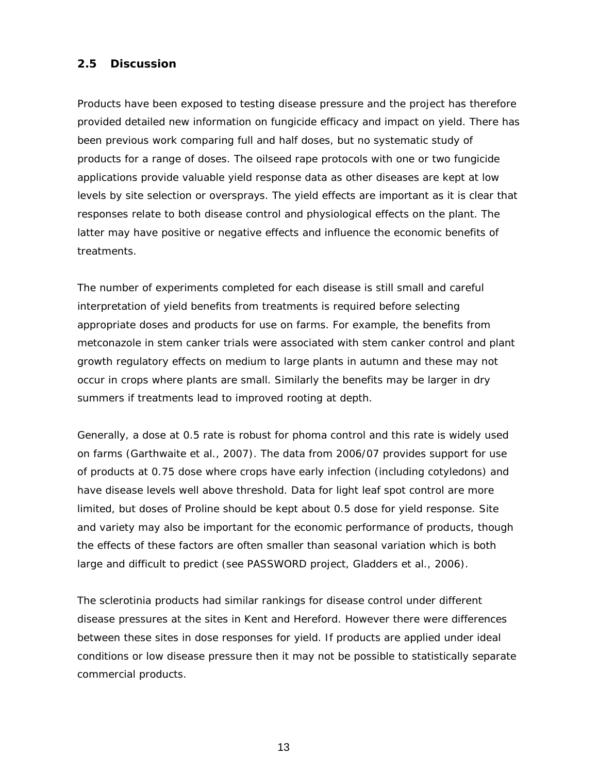## **2.5 Discussion**

Products have been exposed to testing disease pressure and the project has therefore provided detailed new information on fungicide efficacy and impact on yield. There has been previous work comparing full and half doses, but no systematic study of products for a range of doses. The oilseed rape protocols with one or two fungicide applications provide valuable yield response data as other diseases are kept at low levels by site selection or oversprays. The yield effects are important as it is clear that responses relate to both disease control and physiological effects on the plant. The latter may have positive or negative effects and influence the economic benefits of treatments.

The number of experiments completed for each disease is still small and careful interpretation of yield benefits from treatments is required before selecting appropriate doses and products for use on farms. For example, the benefits from metconazole in stem canker trials were associated with stem canker control and plant growth regulatory effects on medium to large plants in autumn and these may not occur in crops where plants are small. Similarly the benefits may be larger in dry summers if treatments lead to improved rooting at depth.

Generally, a dose at 0.5 rate is robust for phoma control and this rate is widely used on farms (Garthwaite *et al.,* 2007). The data from 2006/07 provides support for use of products at 0.75 dose where crops have early infection (including cotyledons) and have disease levels well above threshold. Data for light leaf spot control are more limited, but doses of Proline should be kept about 0.5 dose for yield response. Site and variety may also be important for the economic performance of products, though the effects of these factors are often smaller than seasonal variation which is both large and difficult to predict (see PASSWORD project, Gladders *et al*., 2006).

The sclerotinia products had similar rankings for disease control under different disease pressures at the sites in Kent and Hereford. However there were differences between these sites in dose responses for yield. If products are applied under ideal conditions or low disease pressure then it may not be possible to statistically separate commercial products.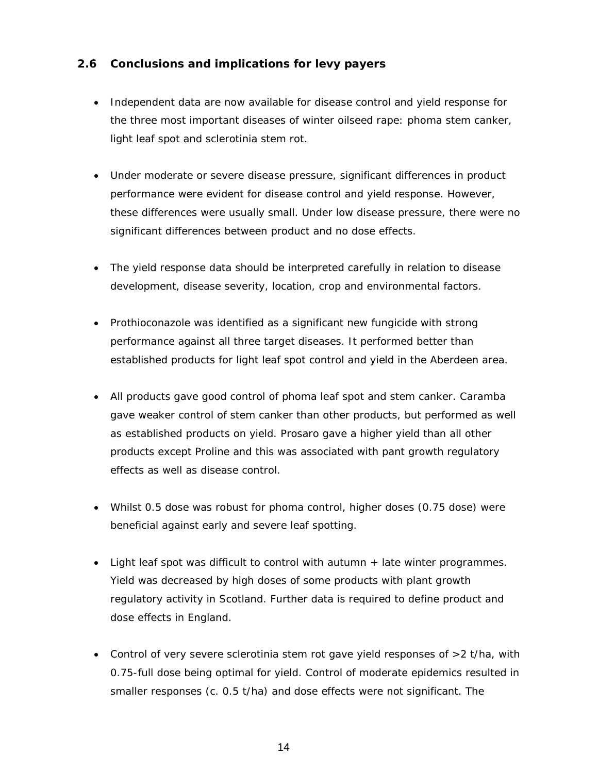## **2.6 Conclusions and implications for levy payers**

- Independent data are now available for disease control and yield response for the three most important diseases of winter oilseed rape: phoma stem canker, light leaf spot and sclerotinia stem rot.
- Under moderate or severe disease pressure, significant differences in product performance were evident for disease control and yield response. However, these differences were usually small. Under low disease pressure, there were no significant differences between product and no dose effects.
- The yield response data should be interpreted carefully in relation to disease development, disease severity, location, crop and environmental factors.
- Prothioconazole was identified as a significant new fungicide with strong performance against all three target diseases. It performed better than established products for light leaf spot control and yield in the Aberdeen area.
- All products gave good control of phoma leaf spot and stem canker. Caramba gave weaker control of stem canker than other products, but performed as well as established products on yield. Prosaro gave a higher yield than all other products except Proline and this was associated with pant growth regulatory effects as well as disease control.
- Whilst 0.5 dose was robust for phoma control, higher doses (0.75 dose) were beneficial against early and severe leaf spotting.
- Light leaf spot was difficult to control with autumn + late winter programmes. Yield was decreased by high doses of some products with plant growth regulatory activity in Scotland. Further data is required to define product and dose effects in England.
- Control of very severe sclerotinia stem rot gave yield responses of >2 t/ha, with 0.75-full dose being optimal for yield. Control of moderate epidemics resulted in smaller responses (c. 0.5 t/ha) and dose effects were not significant. The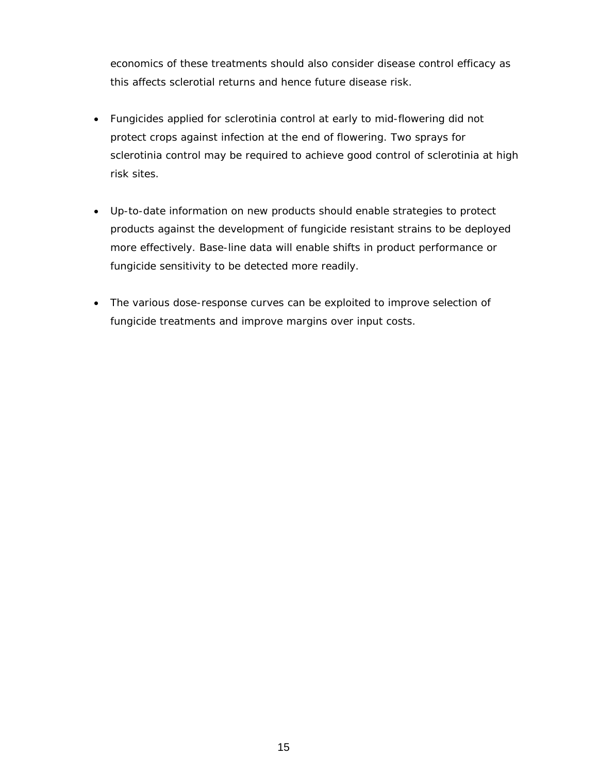economics of these treatments should also consider disease control efficacy as this affects sclerotial returns and hence future disease risk.

- Fungicides applied for sclerotinia control at early to mid-flowering did not protect crops against infection at the end of flowering. Two sprays for sclerotinia control may be required to achieve good control of sclerotinia at high risk sites.
- Up-to-date information on new products should enable strategies to protect products against the development of fungicide resistant strains to be deployed more effectively. Base-line data will enable shifts in product performance or fungicide sensitivity to be detected more readily.
- The various dose-response curves can be exploited to improve selection of fungicide treatments and improve margins over input costs.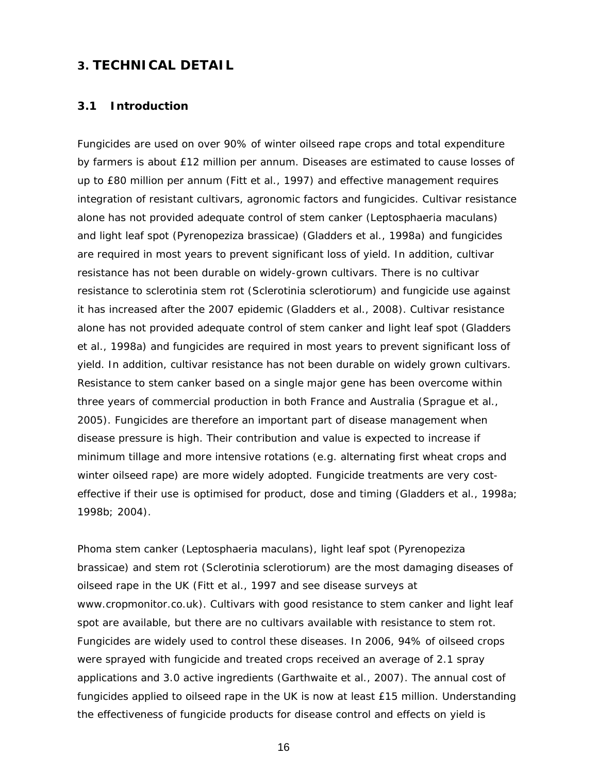## **3. TECHNICAL DETAIL**

#### **3.1 Introduction**

Fungicides are used on over 90% of winter oilseed rape crops and total expenditure by farmers is about £12 million per annum. Diseases are estimated to cause losses of up to £80 million per annum (Fitt *et al*., 1997) and effective management requires integration of resistant cultivars, agronomic factors and fungicides. Cultivar resistance alone has not provided adequate control of stem canker (*Leptosphaeria maculans*) and light leaf spot (*Pyrenopeziza brassicae*) (Gladders *et al*., 1998a) and fungicides are required in most years to prevent significant loss of yield. In addition, cultivar resistance has not been durable on widely-grown cultivars. There is no cultivar resistance to sclerotinia stem rot (*Sclerotinia sclerotiorum)* and fungicide use against it has increased after the 2007 epidemic (Gladders *et al*., 2008). Cultivar resistance alone has not provided adequate control of stem canker and light leaf spot (Gladders *et al*., 1998a) and fungicides are required in most years to prevent significant loss of yield. In addition, cultivar resistance has not been durable on widely grown cultivars. Resistance to stem canker based on a single major gene has been overcome within three years of commercial production in both France and Australia (Sprague *et al*., 2005). Fungicides are therefore an important part of disease management when disease pressure is high. Their contribution and value is expected to increase if minimum tillage and more intensive rotations (e.g. alternating first wheat crops and winter oilseed rape) are more widely adopted. Fungicide treatments are very costeffective if their use is optimised for product, dose and timing (Gladders *et al*., 1998a; 1998b; 2004).

Phoma stem canker (*Leptosphaeria maculans*), light leaf spot (*Pyrenopeziza brassicae*) and stem rot (*Sclerotinia sclerotiorum*) are the most damaging diseases of oilseed rape in the UK (Fitt *et al.,* 1997 and see disease surveys at www.cropmonitor.co.uk). Cultivars with good resistance to stem canker and light leaf spot are available, but there are no cultivars available with resistance to stem rot. Fungicides are widely used to control these diseases. In 2006, 94% of oilseed crops were sprayed with fungicide and treated crops received an average of 2.1 spray applications and 3.0 active ingredients (Garthwaite *et al*., 2007). The annual cost of fungicides applied to oilseed rape in the UK is now at least £15 million. Understanding the effectiveness of fungicide products for disease control and effects on yield is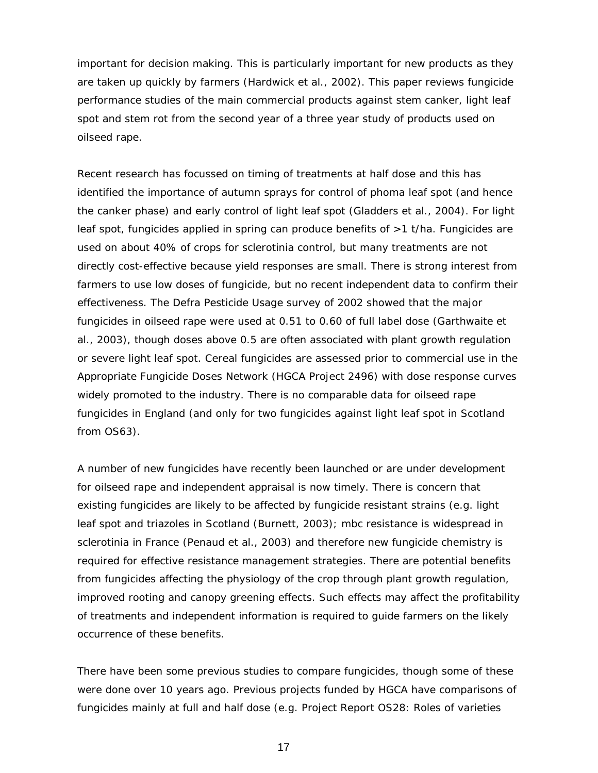important for decision making. This is particularly important for new products as they are taken up quickly by farmers (Hardwick *et al*., 2002). This paper reviews fungicide performance studies of the main commercial products against stem canker, light leaf spot and stem rot from the second year of a three year study of products used on oilseed rape.

Recent research has focussed on timing of treatments at half dose and this has identified the importance of autumn sprays for control of phoma leaf spot (and hence the canker phase) and early control of light leaf spot (Gladders *et al*., 2004). For light leaf spot, fungicides applied in spring can produce benefits of >1 t/ha. Fungicides are used on about 40% of crops for sclerotinia control, but many treatments are not directly cost-effective because yield responses are small. There is strong interest from farmers to use low doses of fungicide, but no recent independent data to confirm their effectiveness. The Defra Pesticide Usage survey of 2002 showed that the major fungicides in oilseed rape were used at 0.51 to 0.60 of full label dose (Garthwaite *et al*., 2003), though doses above 0.5 are often associated with plant growth regulation or severe light leaf spot. Cereal fungicides are assessed prior to commercial use in the Appropriate Fungicide Doses Network (HGCA Project 2496) with dose response curves widely promoted to the industry. There is no comparable data for oilseed rape fungicides in England (and only for two fungicides against light leaf spot in Scotland from OS63).

A number of new fungicides have recently been launched or are under development for oilseed rape and independent appraisal is now timely. There is concern that existing fungicides are likely to be affected by fungicide resistant strains (e.g. light leaf spot and triazoles in Scotland (Burnett, 2003); mbc resistance is widespread in sclerotinia in France (Penaud et al., 2003) and therefore new fungicide chemistry is required for effective resistance management strategies. There are potential benefits from fungicides affecting the physiology of the crop through plant growth regulation, improved rooting and canopy greening effects. Such effects may affect the profitability of treatments and independent information is required to guide farmers on the likely occurrence of these benefits.

There have been some previous studies to compare fungicides, though some of these were done over 10 years ago. Previous projects funded by HGCA have comparisons of fungicides mainly at full and half dose (e.g. Project Report OS28: Roles of varieties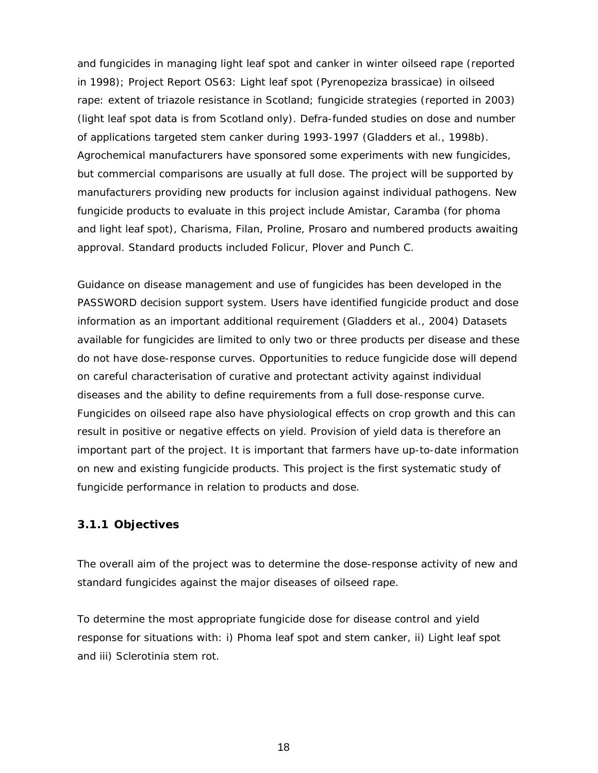and fungicides in managing light leaf spot and canker in winter oilseed rape (reported in 1998); Project Report OS63: Light leaf spot (*Pyrenopeziza brassicae*) in oilseed rape: extent of triazole resistance in Scotland; fungicide strategies (reported in 2003) (light leaf spot data is from Scotland only). Defra-funded studies on dose and number of applications targeted stem canker during 1993-1997 (Gladders *et al*., 1998b). Agrochemical manufacturers have sponsored some experiments with new fungicides, but commercial comparisons are usually at full dose. The project will be supported by manufacturers providing new products for inclusion against individual pathogens. New fungicide products to evaluate in this project include Amistar, Caramba (for phoma and light leaf spot), Charisma, Filan, Proline, Prosaro and numbered products awaiting approval. Standard products included Folicur, Plover and Punch C.

Guidance on disease management and use of fungicides has been developed in the PASSWORD decision support system. Users have identified fungicide product and dose information as an important additional requirement (Gladders *et al*., 2004) Datasets available for fungicides are limited to only two or three products per disease and these do not have dose-response curves. Opportunities to reduce fungicide dose will depend on careful characterisation of curative and protectant activity against individual diseases and the ability to define requirements from a full dose-response curve. Fungicides on oilseed rape also have physiological effects on crop growth and this can result in positive or negative effects on yield. Provision of yield data is therefore an important part of the project. It is important that farmers have up-to-date information on new and existing fungicide products. This project is the first systematic study of fungicide performance in relation to products and dose.

## **3.1.1 Objectives**

The overall aim of the project was to determine the dose-response activity of new and standard fungicides against the major diseases of oilseed rape.

To determine the most appropriate fungicide dose for disease control and yield response for situations with: i) Phoma leaf spot and stem canker, ii) Light leaf spot and iii) Sclerotinia stem rot.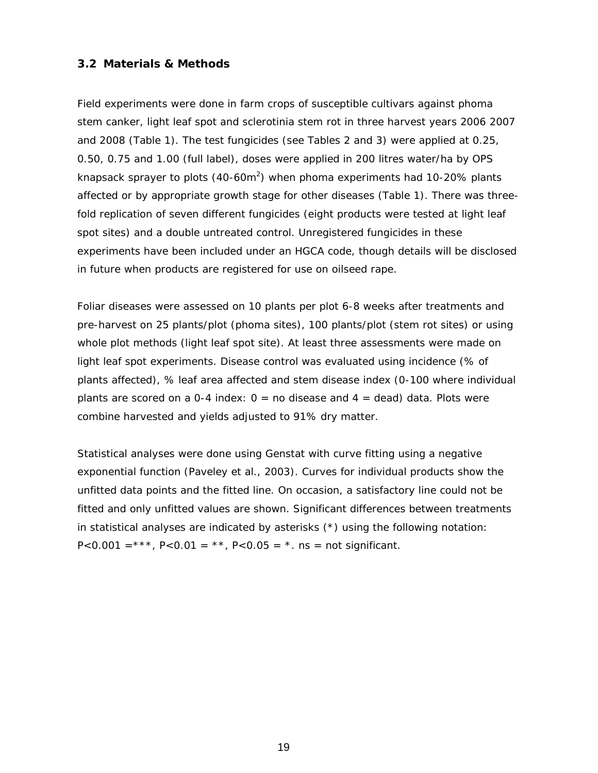## **3.2 Materials & Methods**

Field experiments were done in farm crops of susceptible cultivars against phoma stem canker, light leaf spot and sclerotinia stem rot in three harvest years 2006 2007 and 2008 (Table 1). The test fungicides (see Tables 2 and 3) were applied at 0.25, 0.50, 0.75 and 1.00 (full label), doses were applied in 200 litres water/ha by OPS knapsack sprayer to plots (40-60m<sup>2</sup>) when phoma experiments had 10-20% plants affected or by appropriate growth stage for other diseases (Table 1). There was threefold replication of seven different fungicides (eight products were tested at light leaf spot sites) and a double untreated control. Unregistered fungicides in these experiments have been included under an HGCA code, though details will be disclosed in future when products are registered for use on oilseed rape.

Foliar diseases were assessed on 10 plants per plot 6-8 weeks after treatments and pre-harvest on 25 plants/plot (phoma sites), 100 plants/plot (stem rot sites) or using whole plot methods (light leaf spot site). At least three assessments were made on light leaf spot experiments. Disease control was evaluated using incidence (% of plants affected), % leaf area affected and stem disease index (0-100 where individual plants are scored on a 0-4 index:  $0 =$  no disease and  $4 =$  dead) data. Plots were combine harvested and yields adjusted to 91% dry matter.

Statistical analyses were done using Genstat with curve fitting using a negative exponential function (Paveley *et al.,* 2003). Curves for individual products show the unfitted data points and the fitted line. On occasion, a satisfactory line could not be fitted and only unfitted values are shown. Significant differences between treatments in statistical analyses are indicated by asterisks (\*) using the following notation:  $P < 0.001 =$ \*\*\*,  $P < 0.01 =$ \*\*,  $P < 0.05 =$ \*,  $n_s =$  not significant.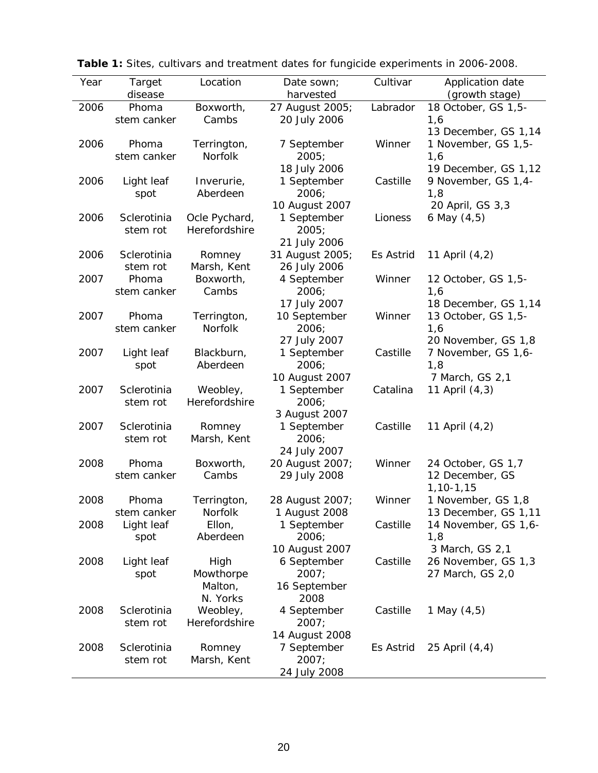| Year | Target      | Location      | Date sown;      | Cultivar  | Application date     |
|------|-------------|---------------|-----------------|-----------|----------------------|
|      | disease     |               | harvested       |           | (growth stage)       |
| 2006 | Phoma       | Boxworth,     | 27 August 2005; | Labrador  | 18 October, GS 1,5-  |
|      | stem canker | Cambs         | 20 July 2006    |           | 1,6                  |
|      |             |               |                 |           | 13 December, GS 1,14 |
| 2006 | Phoma       | Terrington,   | 7 September     | Winner    | 1 November, GS 1,5-  |
|      | stem canker | Norfolk       | 2005;           |           | 1,6                  |
|      |             |               | 18 July 2006    |           | 19 December, GS 1,12 |
| 2006 | Light leaf  | Inverurie,    | 1 September     | Castille  | 9 November, GS 1,4-  |
|      | spot        | Aberdeen      | 2006;           |           | 1,8                  |
|      |             |               | 10 August 2007  |           | 20 April, GS 3,3     |
| 2006 | Sclerotinia | Ocle Pychard, | 1 September     | Lioness   | 6 May (4,5)          |
|      | stem rot    | Herefordshire | 2005;           |           |                      |
|      |             |               | 21 July 2006    |           |                      |
| 2006 | Sclerotinia | Romney        | 31 August 2005; | Es Astrid | 11 April (4,2)       |
|      | stem rot    | Marsh, Kent   | 26 July 2006    |           |                      |
| 2007 | Phoma       | Boxworth,     | 4 September     | Winner    | 12 October, GS 1,5-  |
|      | stem canker | Cambs         | 2006;           |           | 1,6                  |
|      |             |               | 17 July 2007    |           | 18 December, GS 1,14 |
| 2007 | Phoma       | Terrington,   | 10 September    | Winner    | 13 October, GS 1,5-  |
|      | stem canker | Norfolk       | 2006;           |           | 1,6                  |
|      |             |               | 27 July 2007    |           | 20 November, GS 1,8  |
| 2007 | Light leaf  | Blackburn,    | 1 September     | Castille  | 7 November, GS 1,6-  |
|      | spot        | Aberdeen      | 2006;           |           | 1,8                  |
|      |             |               | 10 August 2007  |           | 7 March, GS 2,1      |
| 2007 | Sclerotinia | Weobley,      | 1 September     | Catalina  | 11 April (4,3)       |
|      | stem rot    | Herefordshire | 2006;           |           |                      |
|      |             |               | 3 August 2007   |           |                      |
| 2007 | Sclerotinia | Romney        | 1 September     | Castille  | 11 April (4,2)       |
|      | stem rot    | Marsh, Kent   | 2006;           |           |                      |
|      |             |               | 24 July 2007    |           |                      |
| 2008 | Phoma       | Boxworth,     | 20 August 2007; | Winner    | 24 October, GS 1,7   |
|      | stem canker | Cambs         | 29 July 2008    |           | 12 December, GS      |
|      |             |               |                 |           | $1, 10 - 1, 15$      |
| 2008 | Phoma       | Terrington,   | 28 August 2007; | Winner    | 1 November, GS 1,8   |
|      | stem canker | Norfolk       | 1 August 2008   |           | 13 December, GS 1,11 |
| 2008 | Light leaf  | Ellon,        | 1 September     | Castille  | 14 November, GS 1,6- |
|      | spot        | Aberdeen      | 2006;           |           | 1,8                  |
|      |             |               | 10 August 2007  |           | 3 March, GS 2,1      |
| 2008 | Light leaf  | High          | 6 September     | Castille  | 26 November, GS 1,3  |
|      | spot        | Mowthorpe     | 2007;           |           | 27 March, GS 2,0     |
|      |             | Malton,       | 16 September    |           |                      |
|      |             | N. Yorks      | 2008            |           |                      |
| 2008 | Sclerotinia | Weobley,      | 4 September     | Castille  | 1 May (4,5)          |
|      | stem rot    | Herefordshire | 2007;           |           |                      |
|      |             |               | 14 August 2008  |           |                      |
| 2008 | Sclerotinia | Romney        | 7 September     | Es Astrid | 25 April (4,4)       |
|      | stem rot    | Marsh, Kent   | 2007;           |           |                      |
|      |             |               | 24 July 2008    |           |                      |

|  |  |  |  | Table 1: Sites, cultivars and treatment dates for fungicide experiments in 2006-2008. |
|--|--|--|--|---------------------------------------------------------------------------------------|
|  |  |  |  |                                                                                       |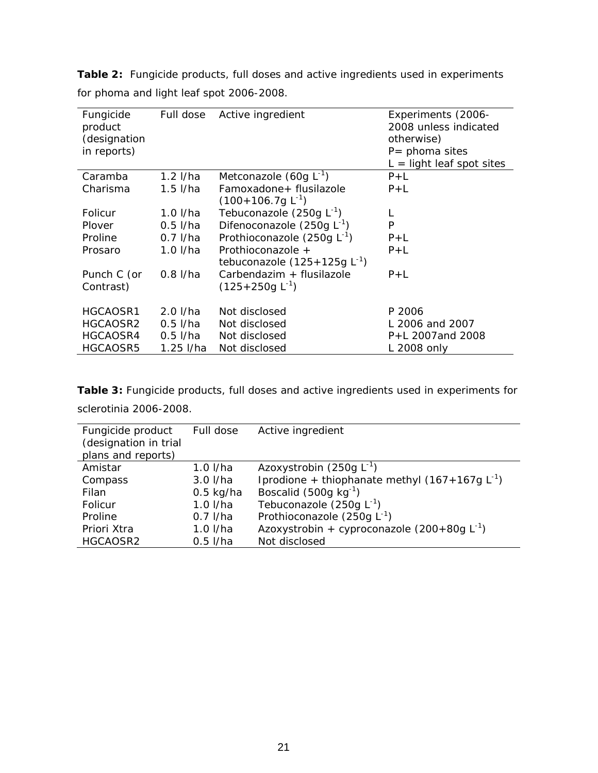| Fungicide<br>product<br>(designation<br>in reports) | Full dose  | Active ingredient                | Experiments (2006-<br>2008 unless indicated<br>otherwise)<br>$P =$ phoma sites<br>$L =$ light leaf spot sites |
|-----------------------------------------------------|------------|----------------------------------|---------------------------------------------------------------------------------------------------------------|
| Caramba                                             | $1.2$ I/ha | Metconazole $(60g L-1)$          | $P+L$                                                                                                         |
| Charisma                                            | $1.5$ I/ha | Famoxadone+ flusilazole          | $P+L$                                                                                                         |
|                                                     |            | $(100+106.7g L^{-1})$            |                                                                                                               |
| Folicur                                             | $1.0$ I/ha | Tebuconazole $(250g L^{-1})$     | L                                                                                                             |
| Plover                                              | $0.5$ I/ha | Difenoconazole (250g $L^{-1}$ )  | P                                                                                                             |
| Proline                                             | $0.7$ I/ha | Prothioconazole (250q $L^{-1}$ ) | $P+L$                                                                                                         |
| Prosaro                                             | $1.0$ I/ha | Prothioconazole +                | $P+L$                                                                                                         |
|                                                     |            | tebuconazole $(125+125g L-1)$    |                                                                                                               |
| Punch C (or                                         | $0.8$ I/ha | Carbendazim + flusilazole        | $P+L$                                                                                                         |
| Contrast)                                           |            | $(125+250q L^{-1})$              |                                                                                                               |
| HGCAOSR1                                            | $2.0$ I/ha | Not disclosed                    | P 2006                                                                                                        |
| HGCAOSR2                                            | $0.5$ I/ha | Not disclosed                    | L 2006 and 2007                                                                                               |
| HGCAOSR4                                            | $0.5$ I/ha | Not disclosed                    | P+L 2007and 2008                                                                                              |
| HGCAOSR5                                            | 1.25 I/ha  | Not disclosed                    | L 2008 only                                                                                                   |

**Table 2:** Fungicide products, full doses and active ingredients used in experiments for phoma and light leaf spot 2006-2008.

**Table 3:** Fungicide products, full doses and active ingredients used in experiments for sclerotinia 2006-2008.

| Fungicide product     | Full dose   | Active ingredient                                  |
|-----------------------|-------------|----------------------------------------------------|
| (designation in trial |             |                                                    |
| plans and reports)    |             |                                                    |
| Amistar               | $1.0$ I/ha  | Azoxystrobin (250g $L^{-1}$ )                      |
| Compass               | $3.0$ I/ha  | Iprodione + thiophanate methyl $(167+167q L^{-1})$ |
| Filan                 | $0.5$ kg/ha | Boscalid (500g $kg^{-1}$ )                         |
| Folicur               | $1.0$ I/ha  | Tebuconazole (250g $L^{-1}$ )                      |
| Proline               | $0.7$ I/ha  | Prothioconazole (250g $L^{-1}$ )                   |
| Priori Xtra           | $1.0$ I/ha  | Azoxystrobin + cyproconazole $(200+80g L^{-1})$    |
| HGCAOSR2              | $0.5$ I/ha  | Not disclosed                                      |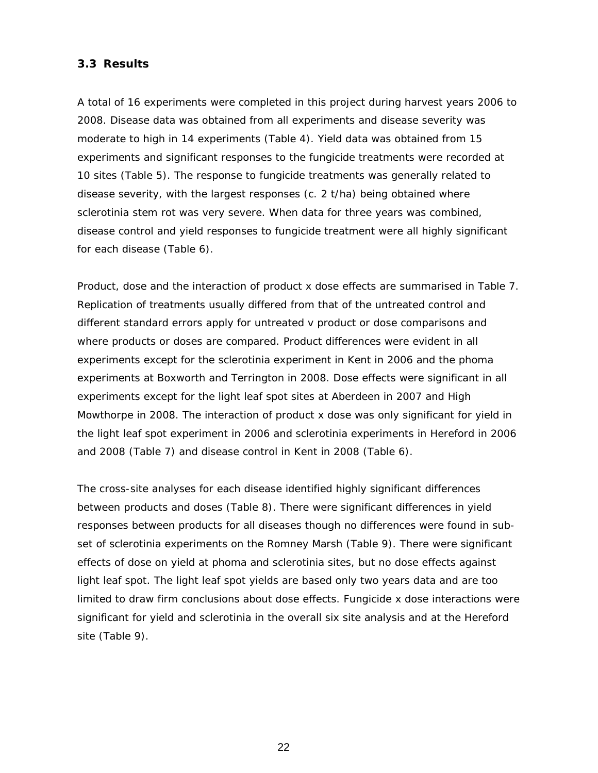## **3.3 Results**

A total of 16 experiments were completed in this project during harvest years 2006 to 2008. Disease data was obtained from all experiments and disease severity was moderate to high in 14 experiments (Table 4). Yield data was obtained from 15 experiments and significant responses to the fungicide treatments were recorded at 10 sites (Table 5). The response to fungicide treatments was generally related to disease severity, with the largest responses (c. 2 t/ha) being obtained where sclerotinia stem rot was very severe. When data for three years was combined, disease control and yield responses to fungicide treatment were all highly significant for each disease (Table 6).

Product, dose and the interaction of product x dose effects are summarised in Table 7. Replication of treatments usually differed from that of the untreated control and different standard errors apply for untreated v product or dose comparisons and where products or doses are compared. Product differences were evident in all experiments except for the sclerotinia experiment in Kent in 2006 and the phoma experiments at Boxworth and Terrington in 2008. Dose effects were significant in all experiments except for the light leaf spot sites at Aberdeen in 2007 and High Mowthorpe in 2008. The interaction of product x dose was only significant for yield in the light leaf spot experiment in 2006 and sclerotinia experiments in Hereford in 2006 and 2008 (Table 7) and disease control in Kent in 2008 (Table 6).

The cross-site analyses for each disease identified highly significant differences between products and doses (Table 8). There were significant differences in yield responses between products for all diseases though no differences were found in subset of sclerotinia experiments on the Romney Marsh (Table 9). There were significant effects of dose on yield at phoma and sclerotinia sites, but no dose effects against light leaf spot. The light leaf spot yields are based only two years data and are too limited to draw firm conclusions about dose effects. Fungicide x dose interactions were significant for yield and sclerotinia in the overall six site analysis and at the Hereford site (Table 9).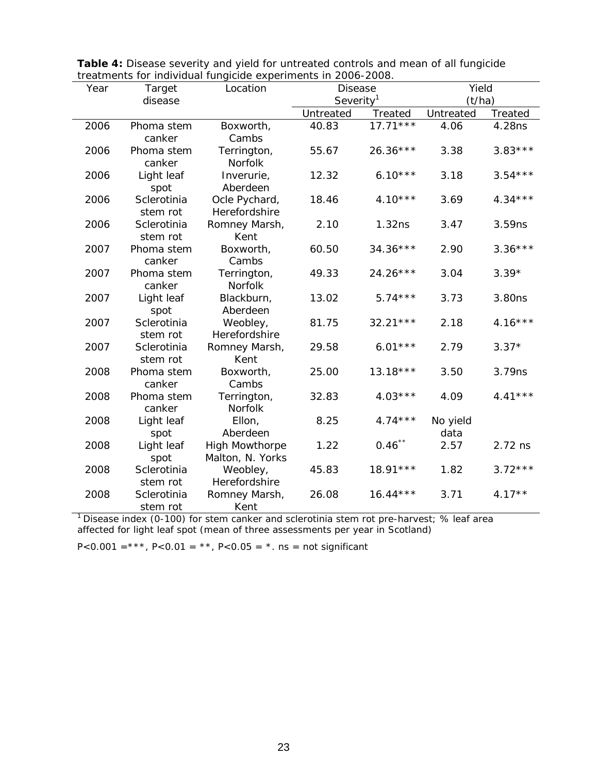|      |             | treatments for individual fungicide experiments in 2000-2000. |                       |            |           |           |  |
|------|-------------|---------------------------------------------------------------|-----------------------|------------|-----------|-----------|--|
| Year | Target      | Location                                                      | <b>Disease</b>        |            | Yield     |           |  |
|      | disease     |                                                               | Severity <sup>1</sup> |            | (t/ha)    |           |  |
|      |             |                                                               | Untreated             | Treated    | Untreated | Treated   |  |
| 2006 | Phoma stem  | Boxworth,                                                     | 40.83                 | $17.71***$ | 4.06      | 4.28ns    |  |
|      | canker      | Cambs                                                         |                       |            |           |           |  |
| 2006 | Phoma stem  | Terrington,                                                   | 55.67                 | $26.36***$ | 3.38      | $3.83***$ |  |
|      | canker      | Norfolk                                                       |                       |            |           |           |  |
| 2006 | Light leaf  | Inverurie,                                                    | 12.32                 | $6.10***$  | 3.18      | $3.54***$ |  |
|      | spot        | Aberdeen                                                      |                       |            |           |           |  |
| 2006 | Sclerotinia | Ocle Pychard,                                                 | 18.46                 | $4.10***$  | 3.69      | $4.34***$ |  |
|      | stem rot    | Herefordshire                                                 |                       |            |           |           |  |
| 2006 | Sclerotinia | Romney Marsh,                                                 | 2.10                  | 1.32ns     | 3.47      | 3.59ns    |  |
|      | stem rot    | Kent                                                          |                       |            |           |           |  |
| 2007 | Phoma stem  | Boxworth,                                                     | 60.50                 | $34.36***$ | 2.90      | $3.36***$ |  |
|      | canker      | Cambs                                                         |                       |            |           |           |  |
| 2007 | Phoma stem  | Terrington,                                                   | 49.33                 | 24.26***   | 3.04      | $3.39*$   |  |
|      | canker      | Norfolk                                                       |                       |            |           |           |  |
| 2007 | Light leaf  | Blackburn,                                                    | 13.02                 | $5.74***$  | 3.73      | 3.80ns    |  |
|      | spot        | Aberdeen                                                      |                       |            |           |           |  |
| 2007 | Sclerotinia | Weobley,                                                      | 81.75                 | $32.21***$ | 2.18      | $4.16***$ |  |
|      | stem rot    | Herefordshire                                                 |                       |            |           |           |  |
| 2007 | Sclerotinia | Romney Marsh,                                                 | 29.58                 | $6.01***$  | 2.79      | $3.37*$   |  |
|      | stem rot    | Kent                                                          |                       |            |           |           |  |
| 2008 | Phoma stem  | Boxworth,                                                     | 25.00                 | $13.18***$ | 3.50      | 3.79ns    |  |
|      | canker      | Cambs                                                         |                       |            |           |           |  |
| 2008 | Phoma stem  | Terrington,                                                   | 32.83                 | $4.03***$  | 4.09      | $4.41***$ |  |
|      | canker      | <b>Norfolk</b>                                                |                       |            |           |           |  |
| 2008 | Light leaf  | Ellon,                                                        | 8.25                  | $4.74***$  | No yield  |           |  |
|      | spot        | Aberdeen                                                      |                       |            | data      |           |  |
| 2008 | Light leaf  | <b>High Mowthorpe</b>                                         | 1.22                  | $0.46$ **  | 2.57      | $2.72$ ns |  |
|      | spot        | Malton, N. Yorks                                              |                       |            |           |           |  |
| 2008 | Sclerotinia | Weobley,                                                      | 45.83                 | $18.91***$ | 1.82      | $3.72***$ |  |
|      | stem rot    | Herefordshire                                                 |                       |            |           |           |  |
| 2008 | Sclerotinia | Romney Marsh,                                                 | 26.08                 | $16.44***$ | 3.71      | $4.17**$  |  |
|      | stem rot    | Kent                                                          |                       |            |           |           |  |

| <b>Table 4:</b> Disease severity and yield for untreated controls and mean of all fungicide |  |
|---------------------------------------------------------------------------------------------|--|
| treatments for individual fungicide experiments in 2006-2008.                               |  |

<sup>1</sup> Disease index (0-100) for stem canker and sclerotinia stem rot pre-harvest; % leaf area affected for light leaf spot (mean of three assessments per year in Scotland)

*P*<0.001 =\*\*\*, *P*<0.01 = \*\*, *P*<0.05 = \*. ns = not significant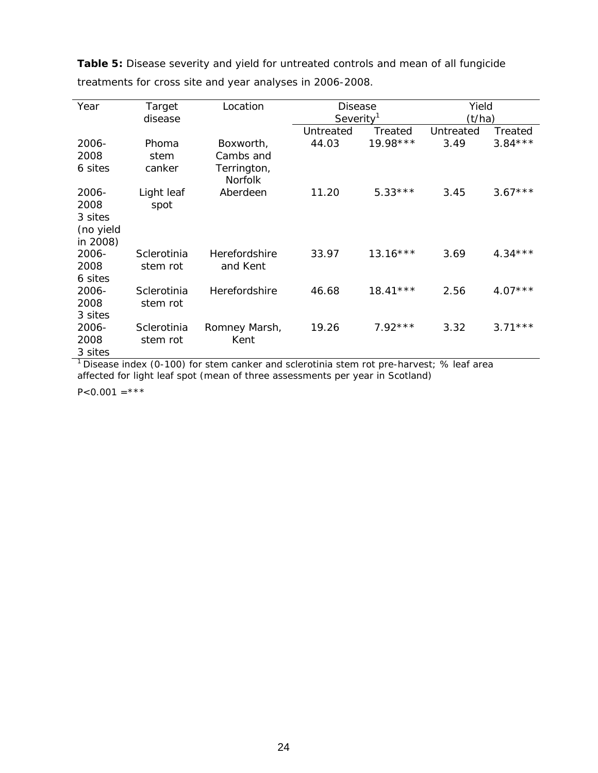| Year      | Target      | Location                      | <b>Disease</b>        |            | Yield     |           |
|-----------|-------------|-------------------------------|-----------------------|------------|-----------|-----------|
|           | disease     |                               | Severity <sup>1</sup> |            | (t/ha)    |           |
|           |             |                               | Untreated             | Treated    | Untreated | Treated   |
| 2006-     | Phoma       | Boxworth,                     | 44.03                 | $19.98***$ | 3.49      | $3.84***$ |
| 2008      | stem        | Cambs and                     |                       |            |           |           |
| 6 sites   | canker      | Terrington,<br><b>Norfolk</b> |                       |            |           |           |
| 2006-     | Light leaf  | Aberdeen                      | 11.20                 | $5.33***$  | 3.45      | $3.67***$ |
| 2008      | spot        |                               |                       |            |           |           |
| 3 sites   |             |                               |                       |            |           |           |
| (no yield |             |                               |                       |            |           |           |
| in 2008)  |             |                               |                       |            |           |           |
| 2006-     | Sclerotinia | Herefordshire                 | 33.97                 | $13.16***$ | 3.69      | $4.34***$ |
| 2008      | stem rot    | and Kent                      |                       |            |           |           |
| 6 sites   |             |                               |                       |            |           |           |
| 2006-     | Sclerotinia | Herefordshire                 | 46.68                 | $18.41***$ | 2.56      | $4.07***$ |
| 2008      | stem rot    |                               |                       |            |           |           |
| 3 sites   |             |                               |                       |            |           |           |
| 2006-     | Sclerotinia | Romney Marsh,                 | 19.26                 | $7.92***$  | 3.32      | $3.71***$ |
| 2008      | stem rot    | Kent                          |                       |            |           |           |
| 3 sites   |             |                               |                       |            |           |           |

**Table 5:** Disease severity and yield for untreated controls and mean of all fungicide treatments for cross site and year analyses in 2006-2008.

<sup>1</sup> Disease index (0-100) for stem canker and sclerotinia stem rot pre-harvest; % leaf area affected for light leaf spot (mean of three assessments per year in Scotland)

 $P<0.001 =***$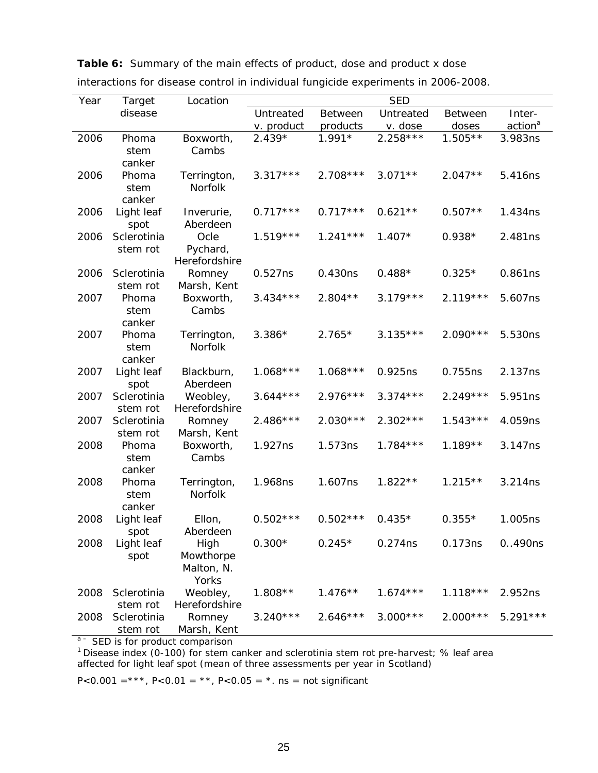|  |  |  | <b>Table 6:</b> Summary of the main effects of product, dose and product x dose |
|--|--|--|---------------------------------------------------------------------------------|
|--|--|--|---------------------------------------------------------------------------------|

| Year | Target                  | Location                                 |            |                | <b>SED</b> |                |                     |
|------|-------------------------|------------------------------------------|------------|----------------|------------|----------------|---------------------|
|      | disease                 |                                          | Untreated  | <b>Between</b> | Untreated  | <b>Between</b> | Inter-              |
|      |                         |                                          | v. product | products       | v. dose    | doses          | action <sup>a</sup> |
| 2006 | Phoma<br>stem<br>canker | Boxworth,<br>Cambs                       | $2.439*$   | $1.991*$       | $2.258***$ | $1.505**$      | 3.983ns             |
| 2006 | Phoma<br>stem<br>canker | Terrington,<br>Norfolk                   | $3.317***$ | $2.708***$     | $3.071**$  | $2.047**$      | 5.416ns             |
| 2006 | Light leaf<br>spot      | Inverurie,<br>Aberdeen                   | $0.717***$ | $0.717***$     | $0.621**$  | $0.507**$      | 1.434ns             |
| 2006 | Sclerotinia<br>stem rot | Ocle<br>Pychard,<br>Herefordshire        | $1.519***$ | $1.241***$     | $1.407*$   | $0.938*$       | 2.481ns             |
| 2006 | Sclerotinia<br>stem rot | Romney<br>Marsh, Kent                    | 0.527ns    | 0.430ns        | $0.488*$   | $0.325*$       | 0.861ns             |
| 2007 | Phoma<br>stem<br>canker | Boxworth,<br>Cambs                       | $3.434***$ | $2.804**$      | $3.179***$ | $2.119***$     | 5.607ns             |
| 2007 | Phoma<br>stem<br>canker | Terrington,<br><b>Norfolk</b>            | $3.386*$   | $2.765*$       | $3.135***$ | $2.090***$     | 5.530ns             |
| 2007 | Light leaf<br>spot      | Blackburn,<br>Aberdeen                   | $1.068***$ | $1.068***$     | 0.925ns    | 0.755ns        | 2.137ns             |
| 2007 | Sclerotinia<br>stem rot | Weobley,<br>Herefordshire                | $3.644***$ | $2.976***$     | $3.374***$ | $2.249***$     | 5.951ns             |
| 2007 | Sclerotinia<br>stem rot | Romney<br>Marsh, Kent                    | $2.486***$ | $2.030***$     | $2.302***$ | $1.543***$     | 4.059ns             |
| 2008 | Phoma<br>stem<br>canker | Boxworth,<br>Cambs                       | 1.927ns    | 1.573ns        | $1.784***$ | $1.189**$      | 3.147ns             |
| 2008 | Phoma<br>stem<br>canker | Terrington,<br>Norfolk                   | 1.968ns    | 1.607ns        | $1.822**$  | $1.215**$      | 3.214ns             |
| 2008 | Light leaf<br>spot      | Ellon,<br>Aberdeen                       | $0.502***$ | $0.502***$     | $0.435*$   | $0.355*$       | 1.005ns             |
| 2008 | Light leaf<br>spot      | High<br>Mowthorpe<br>Malton, N.<br>Yorks | $0.300*$   | $0.245*$       | 0.274ns    | 0.173ns        | 0.490ns             |
| 2008 | Sclerotinia<br>stem rot | Weobley,<br>Herefordshire                | $1.808**$  | $1.476**$      | $1.674***$ | $1.118***$     | 2.952ns             |
| 2008 | Sclerotinia<br>stem rot | Romney<br>Marsh, Kent                    | $3.240***$ | $2.646***$     | $3.000***$ | $2.000***$     | $5.291***$          |

interactions for disease control in individual fungicide experiments in 2006-2008.

<sup>a –</sup> SED is for product comparison<br><sup>1</sup> Disease index (0-100) for stem canker and sclerotinia stem rot pre-harvest; % leaf area affected for light leaf spot (mean of three assessments per year in Scotland)

*P*<0.001 =\*\*\*, *P*<0.01 = \*\*, *P*<0.05 = \*. ns = not significant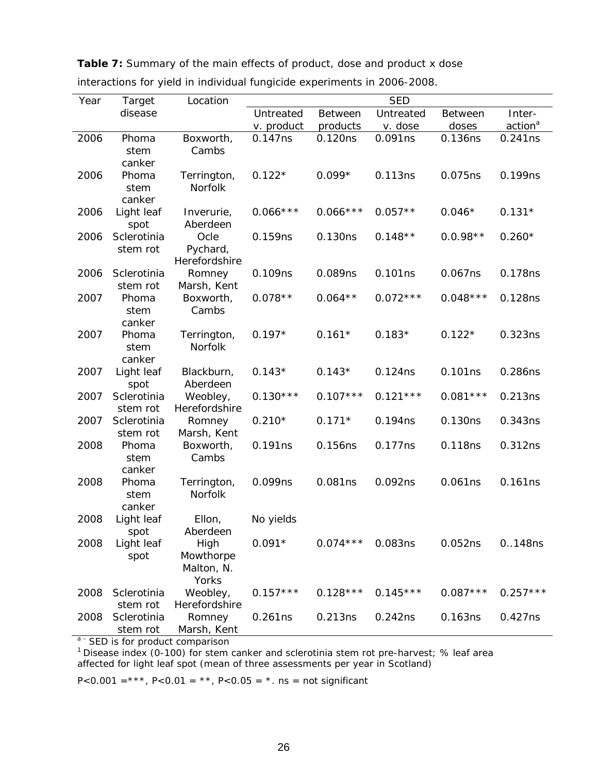| disease<br>Untreated<br>Untreated<br>Inter-<br><b>Between</b><br><b>Between</b><br>action <sup>a</sup><br>v. product<br>products<br>v. dose<br>doses<br>2006<br>Boxworth,<br>0.120ns<br>0.091ns<br>0.136ns<br>0.241ns<br>Phoma<br>0.147ns<br>Cambs<br>stem<br>canker<br>$0.122*$<br>0.113ns<br>2006<br>Terrington,<br>$0.099*$<br>0.075ns<br>0.199ns<br>Phoma<br><b>Norfolk</b><br>stem<br>canker<br>$0.066***$<br>$0.066***$<br>$0.057**$<br>$0.131*$<br>Light leaf<br>$0.046*$<br>2006<br>Inverurie,<br>Aberdeen<br>spot<br>Sclerotinia<br>$0.148**$<br>$0.0.98**$<br>2006<br>Ocle<br>0.159ns<br>0.130ns<br>$0.260*$<br>Pychard,<br>stem rot<br>Herefordshire<br>2006<br>Sclerotinia<br>0.089ns<br>0.101ns<br>0.178ns<br>0.109ns<br>0.067ns<br>Romney<br>stem rot<br>Marsh, Kent<br>$0.064**$<br>$0.072***$<br>$0.048***$<br>$0.078**$<br>0.128ns<br>2007<br>Phoma<br>Boxworth,<br>Cambs<br>stem<br>canker | Year | Target | Location |  | <b>SED</b> |  |
|--------------------------------------------------------------------------------------------------------------------------------------------------------------------------------------------------------------------------------------------------------------------------------------------------------------------------------------------------------------------------------------------------------------------------------------------------------------------------------------------------------------------------------------------------------------------------------------------------------------------------------------------------------------------------------------------------------------------------------------------------------------------------------------------------------------------------------------------------------------------------------------------------------------|------|--------|----------|--|------------|--|
|                                                                                                                                                                                                                                                                                                                                                                                                                                                                                                                                                                                                                                                                                                                                                                                                                                                                                                              |      |        |          |  |            |  |
|                                                                                                                                                                                                                                                                                                                                                                                                                                                                                                                                                                                                                                                                                                                                                                                                                                                                                                              |      |        |          |  |            |  |
|                                                                                                                                                                                                                                                                                                                                                                                                                                                                                                                                                                                                                                                                                                                                                                                                                                                                                                              |      |        |          |  |            |  |
|                                                                                                                                                                                                                                                                                                                                                                                                                                                                                                                                                                                                                                                                                                                                                                                                                                                                                                              |      |        |          |  |            |  |
|                                                                                                                                                                                                                                                                                                                                                                                                                                                                                                                                                                                                                                                                                                                                                                                                                                                                                                              |      |        |          |  |            |  |
|                                                                                                                                                                                                                                                                                                                                                                                                                                                                                                                                                                                                                                                                                                                                                                                                                                                                                                              |      |        |          |  |            |  |
|                                                                                                                                                                                                                                                                                                                                                                                                                                                                                                                                                                                                                                                                                                                                                                                                                                                                                                              |      |        |          |  |            |  |
|                                                                                                                                                                                                                                                                                                                                                                                                                                                                                                                                                                                                                                                                                                                                                                                                                                                                                                              |      |        |          |  |            |  |
|                                                                                                                                                                                                                                                                                                                                                                                                                                                                                                                                                                                                                                                                                                                                                                                                                                                                                                              |      |        |          |  |            |  |
|                                                                                                                                                                                                                                                                                                                                                                                                                                                                                                                                                                                                                                                                                                                                                                                                                                                                                                              |      |        |          |  |            |  |
|                                                                                                                                                                                                                                                                                                                                                                                                                                                                                                                                                                                                                                                                                                                                                                                                                                                                                                              |      |        |          |  |            |  |
|                                                                                                                                                                                                                                                                                                                                                                                                                                                                                                                                                                                                                                                                                                                                                                                                                                                                                                              |      |        |          |  |            |  |
|                                                                                                                                                                                                                                                                                                                                                                                                                                                                                                                                                                                                                                                                                                                                                                                                                                                                                                              |      |        |          |  |            |  |
|                                                                                                                                                                                                                                                                                                                                                                                                                                                                                                                                                                                                                                                                                                                                                                                                                                                                                                              |      |        |          |  |            |  |
|                                                                                                                                                                                                                                                                                                                                                                                                                                                                                                                                                                                                                                                                                                                                                                                                                                                                                                              |      |        |          |  |            |  |
|                                                                                                                                                                                                                                                                                                                                                                                                                                                                                                                                                                                                                                                                                                                                                                                                                                                                                                              |      |        |          |  |            |  |
|                                                                                                                                                                                                                                                                                                                                                                                                                                                                                                                                                                                                                                                                                                                                                                                                                                                                                                              |      |        |          |  |            |  |
|                                                                                                                                                                                                                                                                                                                                                                                                                                                                                                                                                                                                                                                                                                                                                                                                                                                                                                              |      |        |          |  |            |  |
| $0.197*$<br>$0.183*$<br>2007<br>$0.161*$<br>$0.122*$<br>0.323ns<br>Phoma<br>Terrington,                                                                                                                                                                                                                                                                                                                                                                                                                                                                                                                                                                                                                                                                                                                                                                                                                      |      |        |          |  |            |  |
| <b>Norfolk</b><br>stem                                                                                                                                                                                                                                                                                                                                                                                                                                                                                                                                                                                                                                                                                                                                                                                                                                                                                       |      |        |          |  |            |  |
| canker                                                                                                                                                                                                                                                                                                                                                                                                                                                                                                                                                                                                                                                                                                                                                                                                                                                                                                       |      |        |          |  |            |  |
| 0.101ns<br>2007<br>Light leaf<br>Blackburn,<br>$0.143*$<br>$0.143*$<br>0.124ns<br>0.286ns                                                                                                                                                                                                                                                                                                                                                                                                                                                                                                                                                                                                                                                                                                                                                                                                                    |      |        |          |  |            |  |
| Aberdeen<br>spot                                                                                                                                                                                                                                                                                                                                                                                                                                                                                                                                                                                                                                                                                                                                                                                                                                                                                             |      |        |          |  |            |  |
| $0.130***$<br>$0.107***$<br>$0.121***$<br>$0.081***$<br>2007<br>Sclerotinia<br>Weobley,<br>0.213ns                                                                                                                                                                                                                                                                                                                                                                                                                                                                                                                                                                                                                                                                                                                                                                                                           |      |        |          |  |            |  |
| Herefordshire<br>stem rot                                                                                                                                                                                                                                                                                                                                                                                                                                                                                                                                                                                                                                                                                                                                                                                                                                                                                    |      |        |          |  |            |  |
| 0.130ns<br>2007<br>Sclerotinia<br>$0.210*$<br>$0.171*$<br>0.194ns<br>0.343ns<br>Romney                                                                                                                                                                                                                                                                                                                                                                                                                                                                                                                                                                                                                                                                                                                                                                                                                       |      |        |          |  |            |  |
| Marsh, Kent<br>stem rot<br>0.191ns<br>0.156ns<br>0.177ns<br>0.118ns<br>0.312ns<br>2008<br>Phoma                                                                                                                                                                                                                                                                                                                                                                                                                                                                                                                                                                                                                                                                                                                                                                                                              |      |        |          |  |            |  |
| Boxworth,<br>stem<br>Cambs                                                                                                                                                                                                                                                                                                                                                                                                                                                                                                                                                                                                                                                                                                                                                                                                                                                                                   |      |        |          |  |            |  |
| canker                                                                                                                                                                                                                                                                                                                                                                                                                                                                                                                                                                                                                                                                                                                                                                                                                                                                                                       |      |        |          |  |            |  |
| 0.081ns<br>0.092ns<br>0.061ns<br>0.161ns<br>2008<br>0.099ns<br>Phoma<br>Terrington,                                                                                                                                                                                                                                                                                                                                                                                                                                                                                                                                                                                                                                                                                                                                                                                                                          |      |        |          |  |            |  |
| Norfolk<br>stem                                                                                                                                                                                                                                                                                                                                                                                                                                                                                                                                                                                                                                                                                                                                                                                                                                                                                              |      |        |          |  |            |  |
| canker                                                                                                                                                                                                                                                                                                                                                                                                                                                                                                                                                                                                                                                                                                                                                                                                                                                                                                       |      |        |          |  |            |  |
| 2008<br>Light leaf<br>Ellon,<br>No yields                                                                                                                                                                                                                                                                                                                                                                                                                                                                                                                                                                                                                                                                                                                                                                                                                                                                    |      |        |          |  |            |  |
| Aberdeen<br>spot                                                                                                                                                                                                                                                                                                                                                                                                                                                                                                                                                                                                                                                                                                                                                                                                                                                                                             |      |        |          |  |            |  |
| 2008<br>Light leaf<br>$0.091*$<br>$0.074***$<br>0.083ns<br>0.052ns<br>High<br>0148ns                                                                                                                                                                                                                                                                                                                                                                                                                                                                                                                                                                                                                                                                                                                                                                                                                         |      |        |          |  |            |  |
| Mowthorpe<br>spot                                                                                                                                                                                                                                                                                                                                                                                                                                                                                                                                                                                                                                                                                                                                                                                                                                                                                            |      |        |          |  |            |  |
| Malton, N.                                                                                                                                                                                                                                                                                                                                                                                                                                                                                                                                                                                                                                                                                                                                                                                                                                                                                                   |      |        |          |  |            |  |
| Yorks                                                                                                                                                                                                                                                                                                                                                                                                                                                                                                                                                                                                                                                                                                                                                                                                                                                                                                        |      |        |          |  |            |  |
| $0.157***$<br>$0.145***$<br>$0.087***$<br>$0.257***$<br>Weobley,<br>$0.128***$<br>2008<br>Sclerotinia                                                                                                                                                                                                                                                                                                                                                                                                                                                                                                                                                                                                                                                                                                                                                                                                        |      |        |          |  |            |  |
| Herefordshire<br>stem rot                                                                                                                                                                                                                                                                                                                                                                                                                                                                                                                                                                                                                                                                                                                                                                                                                                                                                    |      |        |          |  |            |  |
| Sclerotinia<br>0.213ns<br>0.242ns<br>0.163ns<br>2008<br>Romney<br>0.261ns<br>0.427ns                                                                                                                                                                                                                                                                                                                                                                                                                                                                                                                                                                                                                                                                                                                                                                                                                         |      |        |          |  |            |  |
| Marsh, Kent<br>stem rot                                                                                                                                                                                                                                                                                                                                                                                                                                                                                                                                                                                                                                                                                                                                                                                                                                                                                      |      |        |          |  |            |  |

**Table 7:** Summary of the main effects of product, dose and product x dose

| interactions for yield in individual fungicide experiments in 2006-2008. |  |  |  |
|--------------------------------------------------------------------------|--|--|--|
|                                                                          |  |  |  |

<sup>a –</sup> SED is for product comparison<br><sup>1</sup> Disease index (0-100) for stem canker and sclerotinia stem rot pre-harvest; % leaf area affected for light leaf spot (mean of three assessments per year in Scotland)

*P*<0.001 =\*\*\*, *P*<0.01 = \*\*, *P*<0.05 = \*. ns = not significant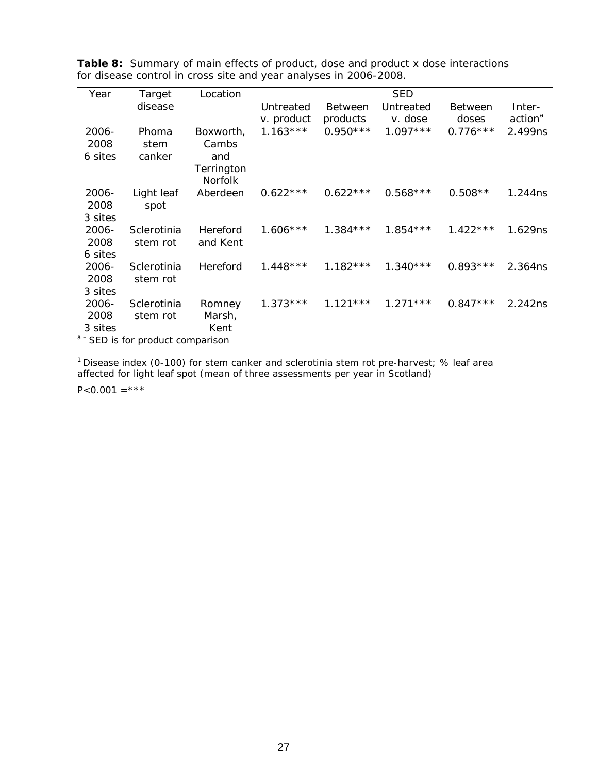| Year    | Target      | Location       |            |                | <b>SED</b> |                |                     |
|---------|-------------|----------------|------------|----------------|------------|----------------|---------------------|
|         | disease     |                | Untreated  | <b>Between</b> | Untreated  | <b>Between</b> | Inter-              |
|         |             |                | v. product | products       | v. dose    | doses          | action <sup>a</sup> |
| 2006-   | Phoma       | Boxworth,      | $1.163***$ | $0.950***$     | $1.097***$ | $0.776***$     | 2.499ns             |
| 2008    | stem        | Cambs          |            |                |            |                |                     |
| 6 sites | canker      | and            |            |                |            |                |                     |
|         |             | Terrington     |            |                |            |                |                     |
|         |             | <b>Norfolk</b> |            |                |            |                |                     |
| 2006-   | Light leaf  | Aberdeen       | $0.622***$ | $0.622***$     | $0.568***$ | $0.508**$      | 1.244ns             |
| 2008    | spot        |                |            |                |            |                |                     |
| 3 sites |             |                |            |                |            |                |                     |
| 2006-   | Sclerotinia | Hereford       | $1.606***$ | $1.384***$     | $1.854***$ | $1.422***$     | 1.629ns             |
| 2008    | stem rot    | and Kent       |            |                |            |                |                     |
| 6 sites |             |                |            |                |            |                |                     |
| 2006-   | Sclerotinia | Hereford       | $1.448***$ | $1.182***$     | $1.340***$ | $0.893***$     | 2.364ns             |
| 2008    | stem rot    |                |            |                |            |                |                     |
| 3 sites |             |                |            |                |            |                |                     |
| 2006-   | Sclerotinia | Romney         | $1.373***$ | $1.121***$     | $1.271***$ | $0.847***$     | 2.242ns             |
| 2008    | stem rot    | Marsh,         |            |                |            |                |                     |
| 3 sites |             | Kent           |            |                |            |                |                     |

**Table 8:** Summary of main effects of product, dose and product x dose interactions for disease control in cross site and year analyses in 2006-2008.

a<sup>-</sup>SED is for product comparison

<sup>1</sup> Disease index (0-100) for stem canker and sclerotinia stem rot pre-harvest; % leaf area affected for light leaf spot (mean of three assessments per year in Scotland)

 $P<0.001 =***$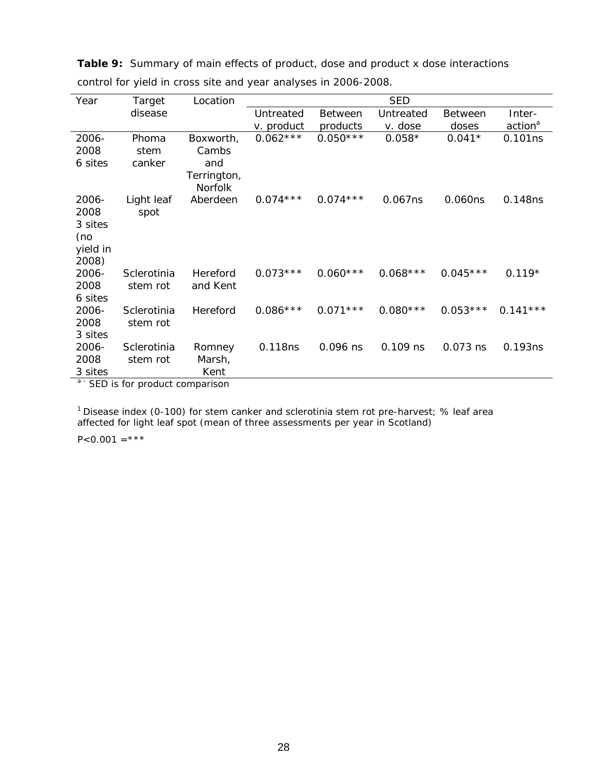| Year          | Target                  | Location               |            |                | <b>SED</b> |                |                     |
|---------------|-------------------------|------------------------|------------|----------------|------------|----------------|---------------------|
|               | disease                 |                        | Untreated  | <b>Between</b> | Untreated  | <b>Between</b> | Inter-              |
|               |                         |                        | v. product | products       | v. dose    | doses          | action <sup>a</sup> |
| 2006-         | Phoma                   | Boxworth,              | $0.062***$ | $0.050***$     | $0.058*$   | $0.041*$       | 0.101ns             |
| 2008          | stem                    | Cambs                  |            |                |            |                |                     |
| 6 sites       | canker                  | and                    |            |                |            |                |                     |
|               |                         | Terrington,<br>Norfolk |            |                |            |                |                     |
| 2006-         | Light leaf              | Aberdeen               | $0.074***$ | $0.074***$     | 0.067ns    | 0.060ns        | 0.148ns             |
| 2008          | spot                    |                        |            |                |            |                |                     |
| 3 sites       |                         |                        |            |                |            |                |                     |
| (no           |                         |                        |            |                |            |                |                     |
| yield in      |                         |                        |            |                |            |                |                     |
| 2008)         |                         |                        |            |                |            |                |                     |
| 2006-         | Sclerotinia             | Hereford               | $0.073***$ | $0.060***$     | $0.068***$ | $0.045***$     | $0.119*$            |
| 2008          | stem rot                | and Kent               |            |                |            |                |                     |
| 6 sites       |                         |                        |            |                | $0.080***$ | $0.053***$     |                     |
| 2006-<br>2008 | Sclerotinia<br>stem rot | Hereford               | $0.086***$ | $0.071***$     |            |                | $0.141***$          |
| 3 sites       |                         |                        |            |                |            |                |                     |
| 2006-         | Sclerotinia             | Romney                 | 0.118ns    | 0.096 ns       | $0.109$ ns | 0.073 ns       | 0.193ns             |
| 2008          | stem rot                | Marsh,                 |            |                |            |                |                     |
| 3 sites       |                         | Kent                   |            |                |            |                |                     |
|               | $a - c - c$             |                        |            |                |            |                |                     |

**Table 9:** Summary of main effects of product, dose and product x dose interactions control for yield in cross site and year analyses in 2006-2008.

SED is for product comparison

<sup>1</sup> Disease index (0-100) for stem canker and sclerotinia stem rot pre-harvest; % leaf area affected for light leaf spot (mean of three assessments per year in Scotland)

 $P<0.001 =***$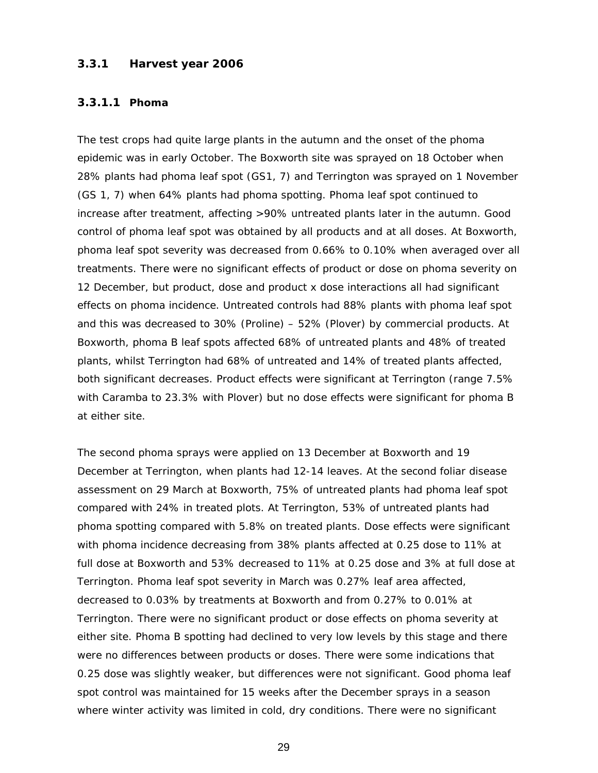## **3.3.1 Harvest year 2006**

#### **3.3.1.1 Phoma**

The test crops had quite large plants in the autumn and the onset of the phoma epidemic was in early October. The Boxworth site was sprayed on 18 October when 28% plants had phoma leaf spot (GS1, 7) and Terrington was sprayed on 1 November (GS 1, 7) when 64% plants had phoma spotting. Phoma leaf spot continued to increase after treatment, affecting >90% untreated plants later in the autumn. Good control of phoma leaf spot was obtained by all products and at all doses. At Boxworth, phoma leaf spot severity was decreased from 0.66% to 0.10% when averaged over all treatments. There were no significant effects of product or dose on phoma severity on 12 December, but product, dose and product x dose interactions all had significant effects on phoma incidence. Untreated controls had 88% plants with phoma leaf spot and this was decreased to 30% (Proline) – 52% (Plover) by commercial products. At Boxworth, phoma B leaf spots affected 68% of untreated plants and 48% of treated plants, whilst Terrington had 68% of untreated and 14% of treated plants affected, both significant decreases. Product effects were significant at Terrington (range 7.5% with Caramba to 23.3% with Plover) but no dose effects were significant for phoma B at either site.

The second phoma sprays were applied on 13 December at Boxworth and 19 December at Terrington, when plants had 12-14 leaves. At the second foliar disease assessment on 29 March at Boxworth, 75% of untreated plants had phoma leaf spot compared with 24% in treated plots. At Terrington, 53% of untreated plants had phoma spotting compared with 5.8% on treated plants. Dose effects were significant with phoma incidence decreasing from 38% plants affected at 0.25 dose to 11% at full dose at Boxworth and 53% decreased to 11% at 0.25 dose and 3% at full dose at Terrington. Phoma leaf spot severity in March was 0.27% leaf area affected, decreased to 0.03% by treatments at Boxworth and from 0.27% to 0.01% at Terrington. There were no significant product or dose effects on phoma severity at either site. Phoma B spotting had declined to very low levels by this stage and there were no differences between products or doses. There were some indications that 0.25 dose was slightly weaker, but differences were not significant. Good phoma leaf spot control was maintained for 15 weeks after the December sprays in a season where winter activity was limited in cold, dry conditions. There were no significant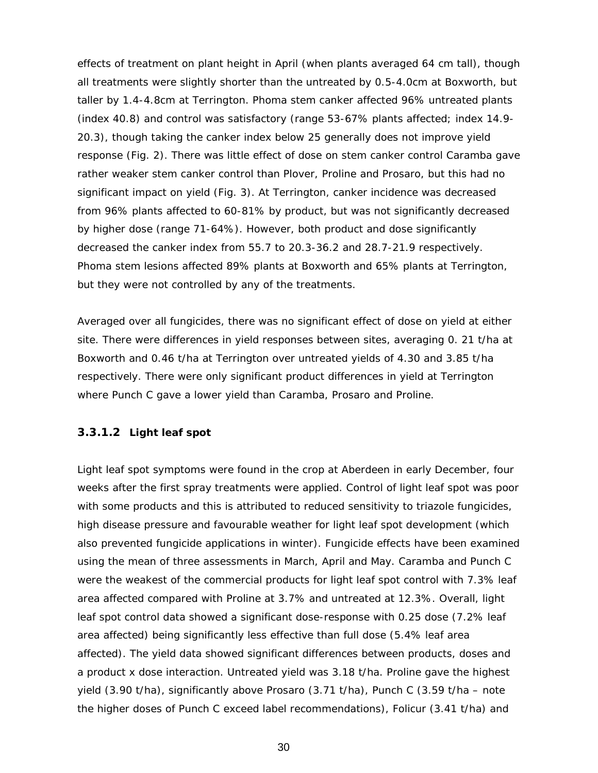effects of treatment on plant height in April (when plants averaged 64 cm tall), though all treatments were slightly shorter than the untreated by 0.5-4.0cm at Boxworth, but taller by 1.4-4.8cm at Terrington. Phoma stem canker affected 96% untreated plants (index 40.8) and control was satisfactory (range 53-67% plants affected; index 14.9- 20.3), though taking the canker index below 25 generally does not improve yield response (Fig. 2). There was little effect of dose on stem canker control Caramba gave rather weaker stem canker control than Plover, Proline and Prosaro, but this had no significant impact on yield (Fig. 3). At Terrington, canker incidence was decreased from 96% plants affected to 60-81% by product, but was not significantly decreased by higher dose (range 71-64%). However, both product and dose significantly decreased the canker index from 55.7 to 20.3-36.2 and 28.7-21.9 respectively. Phoma stem lesions affected 89% plants at Boxworth and 65% plants at Terrington, but they were not controlled by any of the treatments.

Averaged over all fungicides, there was no significant effect of dose on yield at either site. There were differences in yield responses between sites, averaging 0. 21 t/ha at Boxworth and 0.46 t/ha at Terrington over untreated yields of 4.30 and 3.85 t/ha respectively. There were only significant product differences in yield at Terrington where Punch C gave a lower yield than Caramba, Prosaro and Proline.

#### **3.3.1.2 Light leaf spot**

Light leaf spot symptoms were found in the crop at Aberdeen in early December, four weeks after the first spray treatments were applied. Control of light leaf spot was poor with some products and this is attributed to reduced sensitivity to triazole fungicides, high disease pressure and favourable weather for light leaf spot development (which also prevented fungicide applications in winter). Fungicide effects have been examined using the mean of three assessments in March, April and May. Caramba and Punch C were the weakest of the commercial products for light leaf spot control with 7.3% leaf area affected compared with Proline at 3.7% and untreated at 12.3%. Overall, light leaf spot control data showed a significant dose-response with 0.25 dose (7.2% leaf area affected) being significantly less effective than full dose (5.4% leaf area affected). The yield data showed significant differences between products, doses and a product x dose interaction. Untreated yield was 3.18 t/ha. Proline gave the highest yield (3.90 t/ha), significantly above Prosaro (3.71 t/ha), Punch C (3.59 t/ha – note the higher doses of Punch C exceed label recommendations), Folicur (3.41 t/ha) and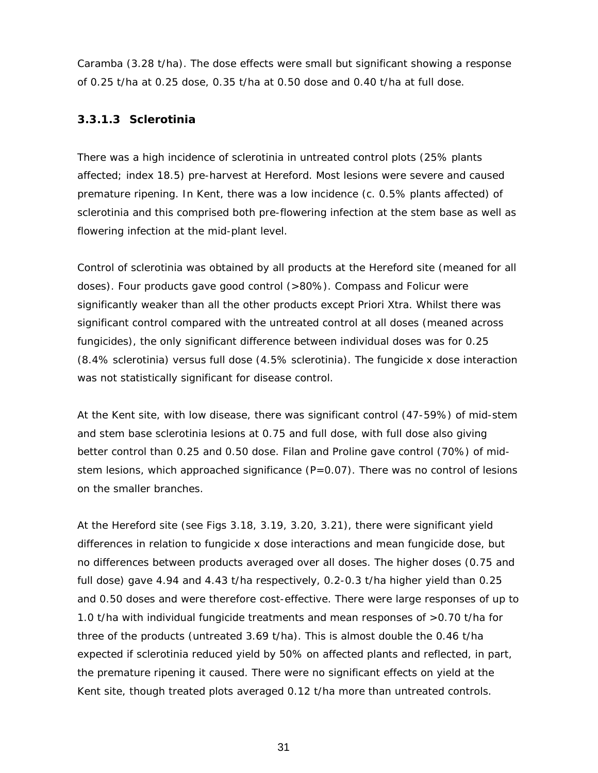Caramba (3.28 t/ha). The dose effects were small but significant showing a response of 0.25 t/ha at 0.25 dose, 0.35 t/ha at 0.50 dose and 0.40 t/ha at full dose.

## **3.3.1.3 Sclerotinia**

There was a high incidence of sclerotinia in untreated control plots (25% plants affected; index 18.5) pre-harvest at Hereford. Most lesions were severe and caused premature ripening. In Kent, there was a low incidence (c. 0.5% plants affected) of sclerotinia and this comprised both pre-flowering infection at the stem base as well as flowering infection at the mid-plant level.

Control of sclerotinia was obtained by all products at the Hereford site (meaned for all doses). Four products gave good control (>80%). Compass and Folicur were significantly weaker than all the other products except Priori Xtra. Whilst there was significant control compared with the untreated control at all doses (meaned across fungicides), the only significant difference between individual doses was for 0.25 (8.4% sclerotinia) versus full dose (4.5% sclerotinia). The fungicide x dose interaction was not statistically significant for disease control.

At the Kent site, with low disease, there was significant control (47-59%) of mid-stem and stem base sclerotinia lesions at 0.75 and full dose, with full dose also giving better control than 0.25 and 0.50 dose. Filan and Proline gave control (70%) of midstem lesions, which approached significance  $(P=0.07)$ . There was no control of lesions on the smaller branches.

At the Hereford site (see Figs 3.18, 3.19, 3.20, 3.21), there were significant yield differences in relation to fungicide x dose interactions and mean fungicide dose, but no differences between products averaged over all doses. The higher doses (0.75 and full dose) gave 4.94 and 4.43 t/ha respectively, 0.2-0.3 t/ha higher yield than 0.25 and 0.50 doses and were therefore cost-effective. There were large responses of up to 1.0 t/ha with individual fungicide treatments and mean responses of >0.70 t/ha for three of the products (untreated 3.69 t/ha). This is almost double the 0.46 t/ha expected if sclerotinia reduced yield by 50% on affected plants and reflected, in part, the premature ripening it caused. There were no significant effects on yield at the Kent site, though treated plots averaged 0.12 t/ha more than untreated controls.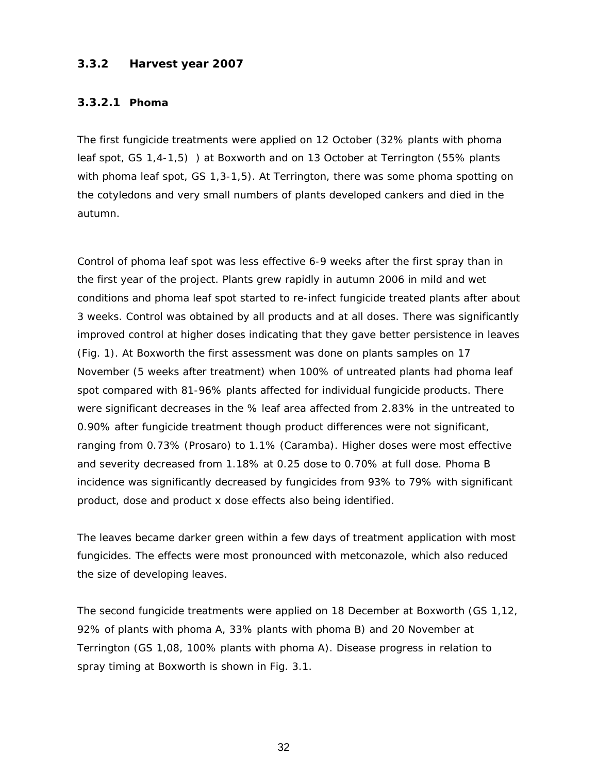## **3.3.2 Harvest year 2007**

#### **3.3.2.1 Phoma**

The first fungicide treatments were applied on 12 October (32% plants with phoma leaf spot, GS 1,4-1,5) ) at Boxworth and on 13 October at Terrington (55% plants with phoma leaf spot, GS 1,3-1,5). At Terrington, there was some phoma spotting on the cotyledons and very small numbers of plants developed cankers and died in the autumn.

Control of phoma leaf spot was less effective 6-9 weeks after the first spray than in the first year of the project. Plants grew rapidly in autumn 2006 in mild and wet conditions and phoma leaf spot started to re-infect fungicide treated plants after about 3 weeks. Control was obtained by all products and at all doses. There was significantly improved control at higher doses indicating that they gave better persistence in leaves (Fig. 1). At Boxworth the first assessment was done on plants samples on 17 November (5 weeks after treatment) when 100% of untreated plants had phoma leaf spot compared with 81-96% plants affected for individual fungicide products. There were significant decreases in the % leaf area affected from 2.83% in the untreated to 0.90% after fungicide treatment though product differences were not significant, ranging from 0.73% (Prosaro) to 1.1% (Caramba). Higher doses were most effective and severity decreased from 1.18% at 0.25 dose to 0.70% at full dose. Phoma B incidence was significantly decreased by fungicides from 93% to 79% with significant product, dose and product x dose effects also being identified.

The leaves became darker green within a few days of treatment application with most fungicides. The effects were most pronounced with metconazole, which also reduced the size of developing leaves.

The second fungicide treatments were applied on 18 December at Boxworth (GS 1,12, 92% of plants with phoma A, 33% plants with phoma B) and 20 November at Terrington (GS 1,08, 100% plants with phoma A). Disease progress in relation to spray timing at Boxworth is shown in Fig. 3.1.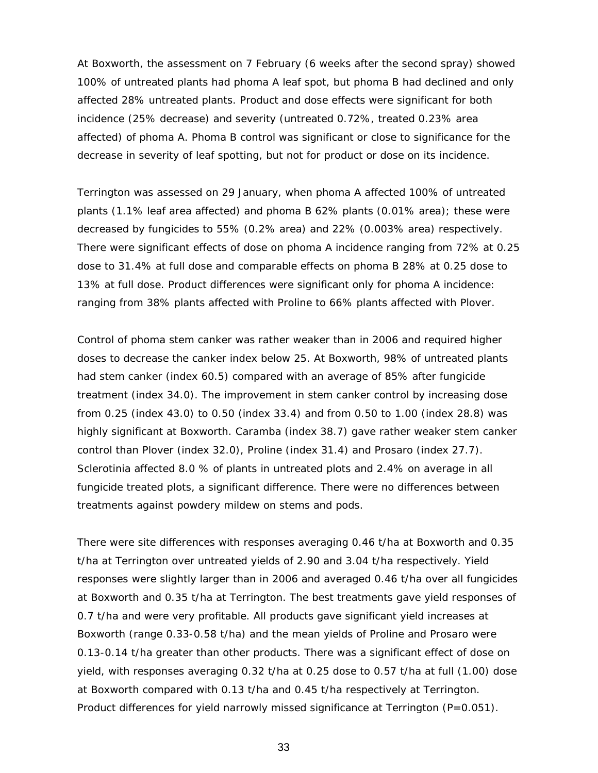At Boxworth, the assessment on 7 February (6 weeks after the second spray) showed 100% of untreated plants had phoma A leaf spot, but phoma B had declined and only affected 28% untreated plants. Product and dose effects were significant for both incidence (25% decrease) and severity (untreated 0.72%, treated 0.23% area affected) of phoma A. Phoma B control was significant or close to significance for the decrease in severity of leaf spotting, but not for product or dose on its incidence.

Terrington was assessed on 29 January, when phoma A affected 100% of untreated plants (1.1% leaf area affected) and phoma B 62% plants (0.01% area); these were decreased by fungicides to 55% (0.2% area) and 22% (0.003% area) respectively. There were significant effects of dose on phoma A incidence ranging from 72% at 0.25 dose to 31.4% at full dose and comparable effects on phoma B 28% at 0.25 dose to 13% at full dose. Product differences were significant only for phoma A incidence: ranging from 38% plants affected with Proline to 66% plants affected with Plover.

Control of phoma stem canker was rather weaker than in 2006 and required higher doses to decrease the canker index below 25. At Boxworth, 98% of untreated plants had stem canker (index 60.5) compared with an average of 85% after fungicide treatment (index 34.0). The improvement in stem canker control by increasing dose from 0.25 (index 43.0) to 0.50 (index 33.4) and from 0.50 to 1.00 (index 28.8) was highly significant at Boxworth. Caramba (index 38.7) gave rather weaker stem canker control than Plover (index 32.0), Proline (index 31.4) and Prosaro (index 27.7). Sclerotinia affected 8.0 % of plants in untreated plots and 2.4% on average in all fungicide treated plots, a significant difference. There were no differences between treatments against powdery mildew on stems and pods.

There were site differences with responses averaging 0.46 t/ha at Boxworth and 0.35 t/ha at Terrington over untreated yields of 2.90 and 3.04 t/ha respectively. Yield responses were slightly larger than in 2006 and averaged 0.46 t/ha over all fungicides at Boxworth and 0.35 t/ha at Terrington. The best treatments gave yield responses of 0.7 t/ha and were very profitable. All products gave significant yield increases at Boxworth (range 0.33-0.58 t/ha) and the mean yields of Proline and Prosaro were 0.13-0.14 t/ha greater than other products. There was a significant effect of dose on yield, with responses averaging 0.32 t/ha at 0.25 dose to 0.57 t/ha at full (1.00) dose at Boxworth compared with 0.13 t/ha and 0.45 t/ha respectively at Terrington. Product differences for yield narrowly missed significance at Terrington (*P*=0.051).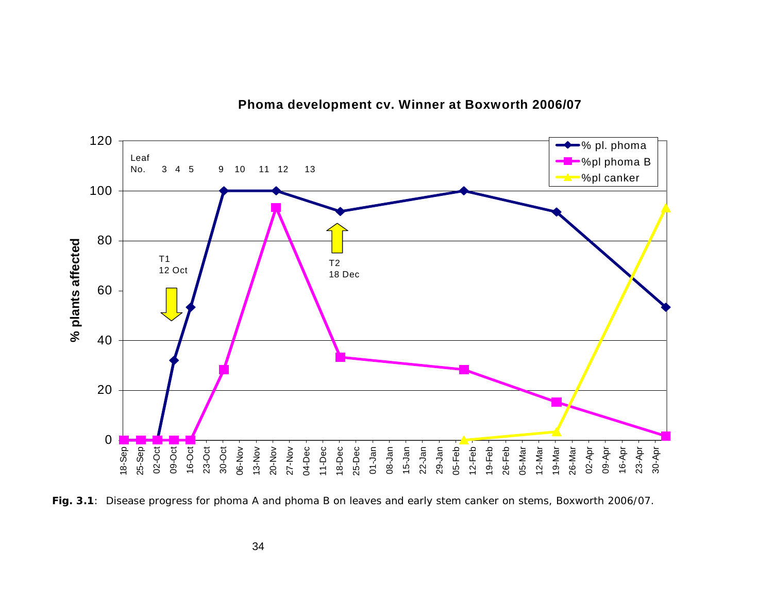

## **Phoma development cv. Winner at Boxworth 2006/07**

**Fig. 3.1**: Disease progress for phoma A and phoma B on leaves and early stem canker on stems, Boxworth 2006/07.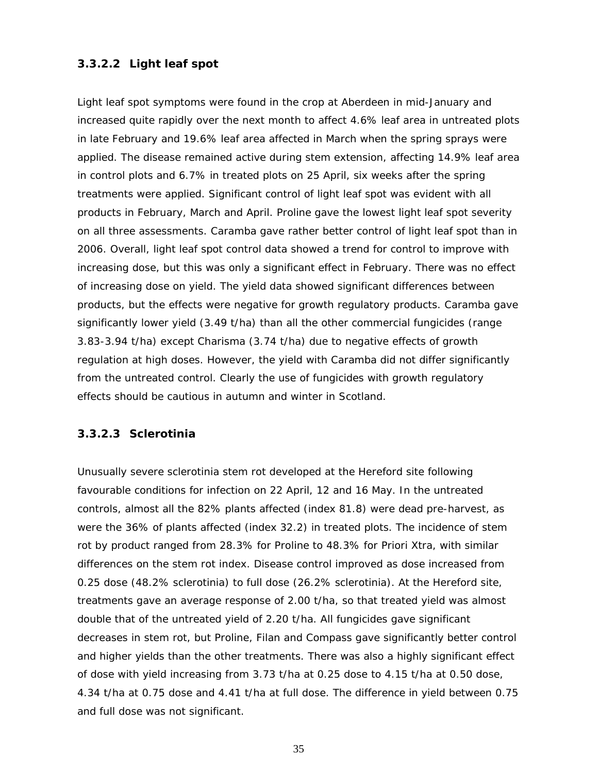# **3.3.2.2 Light leaf spot**

Light leaf spot symptoms were found in the crop at Aberdeen in mid-January and increased quite rapidly over the next month to affect 4.6% leaf area in untreated plots in late February and 19.6% leaf area affected in March when the spring sprays were applied. The disease remained active during stem extension, affecting 14.9% leaf area in control plots and 6.7% in treated plots on 25 April, six weeks after the spring treatments were applied. Significant control of light leaf spot was evident with all products in February, March and April. Proline gave the lowest light leaf spot severity on all three assessments. Caramba gave rather better control of light leaf spot than in 2006. Overall, light leaf spot control data showed a trend for control to improve with increasing dose, but this was only a significant effect in February. There was no effect of increasing dose on yield. The yield data showed significant differences between products, but the effects were negative for growth regulatory products. Caramba gave significantly lower yield (3.49 t/ha) than all the other commercial fungicides (range 3.83-3.94 t/ha) except Charisma (3.74 t/ha) due to negative effects of growth regulation at high doses. However, the yield with Caramba did not differ significantly from the untreated control. Clearly the use of fungicides with growth regulatory effects should be cautious in autumn and winter in Scotland.

### **3.3.2.3 Sclerotinia**

Unusually severe sclerotinia stem rot developed at the Hereford site following favourable conditions for infection on 22 April, 12 and 16 May. In the untreated controls, almost all the 82% plants affected (index 81.8) were dead pre-harvest, as were the 36% of plants affected (index 32.2) in treated plots. The incidence of stem rot by product ranged from 28.3% for Proline to 48.3% for Priori Xtra, with similar differences on the stem rot index. Disease control improved as dose increased from 0.25 dose (48.2% sclerotinia) to full dose (26.2% sclerotinia). At the Hereford site, treatments gave an average response of 2.00 t/ha, so that treated yield was almost double that of the untreated yield of 2.20 t/ha. All fungicides gave significant decreases in stem rot, but Proline, Filan and Compass gave significantly better control and higher yields than the other treatments. There was also a highly significant effect of dose with yield increasing from 3.73 t/ha at 0.25 dose to 4.15 t/ha at 0.50 dose, 4.34 t/ha at 0.75 dose and 4.41 t/ha at full dose. The difference in yield between 0.75 and full dose was not significant.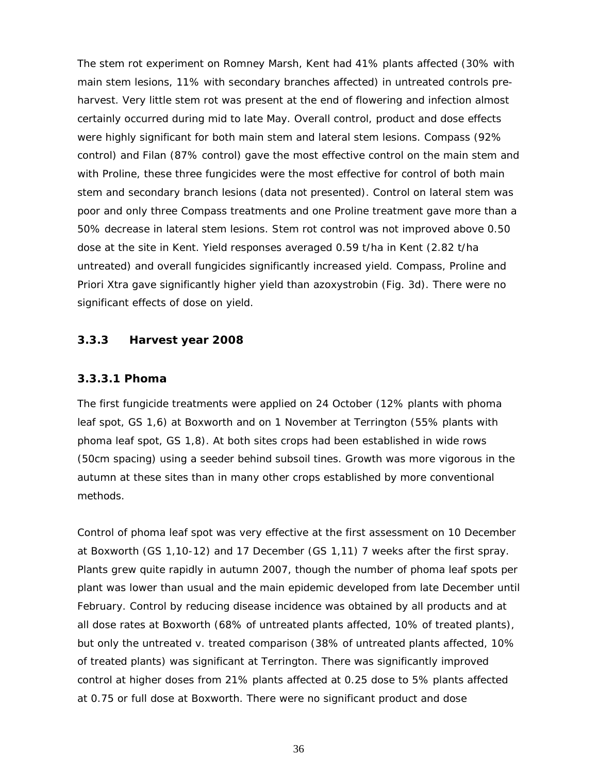The stem rot experiment on Romney Marsh, Kent had 41% plants affected (30% with main stem lesions, 11% with secondary branches affected) in untreated controls preharvest. Very little stem rot was present at the end of flowering and infection almost certainly occurred during mid to late May. Overall control, product and dose effects were highly significant for both main stem and lateral stem lesions. Compass (92% control) and Filan (87% control) gave the most effective control on the main stem and with Proline, these three fungicides were the most effective for control of both main stem and secondary branch lesions (data not presented). Control on lateral stem was poor and only three Compass treatments and one Proline treatment gave more than a 50% decrease in lateral stem lesions. Stem rot control was not improved above 0.50 dose at the site in Kent. Yield responses averaged 0.59 t/ha in Kent (2.82 t/ha untreated) and overall fungicides significantly increased yield. Compass, Proline and Priori Xtra gave significantly higher yield than azoxystrobin (Fig. 3d). There were no significant effects of dose on yield.

## **3.3.3 Harvest year 2008**

#### **3.3.3.1 Phoma**

The first fungicide treatments were applied on 24 October (12% plants with phoma leaf spot, GS 1,6) at Boxworth and on 1 November at Terrington (55% plants with phoma leaf spot, GS 1,8). At both sites crops had been established in wide rows (50cm spacing) using a seeder behind subsoil tines. Growth was more vigorous in the autumn at these sites than in many other crops established by more conventional methods.

Control of phoma leaf spot was very effective at the first assessment on 10 December at Boxworth (GS 1,10-12) and 17 December (GS 1,11) 7 weeks after the first spray. Plants grew quite rapidly in autumn 2007, though the number of phoma leaf spots per plant was lower than usual and the main epidemic developed from late December until February. Control by reducing disease incidence was obtained by all products and at all dose rates at Boxworth (68% of untreated plants affected, 10% of treated plants), but only the untreated v. treated comparison (38% of untreated plants affected, 10% of treated plants) was significant at Terrington. There was significantly improved control at higher doses from 21% plants affected at 0.25 dose to 5% plants affected at 0.75 or full dose at Boxworth. There were no significant product and dose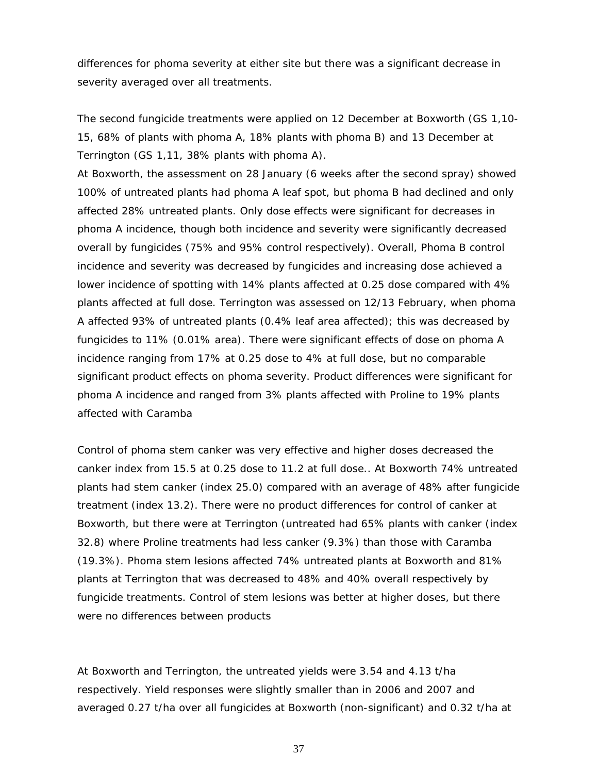differences for phoma severity at either site but there was a significant decrease in severity averaged over all treatments.

The second fungicide treatments were applied on 12 December at Boxworth (GS 1,10- 15, 68% of plants with phoma A, 18% plants with phoma B) and 13 December at Terrington (GS 1,11, 38% plants with phoma A).

At Boxworth, the assessment on 28 January (6 weeks after the second spray) showed 100% of untreated plants had phoma A leaf spot, but phoma B had declined and only affected 28% untreated plants. Only dose effects were significant for decreases in phoma A incidence, though both incidence and severity were significantly decreased overall by fungicides (75% and 95% control respectively). Overall, Phoma B control incidence and severity was decreased by fungicides and increasing dose achieved a lower incidence of spotting with 14% plants affected at 0.25 dose compared with 4% plants affected at full dose. Terrington was assessed on 12/13 February, when phoma A affected 93% of untreated plants (0.4% leaf area affected); this was decreased by fungicides to 11% (0.01% area). There were significant effects of dose on phoma A incidence ranging from 17% at 0.25 dose to 4% at full dose, but no comparable significant product effects on phoma severity. Product differences were significant for phoma A incidence and ranged from 3% plants affected with Proline to 19% plants affected with Caramba

Control of phoma stem canker was very effective and higher doses decreased the canker index from 15.5 at 0.25 dose to 11.2 at full dose.. At Boxworth 74% untreated plants had stem canker (index 25.0) compared with an average of 48% after fungicide treatment (index 13.2). There were no product differences for control of canker at Boxworth, but there were at Terrington (untreated had 65% plants with canker (index 32.8) where Proline treatments had less canker (9.3%) than those with Caramba (19.3%). Phoma stem lesions affected 74% untreated plants at Boxworth and 81% plants at Terrington that was decreased to 48% and 40% overall respectively by fungicide treatments. Control of stem lesions was better at higher doses, but there were no differences between products

At Boxworth and Terrington, the untreated yields were 3.54 and 4.13 t/ha respectively. Yield responses were slightly smaller than in 2006 and 2007 and averaged 0.27 t/ha over all fungicides at Boxworth (non-significant) and 0.32 t/ha at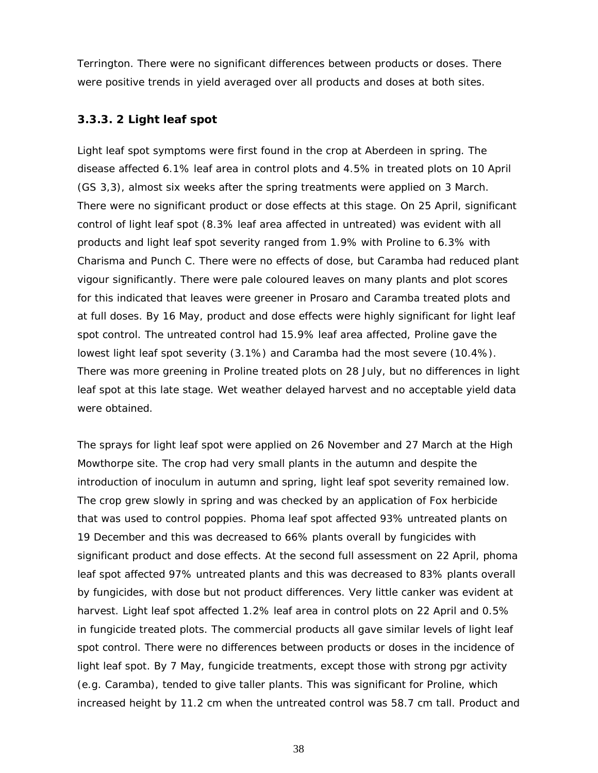Terrington. There were no significant differences between products or doses. There were positive trends in yield averaged over all products and doses at both sites.

### **3.3.3. 2 Light leaf spot**

Light leaf spot symptoms were first found in the crop at Aberdeen in spring. The disease affected 6.1% leaf area in control plots and 4.5% in treated plots on 10 April (GS 3,3), almost six weeks after the spring treatments were applied on 3 March. There were no significant product or dose effects at this stage. On 25 April, significant control of light leaf spot (8.3% leaf area affected in untreated) was evident with all products and light leaf spot severity ranged from 1.9% with Proline to 6.3% with Charisma and Punch C. There were no effects of dose, but Caramba had reduced plant vigour significantly. There were pale coloured leaves on many plants and plot scores for this indicated that leaves were greener in Prosaro and Caramba treated plots and at full doses. By 16 May, product and dose effects were highly significant for light leaf spot control. The untreated control had 15.9% leaf area affected, Proline gave the lowest light leaf spot severity (3.1%) and Caramba had the most severe (10.4%). There was more greening in Proline treated plots on 28 July, but no differences in light leaf spot at this late stage. Wet weather delayed harvest and no acceptable yield data were obtained.

The sprays for light leaf spot were applied on 26 November and 27 March at the High Mowthorpe site. The crop had very small plants in the autumn and despite the introduction of inoculum in autumn and spring, light leaf spot severity remained low. The crop grew slowly in spring and was checked by an application of Fox herbicide that was used to control poppies. Phoma leaf spot affected 93% untreated plants on 19 December and this was decreased to 66% plants overall by fungicides with significant product and dose effects. At the second full assessment on 22 April, phoma leaf spot affected 97% untreated plants and this was decreased to 83% plants overall by fungicides, with dose but not product differences. Very little canker was evident at harvest. Light leaf spot affected 1.2% leaf area in control plots on 22 April and 0.5% in fungicide treated plots. The commercial products all gave similar levels of light leaf spot control. There were no differences between products or doses in the incidence of light leaf spot. By 7 May, fungicide treatments, except those with strong pgr activity (e.g. Caramba), tended to give taller plants. This was significant for Proline, which increased height by 11.2 cm when the untreated control was 58.7 cm tall. Product and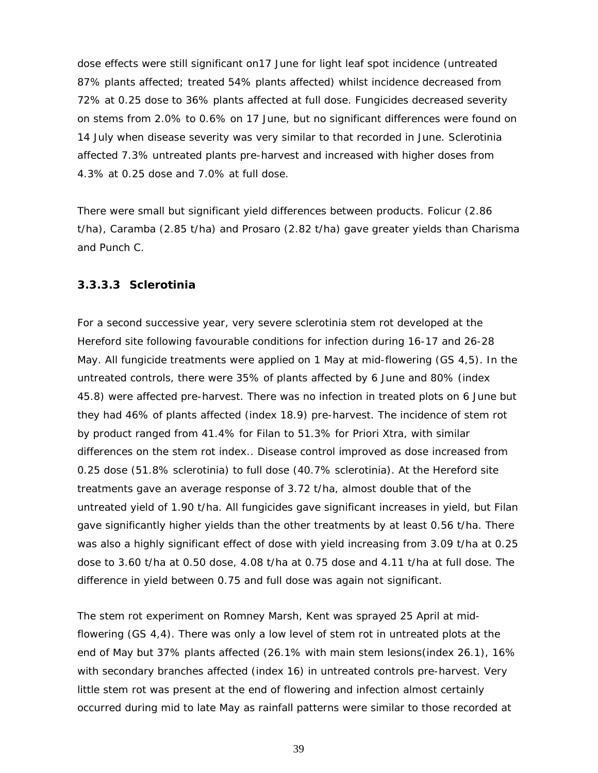dose effects were still significant on17 June for light leaf spot incidence (untreated 87% plants affected; treated 54% plants affected) whilst incidence decreased from 72% at 0.25 dose to 36% plants affected at full dose. Fungicides decreased severity on stems from 2.0% to 0.6% on 17 June, but no significant differences were found on 14 July when disease severity was very similar to that recorded in June. Sclerotinia affected 7.3% untreated plants pre-harvest and increased with higher doses from 4.3% at 0.25 dose and 7.0% at full dose.

There were small but significant yield differences between products. Folicur (2.86 t/ha), Caramba (2.85 t/ha) and Prosaro (2.82 t/ha) gave greater yields than Charisma and Punch C.

### **3.3.3.3 Sclerotinia**

For a second successive year, very severe sclerotinia stem rot developed at the Hereford site following favourable conditions for infection during 16-17 and 26-28 May. All fungicide treatments were applied on 1 May at mid-flowering (GS 4,5). In the untreated controls, there were 35% of plants affected by 6 June and 80% (index 45.8) were affected pre-harvest. There was no infection in treated plots on 6 June but they had 46% of plants affected (index 18.9) pre-harvest. The incidence of stem rot by product ranged from 41.4% for Filan to 51.3% for Priori Xtra, with similar differences on the stem rot index.. Disease control improved as dose increased from 0.25 dose (51.8% sclerotinia) to full dose (40.7% sclerotinia). At the Hereford site treatments gave an average response of 3.72 t/ha, almost double that of the untreated yield of 1.90 t/ha. All fungicides gave significant increases in yield, but Filan gave significantly higher yields than the other treatments by at least 0.56 t/ha. There was also a highly significant effect of dose with yield increasing from 3.09 t/ha at 0.25 dose to 3.60 t/ha at 0.50 dose, 4.08 t/ha at 0.75 dose and 4.11 t/ha at full dose. The difference in yield between 0.75 and full dose was again not significant.

The stem rot experiment on Romney Marsh, Kent was sprayed 25 April at midflowering (GS 4,4). There was only a low level of stem rot in untreated plots at the end of May but 37% plants affected (26.1% with main stem lesions(index 26.1), 16% with secondary branches affected (index 16) in untreated controls pre-harvest. Very little stem rot was present at the end of flowering and infection almost certainly occurred during mid to late May as rainfall patterns were similar to those recorded at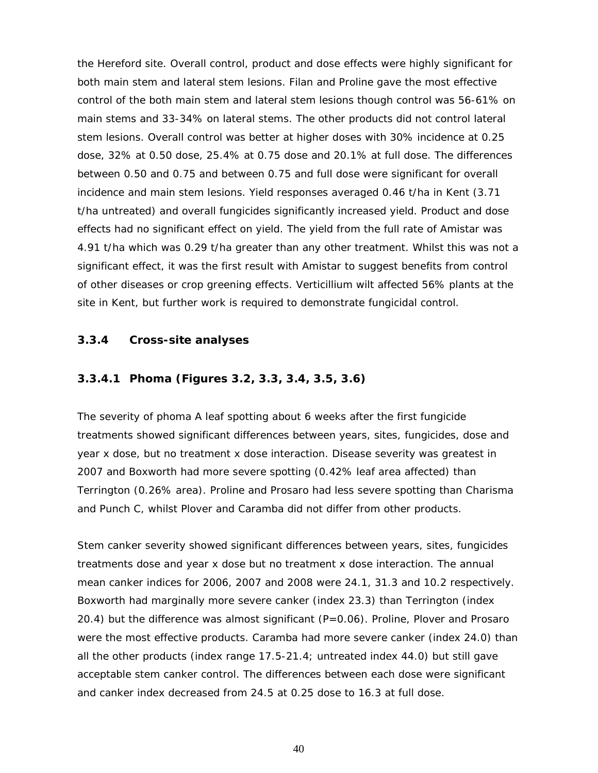the Hereford site. Overall control, product and dose effects were highly significant for both main stem and lateral stem lesions. Filan and Proline gave the most effective control of the both main stem and lateral stem lesions though control was 56-61% on main stems and 33-34% on lateral stems. The other products did not control lateral stem lesions. Overall control was better at higher doses with 30% incidence at 0.25 dose, 32% at 0.50 dose, 25.4% at 0.75 dose and 20.1% at full dose. The differences between 0.50 and 0.75 and between 0.75 and full dose were significant for overall incidence and main stem lesions. Yield responses averaged 0.46 t/ha in Kent (3.71 t/ha untreated) and overall fungicides significantly increased yield. Product and dose effects had no significant effect on yield. The yield from the full rate of Amistar was 4.91 t/ha which was 0.29 t/ha greater than any other treatment. Whilst this was not a significant effect, it was the first result with Amistar to suggest benefits from control of other diseases or crop greening effects. Verticillium wilt affected 56% plants at the site in Kent, but further work is required to demonstrate fungicidal control.

## **3.3.4 Cross-site analyses**

### **3.3.4.1 Phoma (Figures 3.2, 3.3, 3.4, 3.5, 3.6)**

The severity of phoma A leaf spotting about 6 weeks after the first fungicide treatments showed significant differences between years, sites, fungicides, dose and year x dose, but no treatment x dose interaction. Disease severity was greatest in 2007 and Boxworth had more severe spotting (0.42% leaf area affected) than Terrington (0.26% area). Proline and Prosaro had less severe spotting than Charisma and Punch C, whilst Plover and Caramba did not differ from other products.

Stem canker severity showed significant differences between years, sites, fungicides treatments dose and year x dose but no treatment x dose interaction. The annual mean canker indices for 2006, 2007 and 2008 were 24.1, 31.3 and 10.2 respectively. Boxworth had marginally more severe canker (index 23.3) than Terrington (index 20.4) but the difference was almost significant ( $P=0.06$ ). Proline, Plover and Prosaro were the most effective products. Caramba had more severe canker (index 24.0) than all the other products (index range 17.5-21.4; untreated index 44.0) but still gave acceptable stem canker control. The differences between each dose were significant and canker index decreased from 24.5 at 0.25 dose to 16.3 at full dose.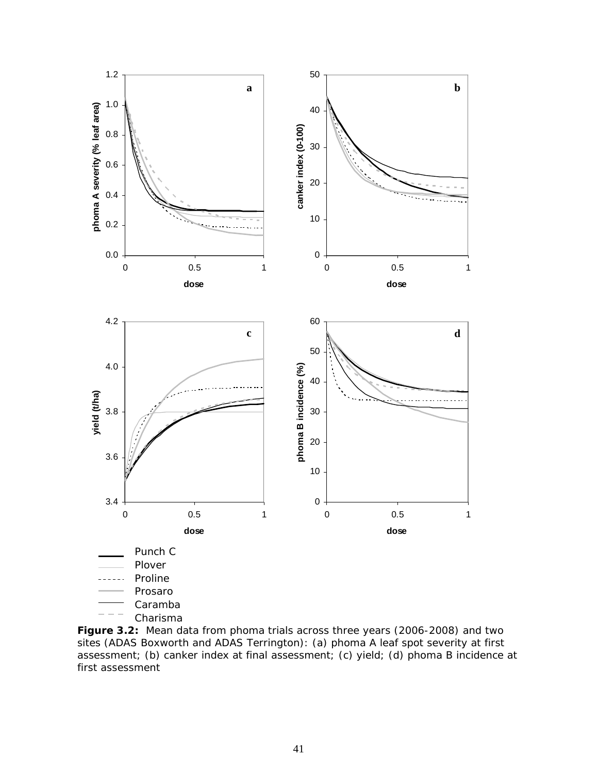

**Figure 3.2:** Mean data from phoma trials across three years (2006-2008) and two sites (ADAS Boxworth and ADAS Terrington): (a) phoma A leaf spot severity at first assessment; (b) canker index at final assessment; (c) yield; (d) phoma B incidence at first assessment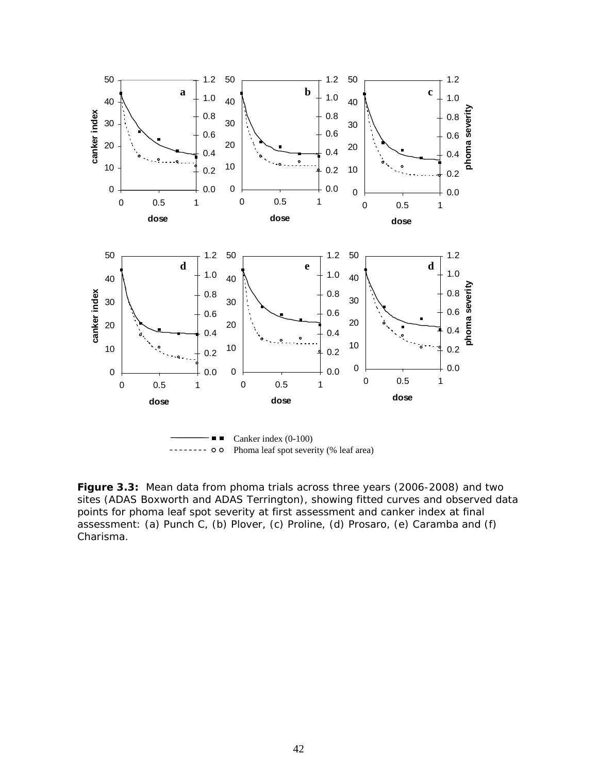

**Figure 3.3:** Mean data from phoma trials across three years (2006-2008) and two sites (ADAS Boxworth and ADAS Terrington), showing fitted curves and observed data points for phoma leaf spot severity at first assessment and canker index at final assessment: (a) Punch C, (b) Plover, (c) Proline, (d) Prosaro, (e) Caramba and (f) Charisma.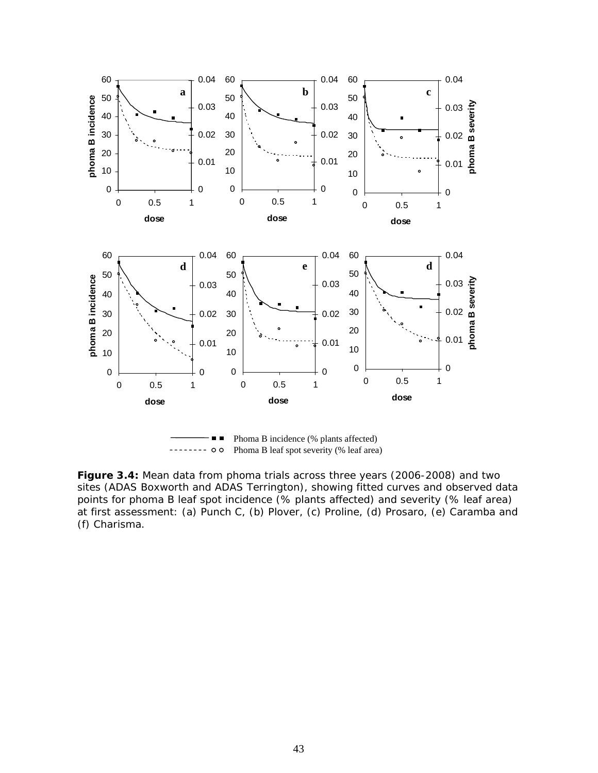

**Figure 3.4:** Mean data from phoma trials across three years (2006-2008) and two sites (ADAS Boxworth and ADAS Terrington), showing fitted curves and observed data points for phoma B leaf spot incidence (% plants affected) and severity (% leaf area) at first assessment: (a) Punch C, (b) Plover, (c) Proline, (d) Prosaro, (e) Caramba and (f) Charisma.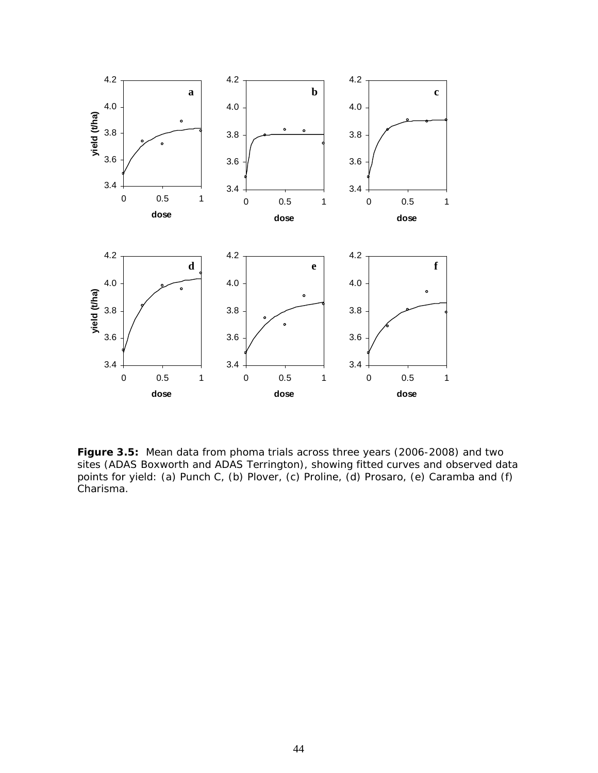

**Figure 3.5:** Mean data from phoma trials across three years (2006-2008) and two sites (ADAS Boxworth and ADAS Terrington), showing fitted curves and observed data points for yield: (a) Punch C, (b) Plover, (c) Proline, (d) Prosaro, (e) Caramba and (f) Charisma.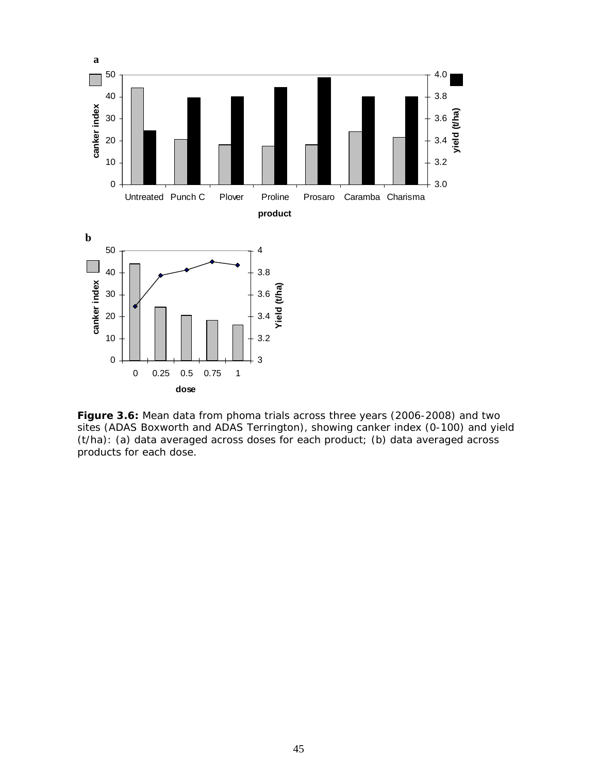

**Figure 3.6:** Mean data from phoma trials across three years (2006-2008) and two sites (ADAS Boxworth and ADAS Terrington), showing canker index (0-100) and yield (t/ha): (a) data averaged across doses for each product; (b) data averaged across products for each dose.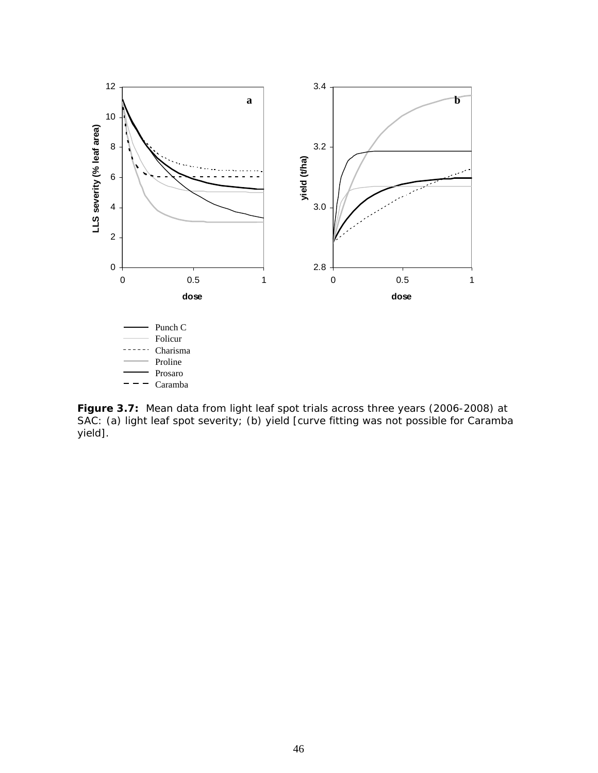

**Figure 3.7:** Mean data from light leaf spot trials across three years (2006-2008) at SAC: (a) light leaf spot severity; (b) yield [curve fitting was not possible for Caramba yield].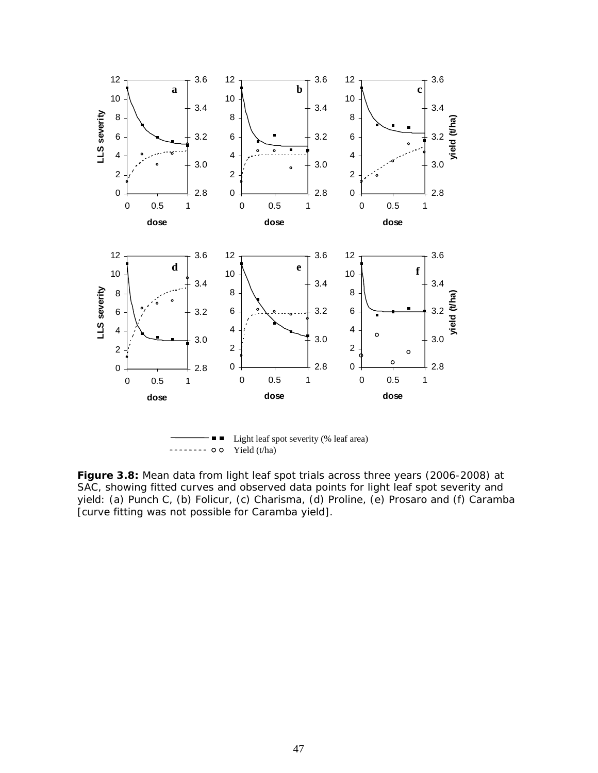

**Figure 3.8:** Mean data from light leaf spot trials across three years (2006-2008) at SAC, showing fitted curves and observed data points for light leaf spot severity and yield: (a) Punch C, (b) Folicur, (c) Charisma, (d) Proline, (e) Prosaro and (f) Caramba [curve fitting was not possible for Caramba yield].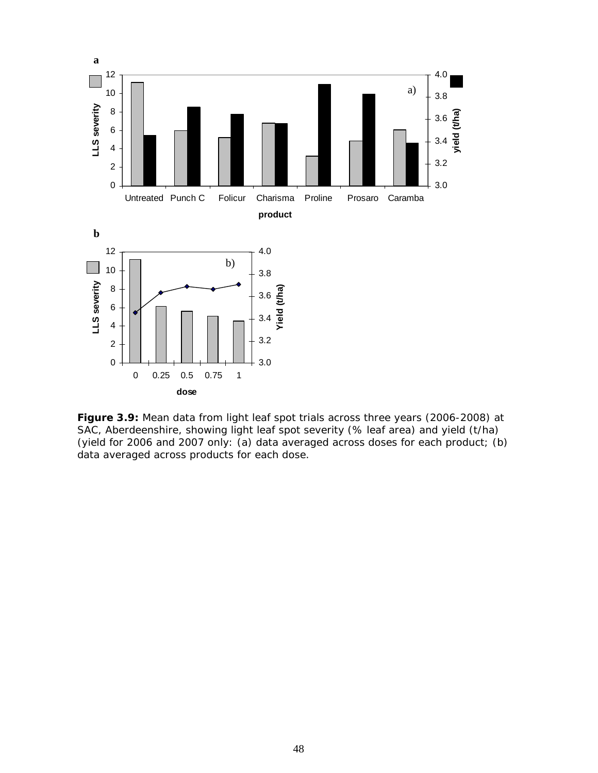

**Figure 3.9:** Mean data from light leaf spot trials across three years (2006-2008) at SAC, Aberdeenshire, showing light leaf spot severity (% leaf area) and yield (t/ha) (yield for 2006 and 2007 only: (a) data averaged across doses for each product; (b) data averaged across products for each dose.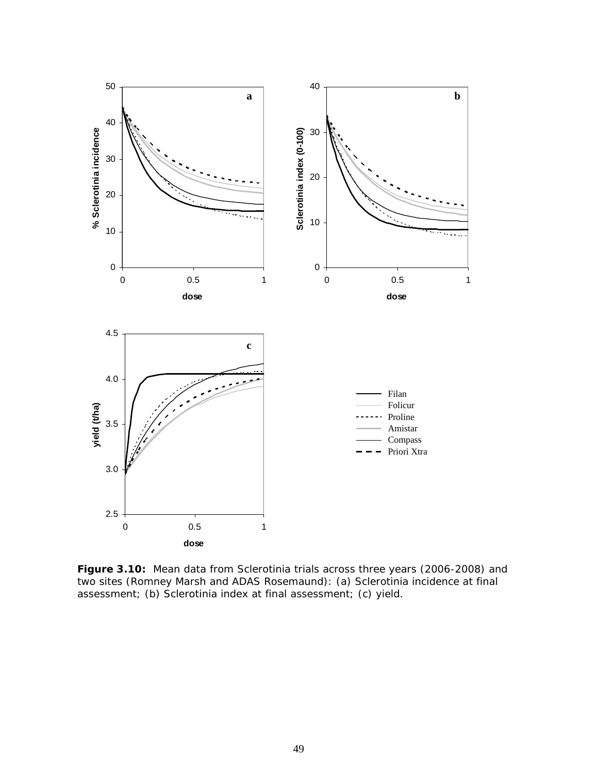

**Figure 3.10:** Mean data from Sclerotinia trials across three years (2006-2008) and two sites (Romney Marsh and ADAS Rosemaund): (a) Sclerotinia incidence at final assessment; (b) Sclerotinia index at final assessment; (c) yield.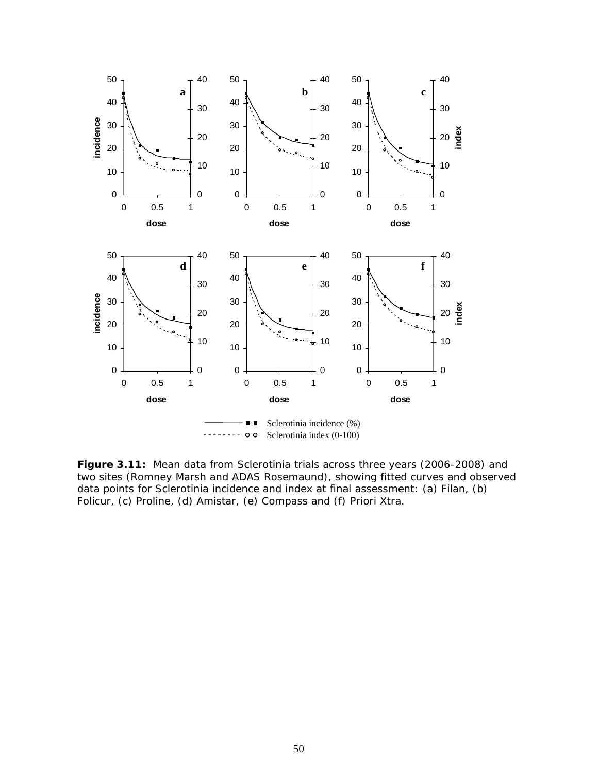

**Figure 3.11:** Mean data from Sclerotinia trials across three years (2006-2008) and two sites (Romney Marsh and ADAS Rosemaund), showing fitted curves and observed data points for Sclerotinia incidence and index at final assessment: (a) Filan, (b) Folicur, (c) Proline, (d) Amistar, (e) Compass and (f) Priori Xtra.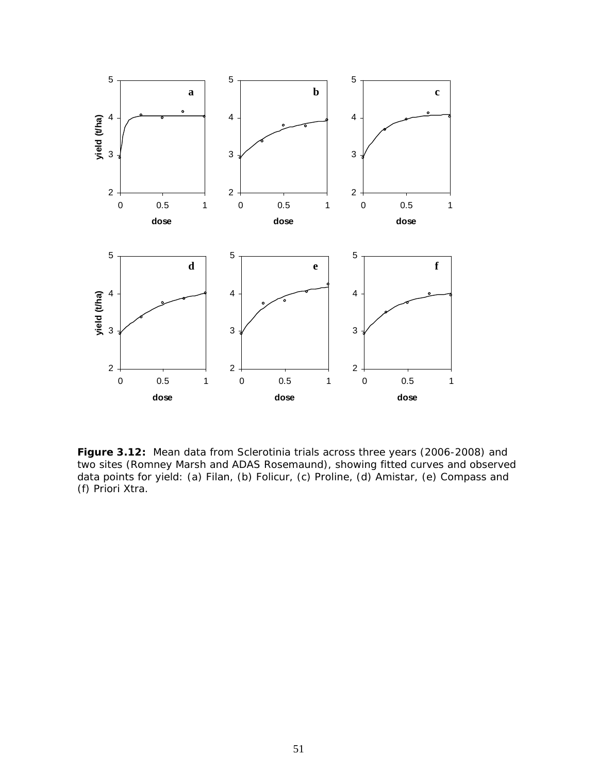

**Figure 3.12:** Mean data from Sclerotinia trials across three years (2006-2008) and two sites (Romney Marsh and ADAS Rosemaund), showing fitted curves and observed data points for yield: (a) Filan, (b) Folicur, (c) Proline, (d) Amistar, (e) Compass and (f) Priori Xtra.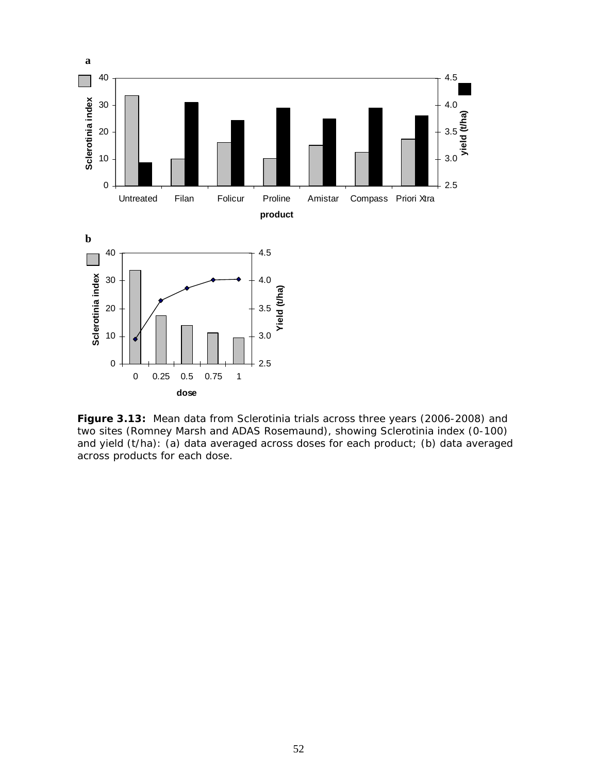

**Figure 3.13:** Mean data from Sclerotinia trials across three years (2006-2008) and two sites (Romney Marsh and ADAS Rosemaund), showing Sclerotinia index (0-100) and yield (t/ha): (a) data averaged across doses for each product; (b) data averaged across products for each dose.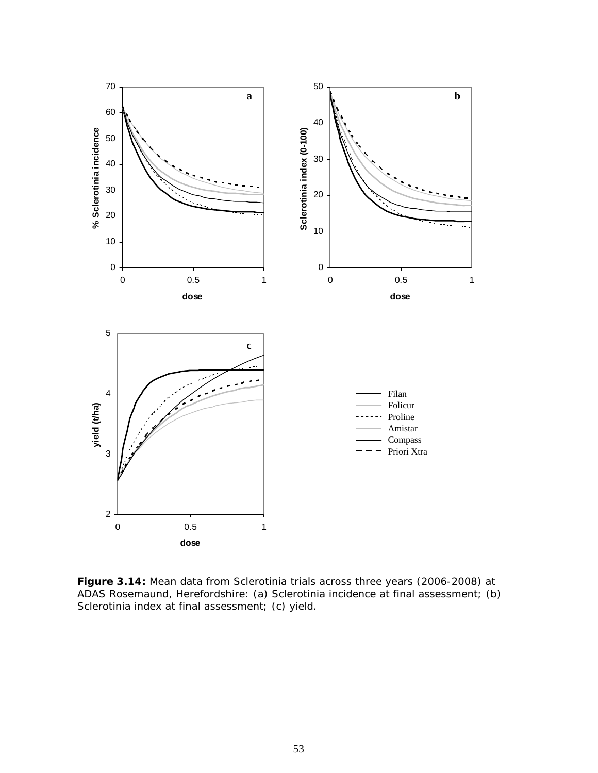

**Figure 3.14:** Mean data from Sclerotinia trials across three years (2006-2008) at ADAS Rosemaund, Herefordshire: (a) Sclerotinia incidence at final assessment; (b) Sclerotinia index at final assessment; (c) yield.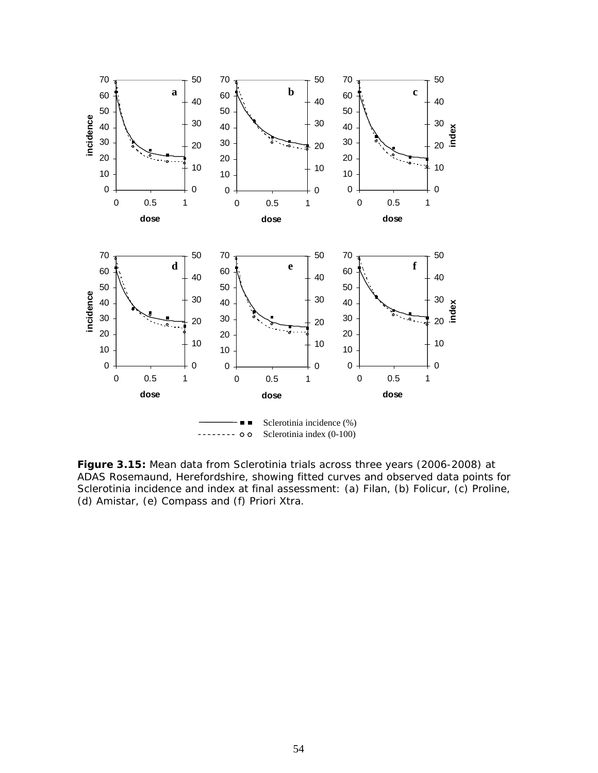

**Figure 3.15:** Mean data from Sclerotinia trials across three years (2006-2008) at ADAS Rosemaund, Herefordshire, showing fitted curves and observed data points for Sclerotinia incidence and index at final assessment: (a) Filan, (b) Folicur, (c) Proline, (d) Amistar, (e) Compass and (f) Priori Xtra.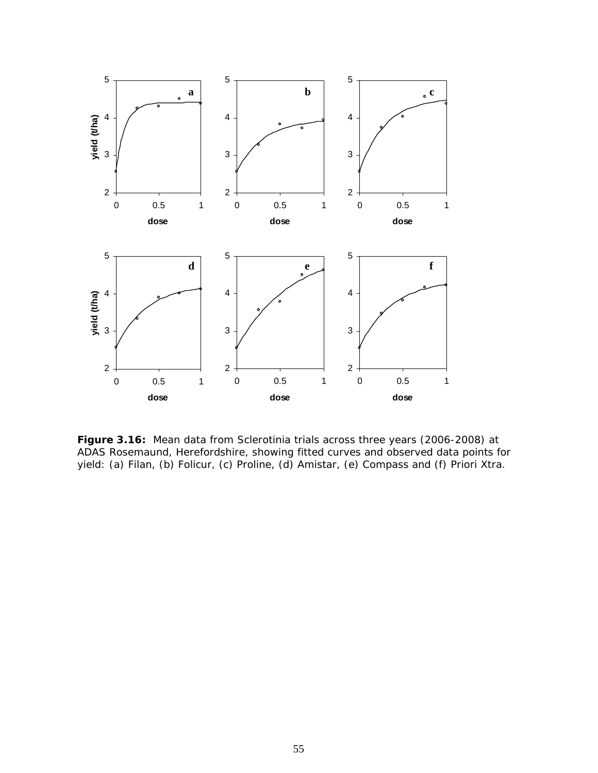

**Figure 3.16:** Mean data from Sclerotinia trials across three years (2006-2008) at ADAS Rosemaund, Herefordshire, showing fitted curves and observed data points for yield: (a) Filan, (b) Folicur, (c) Proline, (d) Amistar, (e) Compass and (f) Priori Xtra.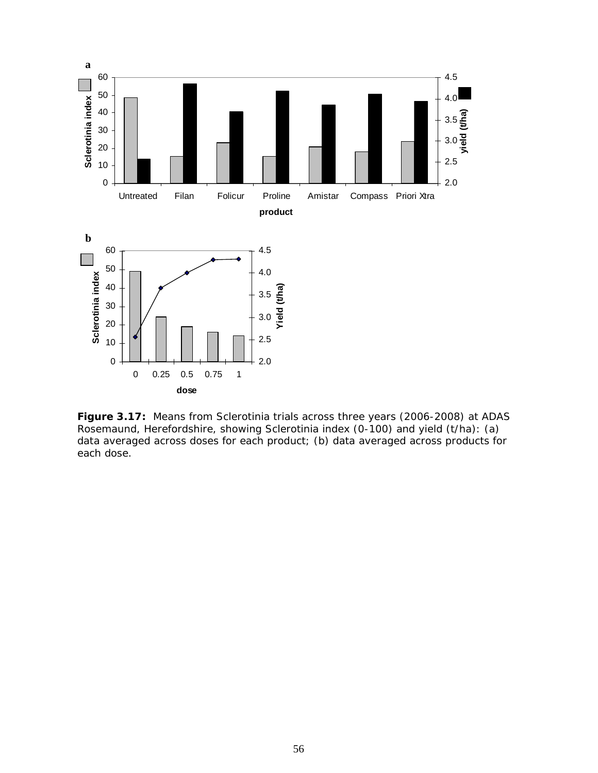

**Figure 3.17:** Means from Sclerotinia trials across three years (2006-2008) at ADAS Rosemaund, Herefordshire, showing Sclerotinia index (0-100) and yield (t/ha): (a) data averaged across doses for each product; (b) data averaged across products for each dose.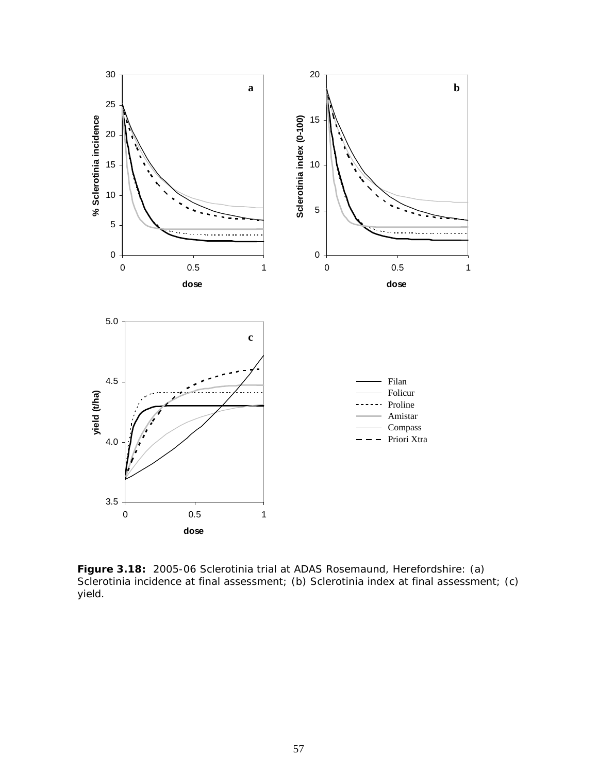

**Figure 3.18:** 2005-06 Sclerotinia trial at ADAS Rosemaund, Herefordshire: (a) Sclerotinia incidence at final assessment; (b) Sclerotinia index at final assessment; (c) yield.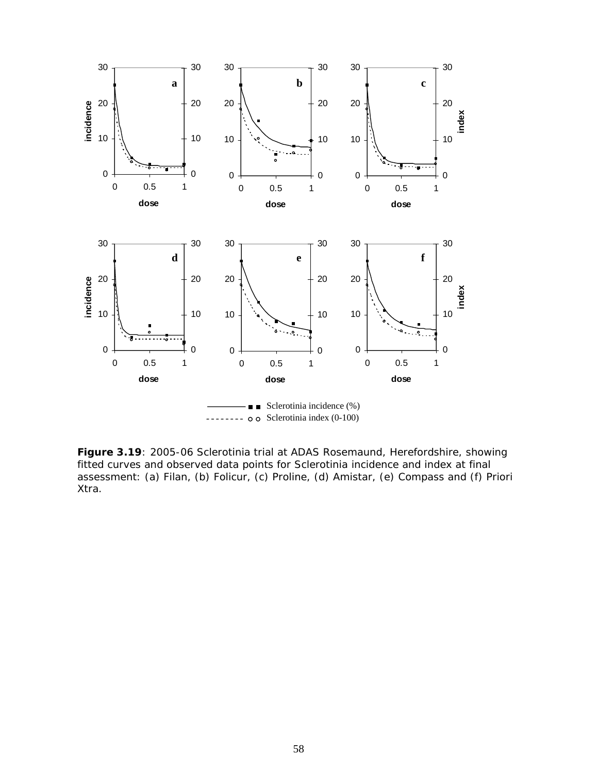

**Figure 3.19**: 2005-06 Sclerotinia trial at ADAS Rosemaund, Herefordshire, showing fitted curves and observed data points for Sclerotinia incidence and index at final assessment: (a) Filan, (b) Folicur, (c) Proline, (d) Amistar, (e) Compass and (f) Priori Xtra.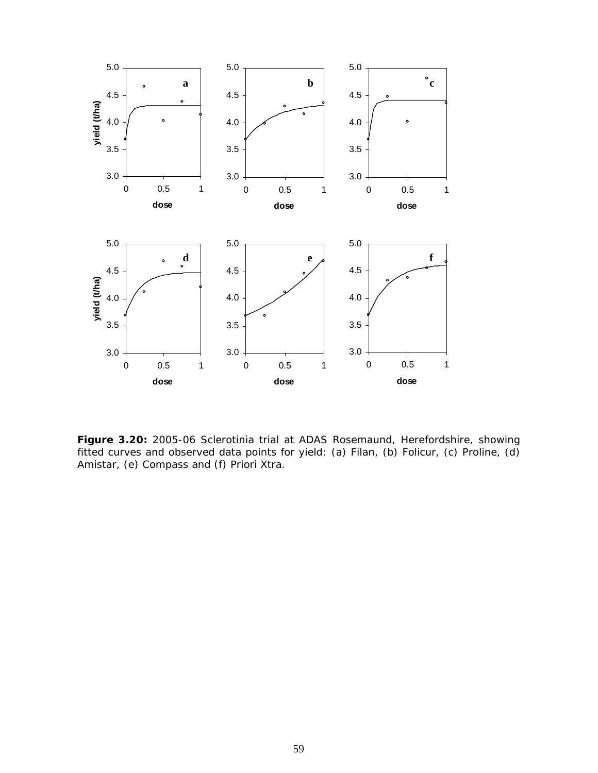

**Figure 3.20:** 2005-06 Sclerotinia trial at ADAS Rosemaund, Herefordshire, showing fitted curves and observed data points for yield: (a) Filan, (b) Folicur, (c) Proline, (d) Amistar, (e) Compass and (f) Priori Xtra.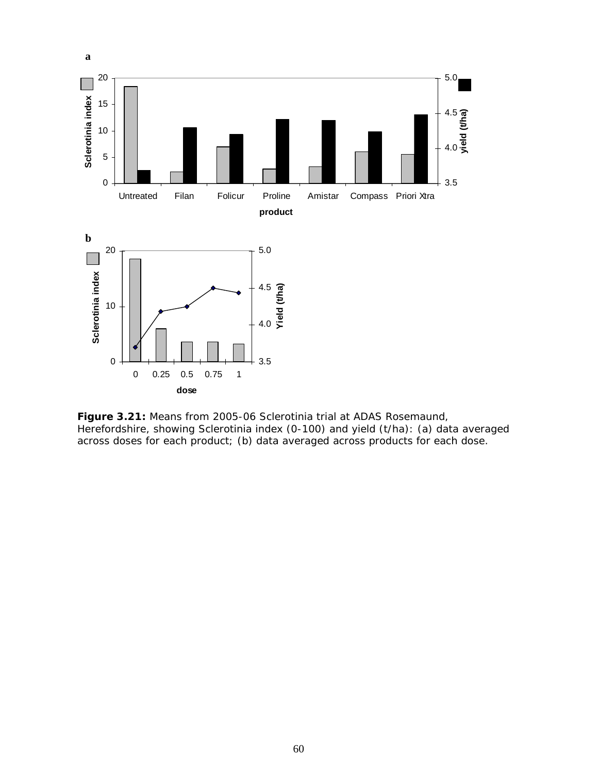

**Figure 3.21:** Means from 2005-06 Sclerotinia trial at ADAS Rosemaund, Herefordshire, showing Sclerotinia index (0-100) and yield (t/ha): (a) data averaged across doses for each product; (b) data averaged across products for each dose.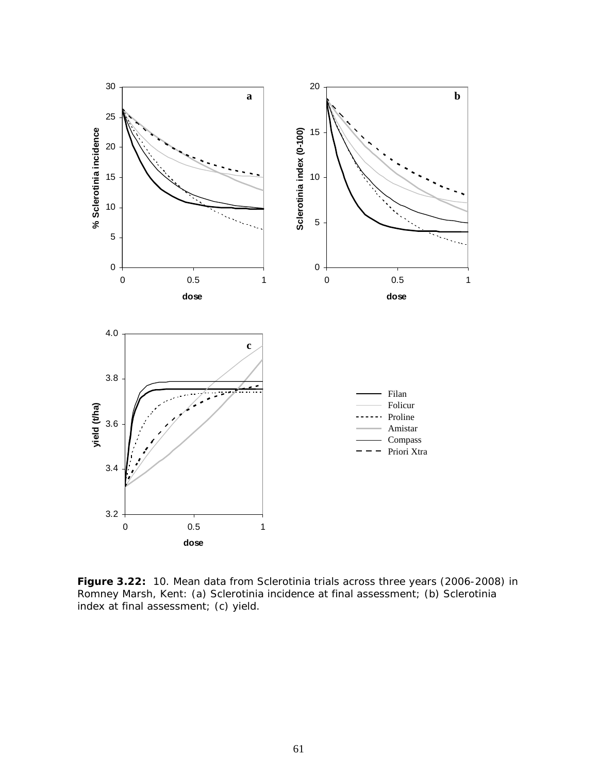

**Figure 3.22:** 10. Mean data from Sclerotinia trials across three years (2006-2008) in Romney Marsh, Kent: (a) Sclerotinia incidence at final assessment; (b) Sclerotinia index at final assessment; (c) yield.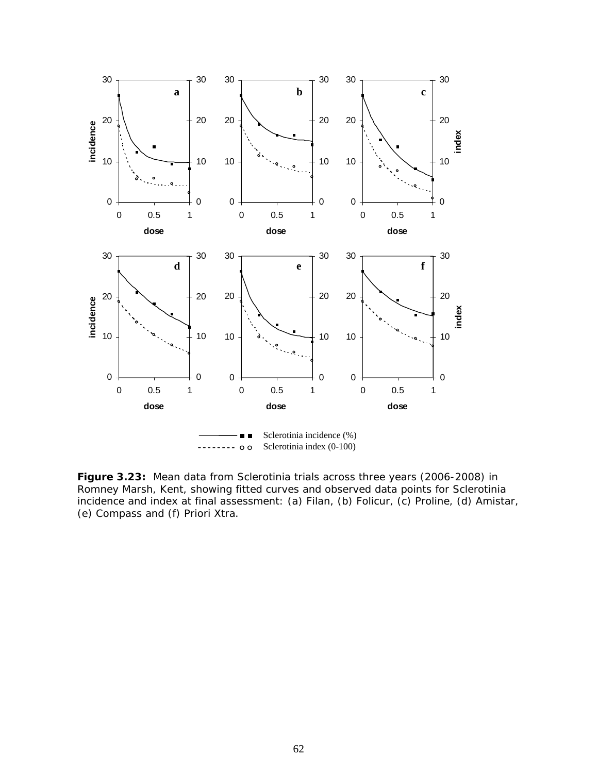

**Figure 3.23:** Mean data from Sclerotinia trials across three years (2006-2008) in Romney Marsh, Kent, showing fitted curves and observed data points for Sclerotinia incidence and index at final assessment: (a) Filan, (b) Folicur, (c) Proline, (d) Amistar, (e) Compass and (f) Priori Xtra.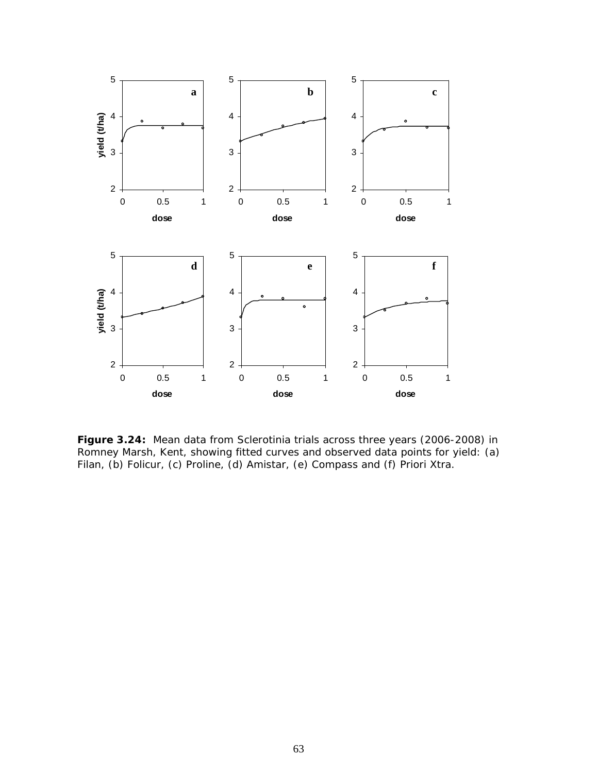

**Figure 3.24:** Mean data from Sclerotinia trials across three years (2006-2008) in Romney Marsh, Kent, showing fitted curves and observed data points for yield: (a) Filan, (b) Folicur, (c) Proline, (d) Amistar, (e) Compass and (f) Priori Xtra.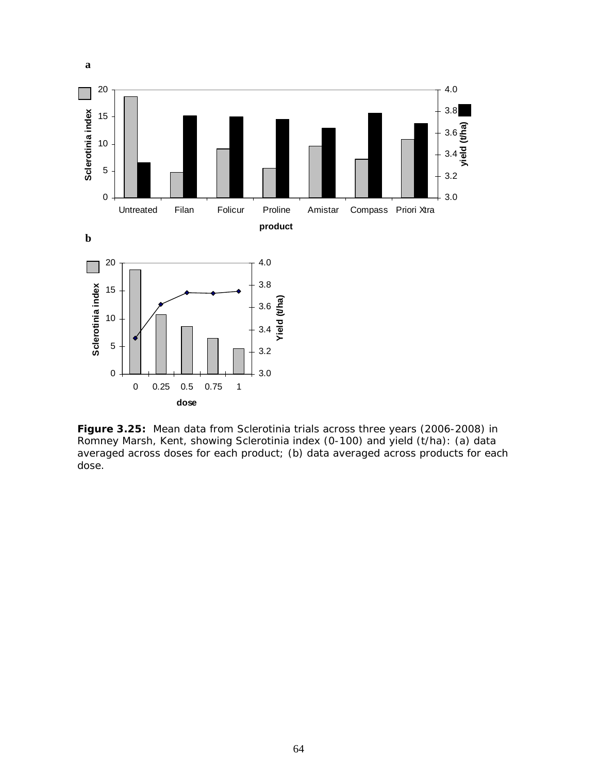

**Figure 3.25:** Mean data from Sclerotinia trials across three years (2006-2008) in Romney Marsh, Kent, showing Sclerotinia index (0-100) and yield (t/ha): (a) data averaged across doses for each product; (b) data averaged across products for each dose.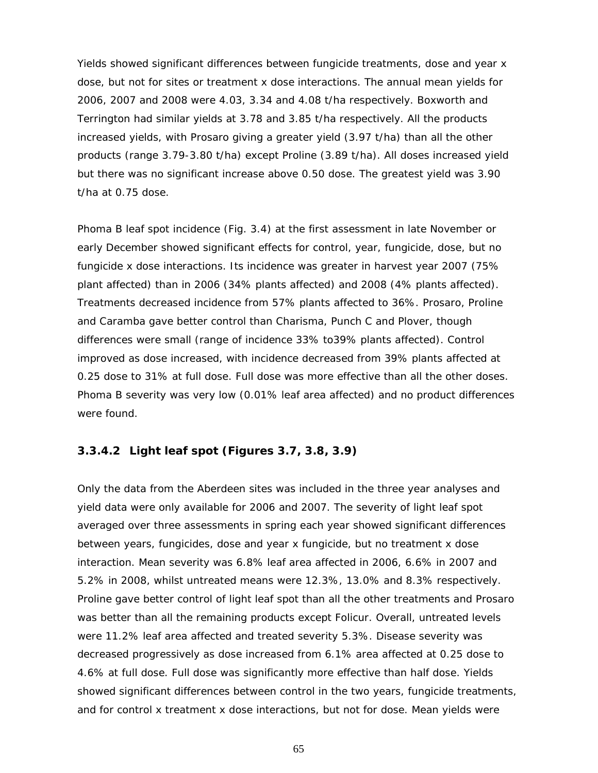Yields showed significant differences between fungicide treatments, dose and year x dose, but not for sites or treatment x dose interactions. The annual mean yields for 2006, 2007 and 2008 were 4.03, 3.34 and 4.08 t/ha respectively. Boxworth and Terrington had similar yields at 3.78 and 3.85 t/ha respectively. All the products increased yields, with Prosaro giving a greater yield (3.97 t/ha) than all the other products (range 3.79-3.80 t/ha) except Proline (3.89 t/ha). All doses increased yield but there was no significant increase above 0.50 dose. The greatest yield was 3.90 t/ha at 0.75 dose.

Phoma B leaf spot incidence (Fig. 3.4) at the first assessment in late November or early December showed significant effects for control, year, fungicide, dose, but no fungicide x dose interactions. Its incidence was greater in harvest year 2007 (75% plant affected) than in 2006 (34% plants affected) and 2008 (4% plants affected). Treatments decreased incidence from 57% plants affected to 36%. Prosaro, Proline and Caramba gave better control than Charisma, Punch C and Plover, though differences were small (range of incidence 33% to39% plants affected). Control improved as dose increased, with incidence decreased from 39% plants affected at 0.25 dose to 31% at full dose. Full dose was more effective than all the other doses. Phoma B severity was very low (0.01% leaf area affected) and no product differences were found.

# **3.3.4.2 Light leaf spot (Figures 3.7, 3.8, 3.9)**

Only the data from the Aberdeen sites was included in the three year analyses and yield data were only available for 2006 and 2007. The severity of light leaf spot averaged over three assessments in spring each year showed significant differences between years, fungicides, dose and year x fungicide, but no treatment x dose interaction. Mean severity was 6.8% leaf area affected in 2006, 6.6% in 2007 and 5.2% in 2008, whilst untreated means were 12.3%, 13.0% and 8.3% respectively. Proline gave better control of light leaf spot than all the other treatments and Prosaro was better than all the remaining products except Folicur. Overall, untreated levels were 11.2% leaf area affected and treated severity 5.3%. Disease severity was decreased progressively as dose increased from 6.1% area affected at 0.25 dose to 4.6% at full dose. Full dose was significantly more effective than half dose. Yields showed significant differences between control in the two years, fungicide treatments, and for control x treatment x dose interactions, but not for dose. Mean yields were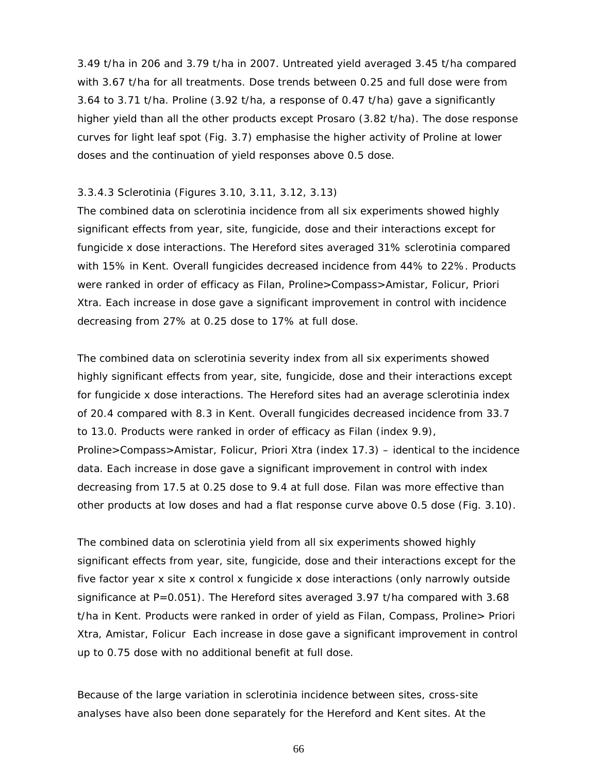3.49 t/ha in 206 and 3.79 t/ha in 2007. Untreated yield averaged 3.45 t/ha compared with 3.67 t/ha for all treatments. Dose trends between 0.25 and full dose were from 3.64 to 3.71 t/ha. Proline (3.92 t/ha, a response of 0.47 t/ha) gave a significantly higher yield than all the other products except Prosaro (3.82 t/ha). The dose response curves for light leaf spot (Fig. 3.7) emphasise the higher activity of Proline at lower doses and the continuation of yield responses above 0.5 dose.

#### 3.3.4.3 Sclerotinia (Figures 3.10, 3.11, 3.12, 3.13)

The combined data on sclerotinia incidence from all six experiments showed highly significant effects from year, site, fungicide, dose and their interactions except for fungicide x dose interactions. The Hereford sites averaged 31% sclerotinia compared with 15% in Kent. Overall fungicides decreased incidence from 44% to 22%. Products were ranked in order of efficacy as Filan, Proline>Compass>Amistar, Folicur, Priori Xtra. Each increase in dose gave a significant improvement in control with incidence decreasing from 27% at 0.25 dose to 17% at full dose.

The combined data on sclerotinia severity index from all six experiments showed highly significant effects from year, site, fungicide, dose and their interactions except for fungicide x dose interactions. The Hereford sites had an average sclerotinia index of 20.4 compared with 8.3 in Kent. Overall fungicides decreased incidence from 33.7 to 13.0. Products were ranked in order of efficacy as Filan (index 9.9), Proline>Compass>Amistar, Folicur, Priori Xtra (index 17.3) – identical to the incidence data. Each increase in dose gave a significant improvement in control with index decreasing from 17.5 at 0.25 dose to 9.4 at full dose. Filan was more effective than other products at low doses and had a flat response curve above 0.5 dose (Fig. 3.10).

The combined data on sclerotinia yield from all six experiments showed highly significant effects from year, site, fungicide, dose and their interactions except for the five factor year x site x control x fungicide x dose interactions (only narrowly outside significance at P=0.051). The Hereford sites averaged 3.97 t/ha compared with 3.68 t/ha in Kent. Products were ranked in order of yield as Filan, Compass, Proline> Priori Xtra, Amistar, Folicur Each increase in dose gave a significant improvement in control up to 0.75 dose with no additional benefit at full dose.

Because of the large variation in sclerotinia incidence between sites, cross-site analyses have also been done separately for the Hereford and Kent sites. At the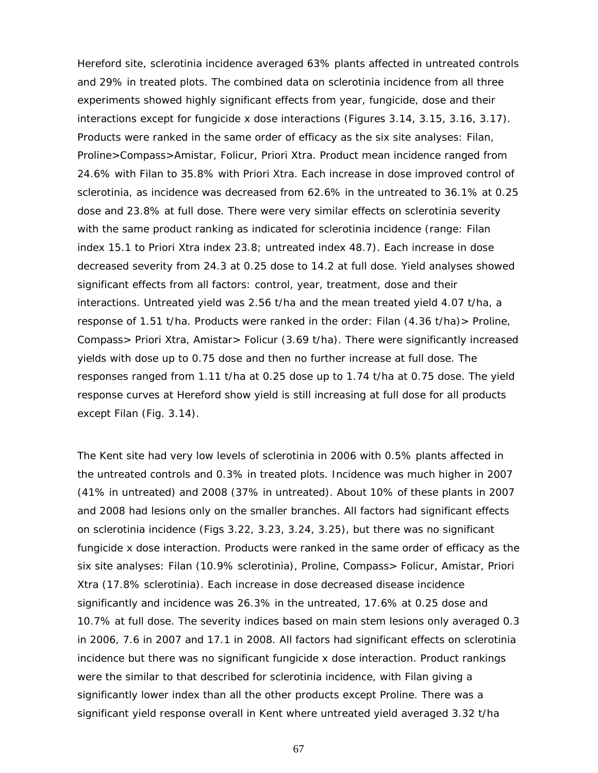Hereford site, sclerotinia incidence averaged 63% plants affected in untreated controls and 29% in treated plots. The combined data on sclerotinia incidence from all three experiments showed highly significant effects from year, fungicide, dose and their interactions except for fungicide x dose interactions (Figures 3.14, 3.15, 3.16, 3.17). Products were ranked in the same order of efficacy as the six site analyses: Filan, Proline>Compass>Amistar, Folicur, Priori Xtra. Product mean incidence ranged from 24.6% with Filan to 35.8% with Priori Xtra. Each increase in dose improved control of sclerotinia, as incidence was decreased from 62.6% in the untreated to 36.1% at 0.25 dose and 23.8% at full dose. There were very similar effects on sclerotinia severity with the same product ranking as indicated for sclerotinia incidence (range: Filan index 15.1 to Priori Xtra index 23.8; untreated index 48.7). Each increase in dose decreased severity from 24.3 at 0.25 dose to 14.2 at full dose. Yield analyses showed significant effects from all factors: control, year, treatment, dose and their interactions. Untreated yield was 2.56 t/ha and the mean treated yield 4.07 t/ha, a response of 1.51 t/ha. Products were ranked in the order: Filan (4.36 t/ha)> Proline, Compass> Priori Xtra, Amistar> Folicur (3.69 t/ha). There were significantly increased yields with dose up to 0.75 dose and then no further increase at full dose. The responses ranged from 1.11 t/ha at 0.25 dose up to 1.74 t/ha at 0.75 dose. The yield response curves at Hereford show yield is still increasing at full dose for all products except Filan (Fig. 3.14).

The Kent site had very low levels of sclerotinia in 2006 with 0.5% plants affected in the untreated controls and 0.3% in treated plots. Incidence was much higher in 2007 (41% in untreated) and 2008 (37% in untreated). About 10% of these plants in 2007 and 2008 had lesions only on the smaller branches. All factors had significant effects on sclerotinia incidence (Figs 3.22, 3.23, 3.24, 3.25), but there was no significant fungicide x dose interaction. Products were ranked in the same order of efficacy as the six site analyses: Filan (10.9% sclerotinia), Proline, Compass> Folicur, Amistar, Priori Xtra (17.8% sclerotinia). Each increase in dose decreased disease incidence significantly and incidence was 26.3% in the untreated, 17.6% at 0.25 dose and 10.7% at full dose. The severity indices based on main stem lesions only averaged 0.3 in 2006, 7.6 in 2007 and 17.1 in 2008. All factors had significant effects on sclerotinia incidence but there was no significant fungicide x dose interaction. Product rankings were the similar to that described for sclerotinia incidence, with Filan giving a significantly lower index than all the other products except Proline. There was a significant yield response overall in Kent where untreated yield averaged 3.32 t/ha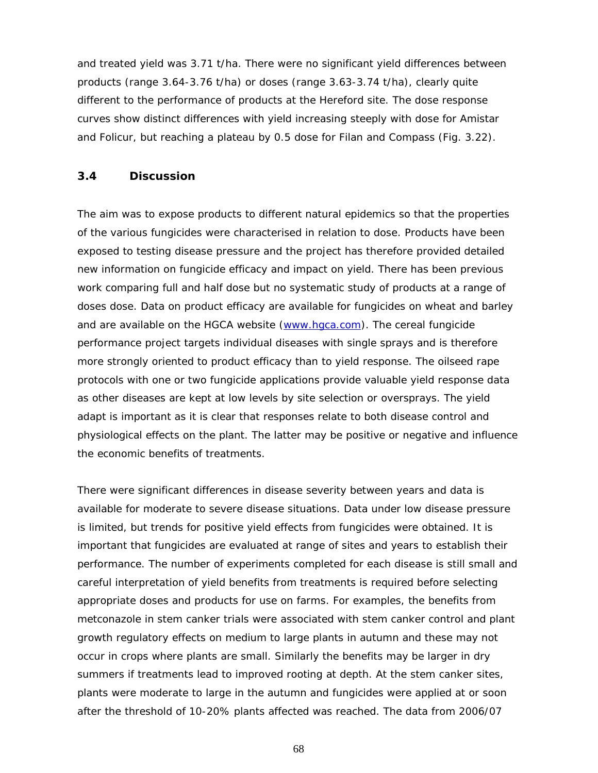and treated yield was 3.71 t/ha. There were no significant yield differences between products (range 3.64-3.76 t/ha) or doses (range 3.63-3.74 t/ha), clearly quite different to the performance of products at the Hereford site. The dose response curves show distinct differences with yield increasing steeply with dose for Amistar and Folicur, but reaching a plateau by 0.5 dose for Filan and Compass (Fig. 3.22).

### **3.4 Discussion**

The aim was to expose products to different natural epidemics so that the properties of the various fungicides were characterised in relation to dose. Products have been exposed to testing disease pressure and the project has therefore provided detailed new information on fungicide efficacy and impact on yield. There has been previous work comparing full and half dose but no systematic study of products at a range of doses dose. Data on product efficacy are available for fungicides on wheat and barley and are available on the HGCA website (www.hgca.com). The cereal fungicide performance project targets individual diseases with single sprays and is therefore more strongly oriented to product efficacy than to yield response. The oilseed rape protocols with one or two fungicide applications provide valuable yield response data as other diseases are kept at low levels by site selection or oversprays. The yield adapt is important as it is clear that responses relate to both disease control and physiological effects on the plant. The latter may be positive or negative and influence the economic benefits of treatments.

There were significant differences in disease severity between years and data is available for moderate to severe disease situations. Data under low disease pressure is limited, but trends for positive yield effects from fungicides were obtained. It is important that fungicides are evaluated at range of sites and years to establish their performance. The number of experiments completed for each disease is still small and careful interpretation of yield benefits from treatments is required before selecting appropriate doses and products for use on farms. For examples, the benefits from metconazole in stem canker trials were associated with stem canker control and plant growth regulatory effects on medium to large plants in autumn and these may not occur in crops where plants are small. Similarly the benefits may be larger in dry summers if treatments lead to improved rooting at depth. At the stem canker sites, plants were moderate to large in the autumn and fungicides were applied at or soon after the threshold of 10-20% plants affected was reached. The data from 2006/07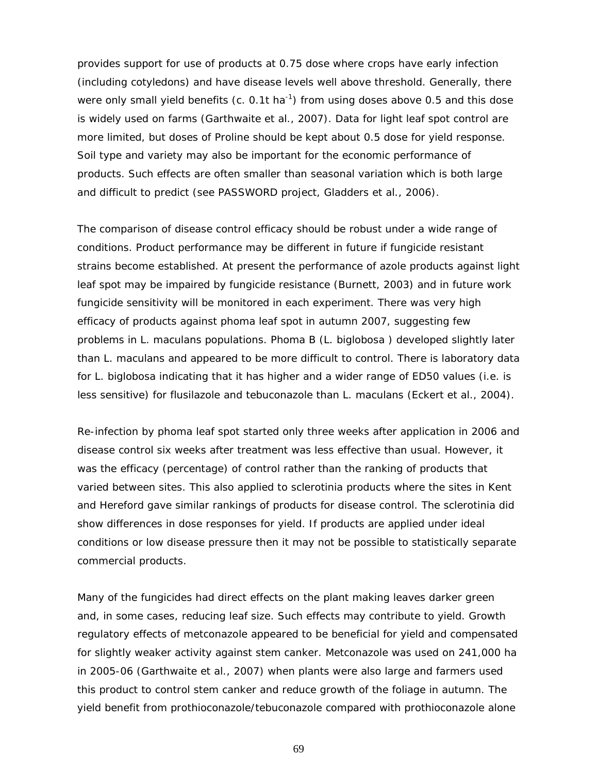provides support for use of products at 0.75 dose where crops have early infection (including cotyledons) and have disease levels well above threshold. Generally, there were only small yield benefits (c. 0.1t ha<sup>-1</sup>) from using doses above 0.5 and this dose is widely used on farms (Garthwaite *et al.,* 2007). Data for light leaf spot control are more limited, but doses of Proline should be kept about 0.5 dose for yield response. Soil type and variety may also be important for the economic performance of products. Such effects are often smaller than seasonal variation which is both large and difficult to predict (see PASSWORD project, Gladders *et al*., 2006).

The comparison of disease control efficacy should be robust under a wide range of conditions. Product performance may be different in future if fungicide resistant strains become established. At present the performance of azole products against light leaf spot may be impaired by fungicide resistance (Burnett, 2003) and in future work fungicide sensitivity will be monitored in each experiment. There was very high efficacy of products against phoma leaf spot in autumn 2007, suggesting few problems in *L. maculans* populations. Phoma B (*L. biglobosa* ) developed slightly later than *L. maculans* and appeared to be more difficult to control. There is laboratory data for *L. biglobosa* indicating that it has higher and a wider range of ED50 values (i.e. is less sensitive) for flusilazole and tebuconazole than *L. maculans* (Eckert *et al.,* 2004).

Re-infection by phoma leaf spot started only three weeks after application in 2006 and disease control six weeks after treatment was less effective than usual. However, it was the efficacy (percentage) of control rather than the ranking of products that varied between sites. This also applied to sclerotinia products where the sites in Kent and Hereford gave similar rankings of products for disease control. The sclerotinia did show differences in dose responses for yield. If products are applied under ideal conditions or low disease pressure then it may not be possible to statistically separate commercial products.

Many of the fungicides had direct effects on the plant making leaves darker green and, in some cases, reducing leaf size. Such effects may contribute to yield. Growth regulatory effects of metconazole appeared to be beneficial for yield and compensated for slightly weaker activity against stem canker. Metconazole was used on 241,000 ha in 2005-06 (Garthwaite *et al.,* 2007) when plants were also large and farmers used this product to control stem canker and reduce growth of the foliage in autumn. The yield benefit from prothioconazole/tebuconazole compared with prothioconazole alone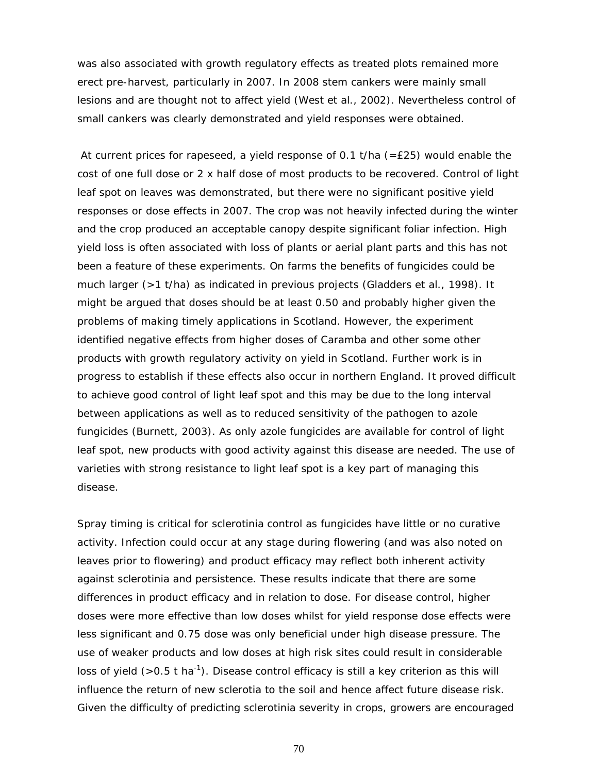was also associated with growth regulatory effects as treated plots remained more erect pre-harvest, particularly in 2007. In 2008 stem cankers were mainly small lesions and are thought not to affect yield (West *et al*., 2002). Nevertheless control of small cankers was clearly demonstrated and yield responses were obtained.

At current prices for rapeseed, a yield response of 0.1 t/ha  $(=E25)$  would enable the cost of one full dose or 2 x half dose of most products to be recovered. Control of light leaf spot on leaves was demonstrated, but there were no significant positive yield responses or dose effects in 2007. The crop was not heavily infected during the winter and the crop produced an acceptable canopy despite significant foliar infection. High yield loss is often associated with loss of plants or aerial plant parts and this has not been a feature of these experiments. On farms the benefits of fungicides could be much larger (>1 t/ha) as indicated in previous projects (Gladders *et al.,* 1998). It might be argued that doses should be at least 0.50 and probably higher given the problems of making timely applications in Scotland. However, the experiment identified negative effects from higher doses of Caramba and other some other products with growth regulatory activity on yield in Scotland. Further work is in progress to establish if these effects also occur in northern England. It proved difficult to achieve good control of light leaf spot and this may be due to the long interval between applications as well as to reduced sensitivity of the pathogen to azole fungicides (Burnett, 2003). As only azole fungicides are available for control of light leaf spot, new products with good activity against this disease are needed. The use of varieties with strong resistance to light leaf spot is a key part of managing this disease.

Spray timing is critical for sclerotinia control as fungicides have little or no curative activity. Infection could occur at any stage during flowering (and was also noted on leaves prior to flowering) and product efficacy may reflect both inherent activity against sclerotinia and persistence. These results indicate that there are some differences in product efficacy and in relation to dose. For disease control, higher doses were more effective than low doses whilst for yield response dose effects were less significant and 0.75 dose was only beneficial under high disease pressure. The use of weaker products and low doses at high risk sites could result in considerable loss of yield ( $>0.5$  t ha<sup>-1</sup>). Disease control efficacy is still a key criterion as this will influence the return of new sclerotia to the soil and hence affect future disease risk. Given the difficulty of predicting sclerotinia severity in crops, growers are encouraged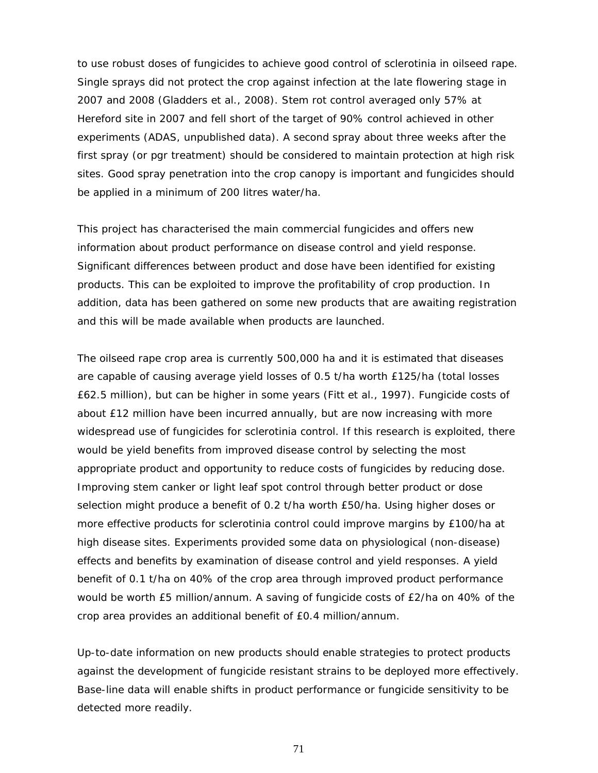to use robust doses of fungicides to achieve good control of sclerotinia in oilseed rape. Single sprays did not protect the crop against infection at the late flowering stage in 2007 and 2008 (Gladders *et al*., 2008). Stem rot control averaged only 57% at Hereford site in 2007 and fell short of the target of 90% control achieved in other experiments (ADAS, unpublished data). A second spray about three weeks after the first spray (or pgr treatment) should be considered to maintain protection at high risk sites. Good spray penetration into the crop canopy is important and fungicides should be applied in a minimum of 200 litres water/ha.

This project has characterised the main commercial fungicides and offers new information about product performance on disease control and yield response. Significant differences between product and dose have been identified for existing products. This can be exploited to improve the profitability of crop production. In addition, data has been gathered on some new products that are awaiting registration and this will be made available when products are launched.

The oilseed rape crop area is currently 500,000 ha and it is estimated that diseases are capable of causing average yield losses of 0.5 t/ha worth £125/ha (total losses £62.5 million), but can be higher in some years (Fitt *et al.,* 1997). Fungicide costs of about £12 million have been incurred annually, but are now increasing with more widespread use of fungicides for sclerotinia control. If this research is exploited, there would be yield benefits from improved disease control by selecting the most appropriate product and opportunity to reduce costs of fungicides by reducing dose. Improving stem canker or light leaf spot control through better product or dose selection might produce a benefit of 0.2 t/ha worth £50/ha. Using higher doses or more effective products for sclerotinia control could improve margins by £100/ha at high disease sites. Experiments provided some data on physiological (non-disease) effects and benefits by examination of disease control and yield responses. A yield benefit of 0.1 t/ha on 40% of the crop area through improved product performance would be worth £5 million/annum. A saving of fungicide costs of £2/ha on 40% of the crop area provides an additional benefit of £0.4 million/annum.

Up-to-date information on new products should enable strategies to protect products against the development of fungicide resistant strains to be deployed more effectively. Base-line data will enable shifts in product performance or fungicide sensitivity to be detected more readily.

71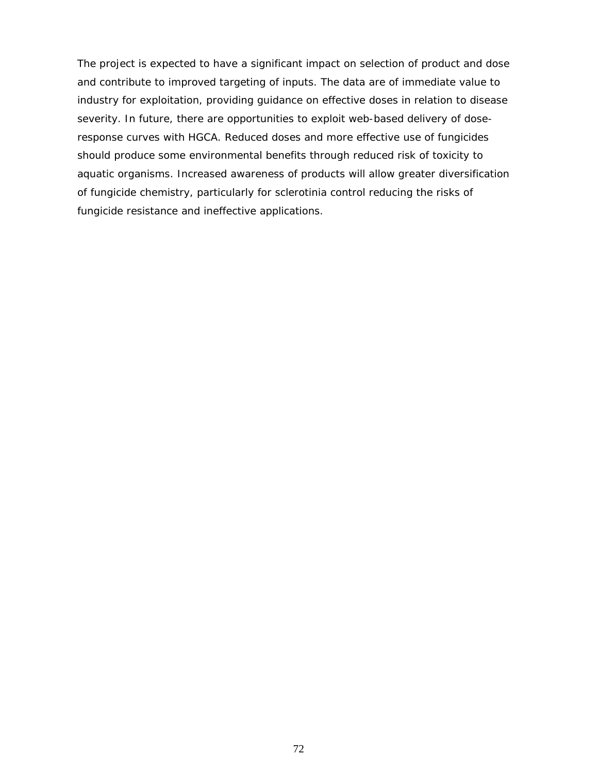The project is expected to have a significant impact on selection of product and dose and contribute to improved targeting of inputs. The data are of immediate value to industry for exploitation, providing guidance on effective doses in relation to disease severity. In future, there are opportunities to exploit web-based delivery of doseresponse curves with HGCA. Reduced doses and more effective use of fungicides should produce some environmental benefits through reduced risk of toxicity to aquatic organisms. Increased awareness of products will allow greater diversification of fungicide chemistry, particularly for sclerotinia control reducing the risks of fungicide resistance and ineffective applications.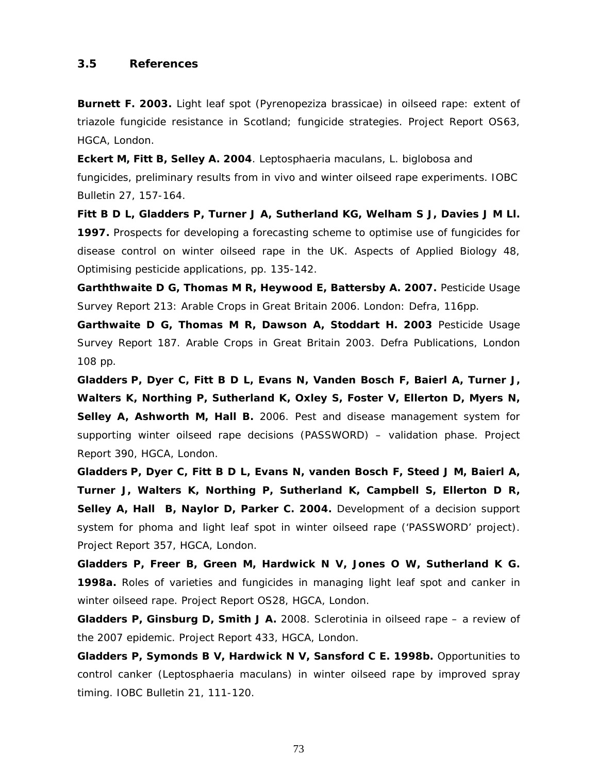#### **3.5 References**

**Burnett F. 2003.** Light leaf spot (*Pyrenopeziza brassicae*) in oilseed rape: extent of triazole fungicide resistance in Scotland; fungicide strategies. *Project Report OS63*, HGCA, London.

**Eckert M, Fitt B, Selley A. 2004**. *Leptosphaeria maculans, L. biglobosa* and fungicides, preliminary results from *in vivo* and winter oilseed rape experiments. *IOBC Bulletin* 27, 157-164.

**Fitt B D L, Gladders P, Turner J A, Sutherland KG, Welham S J, Davies J M Ll. 1997.** Prospects for developing a forecasting scheme to optimise use of fungicides for disease control on winter oilseed rape in the UK. *Aspects of Applied Biology* 48, *Optimising pesticide applications*, pp. 135-142.

**Garththwaite D G, Thomas M R, Heywood E, Battersby A. 2007.** *Pesticide Usage Survey Report 213: Arable Crops in Great Britain 2006*. London: Defra, 116pp.

**Garthwaite D G, Thomas M R, Dawson A, Stoddart H. 2003** Pesticide Usage Survey Report 187. *Arable Crops in Great Britain 2003.* Defra Publications, London 108 pp.

**Gladders P, Dyer C, Fitt B D L, Evans N, Vanden Bosch F, Baierl A, Turner J, Walters K, Northing P, Sutherland K, Oxley S, Foster V, Ellerton D, Myers N, Selley A, Ashworth M, Hall B.** 2006. Pest and disease management system for supporting winter oilseed rape decisions (PASSWORD) – validation phase. Project Report 390, HGCA, London.

**Gladders P, Dyer C, Fitt B D L, Evans N, vanden Bosch F, Steed J M, Baierl A, Turner J, Walters K, Northing P, Sutherland K, Campbell S, Ellerton D R, Selley A, Hall B, Naylor D, Parker C. 2004.** Development of a decision support system for phoma and light leaf spot in winter oilseed rape ('PASSWORD' project). *Project Report* 357, HGCA, London.

**Gladders P, Freer B, Green M, Hardwick N V, Jones O W, Sutherland K G. 1998a.** Roles of varieties and fungicides in managing light leaf spot and canker in winter oilseed rape. *Project Report OS28*, HGCA, London.

**Gladders P, Ginsburg D, Smith J A.** 2008. Sclerotinia in oilseed rape – a review of the 2007 epidemic. Project Report 433, HGCA, London.

**Gladders P, Symonds B V, Hardwick N V, Sansford C E. 1998b.** Opportunities to control canker (*Leptosphaeria maculans*) in winter oilseed rape by improved spray timing. *IOBC Bulletin* 21, 111-120.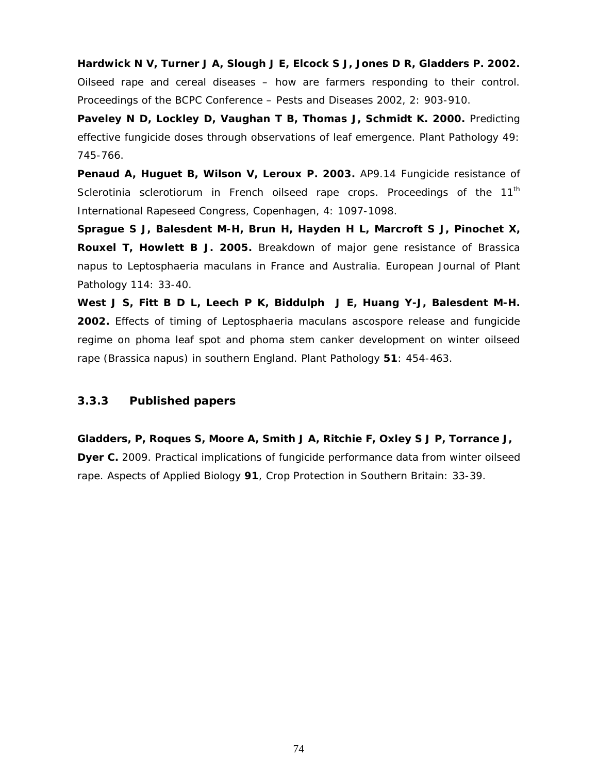**Hardwick N V, Turner J A, Slough J E, Elcock S J, Jones D R, Gladders P. 2002.** Oilseed rape and cereal diseases – how are farmers responding to their control. *Proceedings of the BCPC Conference – Pests and Diseases 2002*, 2: 903-910.

**Paveley N D, Lockley D, Vaughan T B, Thomas J, Schmidt K. 2000.** Predicting effective fungicide doses through observations of leaf emergence. *Plant Pathology* 49: 745-766.

**Penaud A, Huguet B, Wilson V, Leroux P. 2003.** AP9.14 Fungicide resistance of *Sclerotinia sclerotiorum* in French oilseed rape crops. *Proceedings of the 11th International Rapeseed Congress, Copenhagen,* 4: 1097-1098.

**Sprague S J, Balesdent M-H, Brun H, Hayden H L, Marcroft S J, Pinochet X, Rouxel T, Howlett B J. 2005.** Breakdown of major gene resistance of *Brassica napus* to *Leptosphaeria maculans* in France and Australia. *European Journal of Plant Pathology* 114: 33-40.

**West J S, Fitt B D L, Leech P K, Biddulph J E, Huang Y-J, Balesdent M-H. 2002.** Effects of timing of *Leptosphaeria maculans* ascospore release and fungicide regime on phoma leaf spot and phoma stem canker development on winter oilseed rape (*Brassica napus*) in southern England. *Plant Pathology* **51**: 454-463.

#### **3.3.3 Published papers**

**Gladders, P, Roques S, Moore A, Smith J A, Ritchie F, Oxley S J P, Torrance J, Dyer C.** 2009. Practical implications of fungicide performance data from winter oilseed rape. *Aspects of Applied Biology* **91**, *Crop Protection in Southern Britain:* 33-39*.*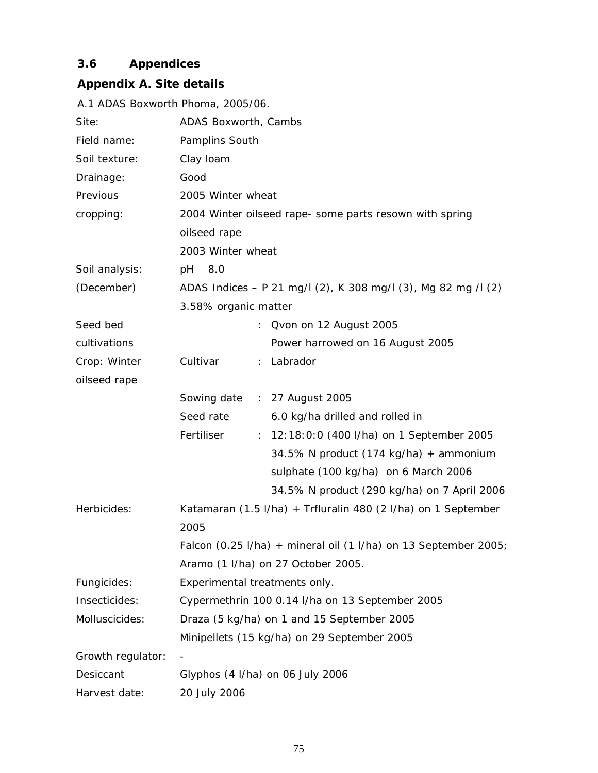# **3.6 Appendices**

# **Appendix A. Site details**

|                   | A.1 ADAS Boxworth Phoma, 2005/06.                                                   |
|-------------------|-------------------------------------------------------------------------------------|
| Site:             | ADAS Boxworth, Cambs                                                                |
| Field name:       | Pamplins South                                                                      |
| Soil texture:     | Clay Ioam                                                                           |
| Drainage:         | Good                                                                                |
| Previous          | 2005 Winter wheat                                                                   |
| cropping:         | 2004 Winter oilseed rape- some parts resown with spring                             |
|                   | oilseed rape                                                                        |
|                   | 2003 Winter wheat                                                                   |
| Soil analysis:    | 8.0<br>рH                                                                           |
| (December)        | ADAS Indices - P 21 mg/l (2), K 308 mg/l (3), Mg 82 mg /l (2)                       |
|                   | 3.58% organic matter                                                                |
| Seed bed          | Qvon on 12 August 2005<br>÷.                                                        |
| cultivations      | Power harrowed on 16 August 2005                                                    |
| Crop: Winter      | : Labrador<br>Cultivar                                                              |
| oilseed rape      |                                                                                     |
|                   | Sowing date : 27 August 2005                                                        |
|                   | Seed rate<br>6.0 kg/ha drilled and rolled in                                        |
|                   | Fertiliser<br>: 12:18:0:0 (400 l/ha) on 1 September 2005                            |
|                   | 34.5% N product (174 kg/ha) + ammonium                                              |
|                   | sulphate (100 kg/ha) on 6 March 2006                                                |
|                   | 34.5% N product (290 kg/ha) on 7 April 2006                                         |
| Herbicides:       | Katamaran (1.5 I/ha) + Trfluralin 480 (2 I/ha) on 1 September<br>2005               |
|                   | Falcon $(0.25 \text{ I/ha})$ + mineral oil $(1 \text{ I/ha})$ on 13 September 2005; |
|                   | Aramo (1 I/ha) on 27 October 2005.                                                  |
| Fungicides:       | Experimental treatments only.                                                       |
| Insecticides:     | Cypermethrin 100 0.14 I/ha on 13 September 2005                                     |
| Molluscicides:    | Draza (5 kg/ha) on 1 and 15 September 2005                                          |
|                   | Minipellets (15 kg/ha) on 29 September 2005                                         |
| Growth regulator: |                                                                                     |
| Desiccant         | Glyphos (4 I/ha) on 06 July 2006                                                    |
| Harvest date:     | 20 July 2006                                                                        |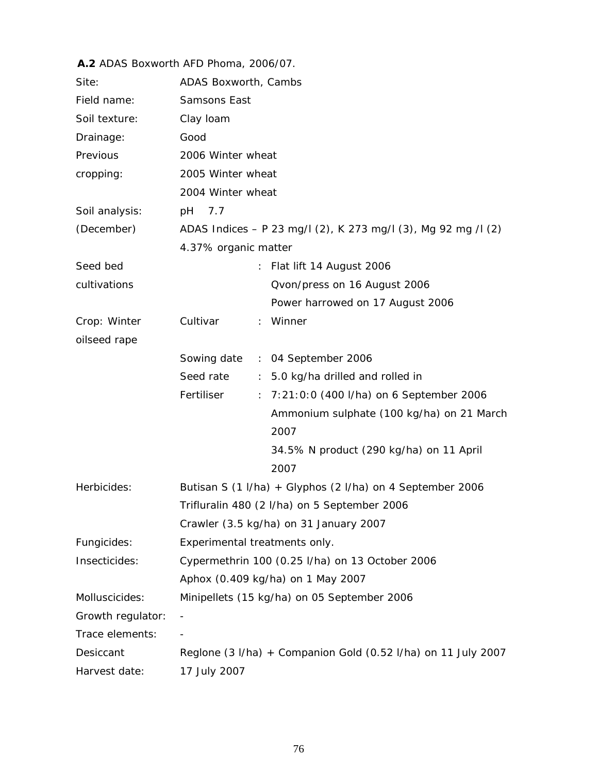## **A.2** ADAS Boxworth AFD Phoma, 2006/07. Site: ADAS Boxworth, Cambs Field name: Samsons East Soil texture: Clay loam Drainage: Good Previous cropping: 2006 Winter wheat 2005 Winter wheat 2004 Winter wheat Soil analysis: pH 7.7 (December) ADAS Indices – P 23 mg/l (2), K 273 mg/l (3), Mg 92 mg /l (2) 4.37% organic matter Seed bed cultivations : Flat lift 14 August 2006 Qvon/press on 16 August 2006 Power harrowed on 17 August 2006 Crop: Winter oilseed rape Cultivar : Winner Sowing date : 04 September 2006 Seed rate : 5.0 kg/ha drilled and rolled in

|                   | Seed rate                     | $\therefore$ 5.0 kg/ha drilled and rolled in                                         |
|-------------------|-------------------------------|--------------------------------------------------------------------------------------|
|                   | Fertiliser                    | : 7:21:0:0 (400 l/ha) on 6 September 2006                                            |
|                   |                               | Ammonium sulphate (100 kg/ha) on 21 March                                            |
|                   |                               | 2007                                                                                 |
|                   |                               | 34.5% N product (290 kg/ha) on 11 April                                              |
|                   |                               | 2007                                                                                 |
| Herbicides:       |                               | Butisan S $(1 \text{ I/ha}) + \text{Glyphos}$ $(2 \text{ I/ha})$ on 4 September 2006 |
|                   |                               | Trifluralin 480 (2 I/ha) on 5 September 2006                                         |
|                   |                               | Crawler (3.5 kg/ha) on 31 January 2007                                               |
| Fungicides:       | Experimental treatments only. |                                                                                      |
| Insecticides:     |                               | Cypermethrin 100 (0.25 I/ha) on 13 October 2006                                      |
|                   |                               | Aphox (0.409 kg/ha) on 1 May 2007                                                    |
| Molluscicides:    |                               | Minipellets (15 kg/ha) on 05 September 2006                                          |
| Growth regulator: |                               |                                                                                      |
| Trace elements:   |                               |                                                                                      |
| Desiccant         |                               | Reglone $(3 \frac{1}{ha}) +$ Companion Gold $(0.52 \frac{1}{ha})$ on 11 July 2007    |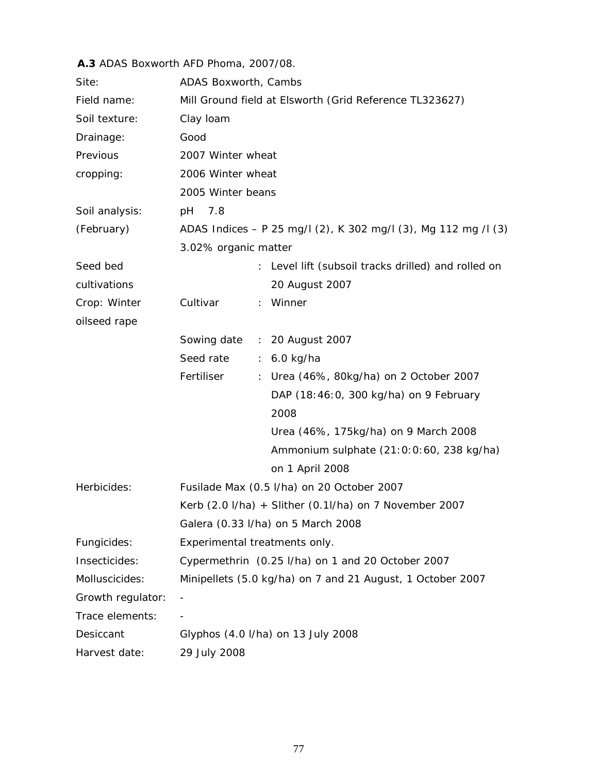### **A.3** ADAS Boxworth AFD Phoma, 2007/08.

| Site:             | ADAS Boxworth, Cambs                                                        |
|-------------------|-----------------------------------------------------------------------------|
| Field name:       | Mill Ground field at Elsworth (Grid Reference TL323627)                     |
| Soil texture:     | Clay Ioam                                                                   |
| Drainage:         | Good                                                                        |
| Previous          | 2007 Winter wheat                                                           |
| cropping:         | 2006 Winter wheat                                                           |
|                   | 2005 Winter beans                                                           |
| Soil analysis:    | 7.8<br>pH                                                                   |
| (February)        | ADAS Indices - P 25 mg/l (2), K 302 mg/l (3), Mg 112 mg /l (3)              |
|                   | 3.02% organic matter                                                        |
| Seed bed          | Level lift (subsoil tracks drilled) and rolled on<br>÷.                     |
| cultivations      | 20 August 2007                                                              |
| Crop: Winter      | : Winner<br>Cultivar                                                        |
| oilseed rape      |                                                                             |
|                   | Sowing date<br>: 20 August 2007                                             |
|                   | Seed rate<br>$6.0$ kg/ha<br>$\mathcal{L}_{\mathcal{A}}$                     |
|                   | Fertiliser<br>Urea (46%, 80kg/ha) on 2 October 2007<br>$\ddot{\phantom{0}}$ |
|                   | DAP (18:46:0, 300 kg/ha) on 9 February                                      |
|                   | 2008                                                                        |
|                   | Urea (46%, 175kg/ha) on 9 March 2008                                        |
|                   | Ammonium sulphate (21:0:0:60, 238 kg/ha)                                    |
|                   | on 1 April 2008                                                             |
| Herbicides:       | Fusilade Max (0.5 I/ha) on 20 October 2007                                  |
|                   | Kerb (2.0 I/ha) + Slither (0.1I/ha) on 7 November 2007                      |
|                   | Galera (0.33 l/ha) on 5 March 2008                                          |
| Fungicides:       | Experimental treatments only.                                               |
| Insecticides:     | Cypermethrin (0.25 I/ha) on 1 and 20 October 2007                           |
| Molluscicides:    | Minipellets (5.0 kg/ha) on 7 and 21 August, 1 October 2007                  |
| Growth regulator: | $\overline{\phantom{a}}$                                                    |
| Trace elements:   |                                                                             |
| Desiccant         | Glyphos (4.0 l/ha) on 13 July 2008                                          |
| Harvest date:     | 29 July 2008                                                                |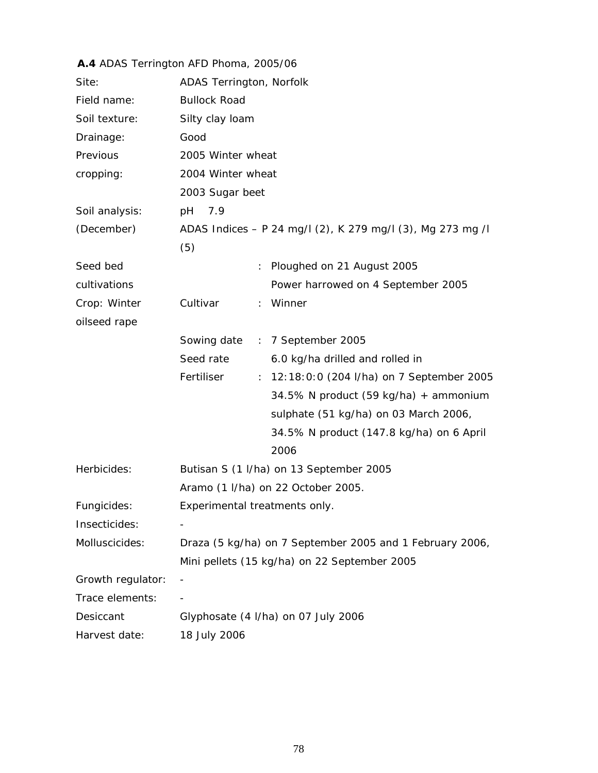|                   | A.4 ADAS Terrington AFD Phoma, 2005/06                     |
|-------------------|------------------------------------------------------------|
| Site:             | ADAS Terrington, Norfolk                                   |
| Field name:       | <b>Bullock Road</b>                                        |
| Soil texture:     | Silty clay loam                                            |
| Drainage:         | Good                                                       |
| Previous          | 2005 Winter wheat                                          |
| cropping:         | 2004 Winter wheat                                          |
|                   | 2003 Sugar beet                                            |
| Soil analysis:    | 7.9<br>pH                                                  |
| (December)        | ADAS Indices - P 24 mg/l (2), K 279 mg/l (3), Mg 273 mg /l |
|                   | (5)                                                        |
| Seed bed          | Ploughed on 21 August 2005<br>÷.                           |
| cultivations      | Power harrowed on 4 September 2005                         |
| Crop: Winter      | Cultivar<br>Winner<br>$\mathbb{R}^{\mathbb{Z}}$            |
| oilseed rape      |                                                            |
|                   | Sowing date : 7 September 2005                             |
|                   | Seed rate<br>6.0 kg/ha drilled and rolled in               |
|                   | Fertiliser<br>: 12:18:0:0 (204 I/ha) on 7 September 2005   |
|                   | 34.5% N product (59 kg/ha) + ammonium                      |
|                   | sulphate (51 kg/ha) on 03 March 2006,                      |
|                   | 34.5% N product (147.8 kg/ha) on 6 April                   |
|                   | 2006                                                       |
| Herbicides:       | Butisan S (1 I/ha) on 13 September 2005                    |
|                   | Aramo (1 I/ha) on 22 October 2005.                         |
| Fungicides:       | Experimental treatments only.                              |
| Insecticides:     |                                                            |
| Molluscicides:    | Draza (5 kg/ha) on 7 September 2005 and 1 February 2006,   |
|                   | Mini pellets (15 kg/ha) on 22 September 2005               |
| Growth regulator: |                                                            |
| Trace elements:   |                                                            |
| Desiccant         | Glyphosate (4 I/ha) on 07 July 2006                        |
| Harvest date:     | 18 July 2006                                               |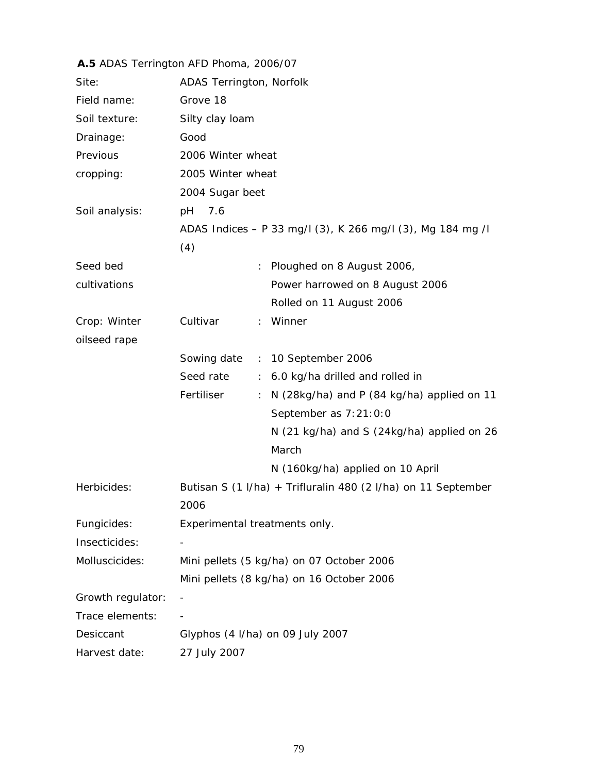|                   | A.5 ADAS Terrington AFD Phoma, 2006/07 |                                                               |
|-------------------|----------------------------------------|---------------------------------------------------------------|
| Site:             | ADAS Terrington, Norfolk               |                                                               |
| Field name:       | Grove 18                               |                                                               |
| Soil texture:     | Silty clay loam                        |                                                               |
| Drainage:         | Good                                   |                                                               |
| Previous          | 2006 Winter wheat                      |                                                               |
| cropping:         | 2005 Winter wheat                      |                                                               |
|                   | 2004 Sugar beet                        |                                                               |
| Soil analysis:    | 7.6<br>рH                              |                                                               |
|                   |                                        | ADAS Indices - P 33 mg/l (3), K 266 mg/l (3), Mg 184 mg /l    |
|                   | (4)                                    |                                                               |
| Seed bed          |                                        | Ploughed on 8 August 2006,                                    |
| cultivations      |                                        | Power harrowed on 8 August 2006                               |
|                   |                                        | Rolled on 11 August 2006                                      |
| Crop: Winter      | Cultivar                               | : Winner                                                      |
| oilseed rape      |                                        |                                                               |
|                   |                                        | Sowing date : 10 September 2006                               |
|                   | Seed rate<br>$\mathbb{Z}^n$ .          | 6.0 kg/ha drilled and rolled in                               |
|                   | Fertiliser<br>÷                        | N (28kg/ha) and P (84 kg/ha) applied on 11                    |
|                   |                                        | September as 7:21:0:0                                         |
|                   |                                        | N (21 kg/ha) and S (24kg/ha) applied on 26                    |
|                   |                                        | March                                                         |
|                   |                                        | N (160kg/ha) applied on 10 April                              |
| Herbicides:       | 2006                                   | Butisan S (1 I/ha) + Trifluralin 480 (2 I/ha) on 11 September |
| Fungicides:       | Experimental treatments only.          |                                                               |
| Insecticides:     |                                        |                                                               |
| Molluscicides:    |                                        | Mini pellets (5 kg/ha) on 07 October 2006                     |
|                   |                                        | Mini pellets (8 kg/ha) on 16 October 2006                     |
| Growth regulator: |                                        |                                                               |
| Trace elements:   |                                        |                                                               |
| Desiccant         | Glyphos (4 I/ha) on 09 July 2007       |                                                               |
| Harvest date:     | 27 July 2007                           |                                                               |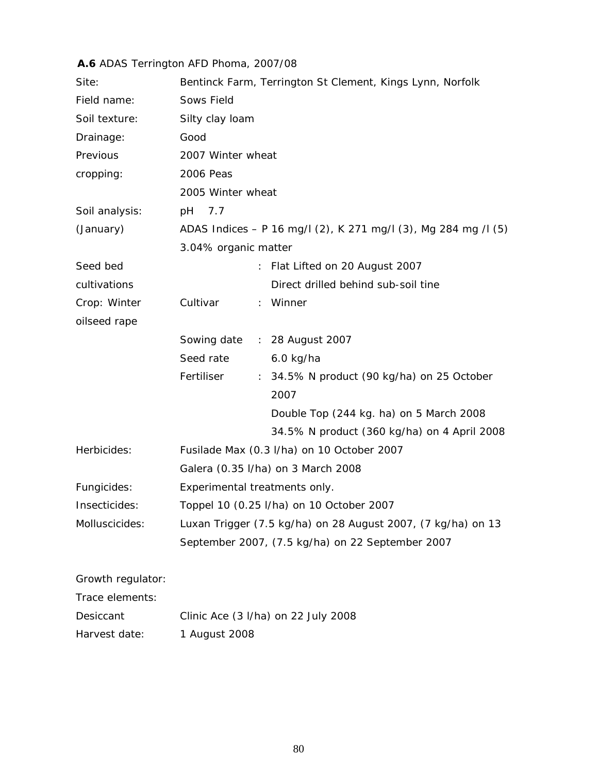# **A.6** ADAS Terrington AFD Phoma, 2007/08

| Site:             | Bentinck Farm, Terrington St Clement, Kings Lynn, Norfolk      |
|-------------------|----------------------------------------------------------------|
| Field name:       | Sows Field                                                     |
| Soil texture:     | Silty clay loam                                                |
| Drainage:         | Good                                                           |
| Previous          | 2007 Winter wheat                                              |
| cropping:         | 2006 Peas                                                      |
|                   | 2005 Winter wheat                                              |
| Soil analysis:    | pH<br>7.7                                                      |
| (January)         | ADAS Indices - P 16 mg/l (2), K 271 mg/l (3), Mg 284 mg /l (5) |
|                   | 3.04% organic matter                                           |
| Seed bed          | Flat Lifted on 20 August 2007<br>÷.                            |
| cultivations      | Direct drilled behind sub-soil tine                            |
| Crop: Winter      | Cultivar<br>: Winner                                           |
| oilseed rape      |                                                                |
|                   | Sowing date : 28 August 2007                                   |
|                   | Seed rate<br>$6.0$ kg/ha                                       |
|                   | Fertiliser<br>: 34.5% N product (90 kg/ha) on 25 October       |
|                   | 2007                                                           |
|                   | Double Top (244 kg. ha) on 5 March 2008                        |
|                   | 34.5% N product (360 kg/ha) on 4 April 2008                    |
| Herbicides:       | Fusilade Max (0.3 I/ha) on 10 October 2007                     |
|                   | Galera (0.35 l/ha) on 3 March 2008                             |
| Fungicides:       | Experimental treatments only.                                  |
| Insecticides:     | Toppel 10 (0.25 l/ha) on 10 October 2007                       |
| Molluscicides:    | Luxan Trigger (7.5 kg/ha) on 28 August 2007, (7 kg/ha) on 13   |
|                   | September 2007, (7.5 kg/ha) on 22 September 2007               |
| Growth regulator: |                                                                |
| Trace elements:   |                                                                |
| Desiccant         | Clinic Ace (3 I/ha) on 22 July 2008                            |

Harvest date: 1 August 2008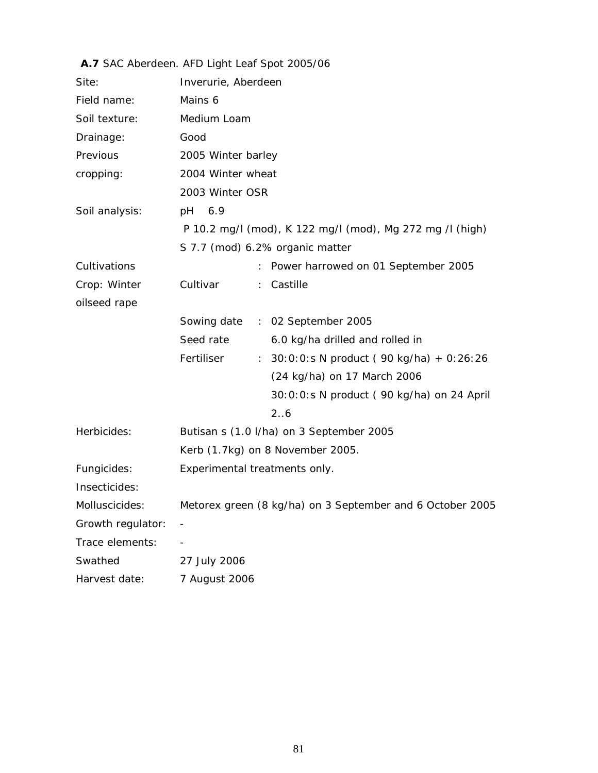|                   | A. I SAC Abergeen. AFD Light Lear Spot 2005/06             |
|-------------------|------------------------------------------------------------|
| Site:             | Inverurie, Aberdeen                                        |
| Field name:       | Mains 6                                                    |
| Soil texture:     | Medium Loam                                                |
| Drainage:         | Good                                                       |
| Previous          | 2005 Winter barley                                         |
| cropping:         | 2004 Winter wheat                                          |
|                   | 2003 Winter OSR                                            |
| Soil analysis:    | pH 6.9                                                     |
|                   | P 10.2 mg/l (mod), K 122 mg/l (mod), Mg 272 mg /l (high)   |
|                   | S 7.7 (mod) 6.2% organic matter                            |
| Cultivations      | Power harrowed on 01 September 2005                        |
| Crop: Winter      | Cultivar<br>Castille                                       |
| oilseed rape      |                                                            |
|                   | Sowing date : 02 September 2005                            |
|                   | Seed rate<br>6.0 kg/ha drilled and rolled in               |
|                   | Fertiliser<br>: $30:0:0:$ S N product (90 kg/ha) + 0:26:26 |
|                   | (24 kg/ha) on 17 March 2006                                |
|                   | 30:0:0:s N product (90 kg/ha) on 24 April                  |
|                   | 2.6                                                        |
| Herbicides:       | Butisan s (1.0 I/ha) on 3 September 2005                   |
|                   | Kerb (1.7kg) on 8 November 2005.                           |
| Fungicides:       | Experimental treatments only.                              |
| Insecticides:     |                                                            |
| Molluscicides:    | Metorex green (8 kg/ha) on 3 September and 6 October 2005  |
| Growth regulator: |                                                            |
| Trace elements:   |                                                            |
| Swathed           | 27 July 2006                                               |
| Harvest date:     | 7 August 2006                                              |

#### **A.7** SAC Aberdeen. AFD Light Leaf Spot 2005/06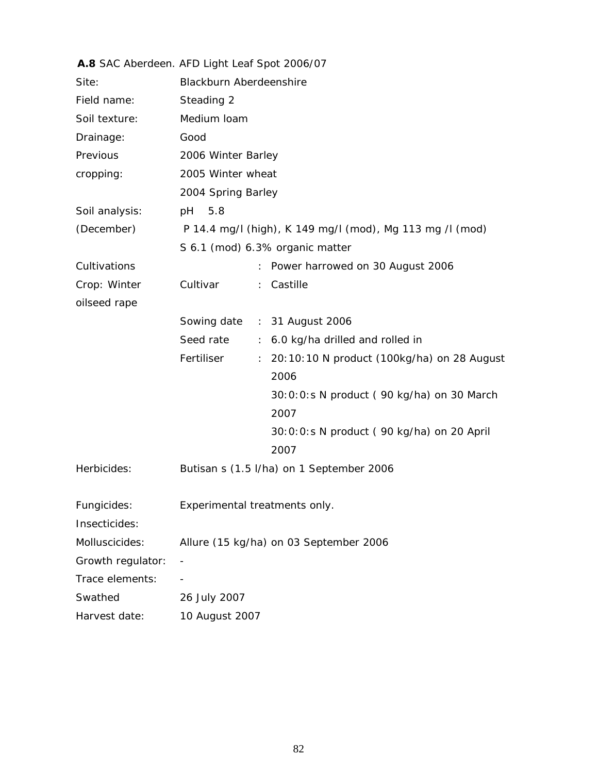|                   | A.8 SAC Aberdeen. AFD Light Leaf Spot 2006/07                                 |
|-------------------|-------------------------------------------------------------------------------|
| Site:             | <b>Blackburn Aberdeenshire</b>                                                |
| Field name:       | Steading 2                                                                    |
| Soil texture:     | Medium Ioam                                                                   |
| Drainage:         | Good                                                                          |
| Previous          | 2006 Winter Barley                                                            |
| cropping:         | 2005 Winter wheat                                                             |
|                   | 2004 Spring Barley                                                            |
| Soil analysis:    | 5.8<br>pH                                                                     |
| (December)        | P 14.4 mg/l (high), K 149 mg/l (mod), Mg 113 mg /l (mod)                      |
|                   | S 6.1 (mod) 6.3% organic matter                                               |
| Cultivations      | Power harrowed on 30 August 2006<br>$\ddot{\phantom{0}}$                      |
| Crop: Winter      | Cultivar<br>Castille<br>$\mathbb{R}^{\mathbb{Z}}$                             |
| oilseed rape      |                                                                               |
|                   | Sowing date : 31 August 2006                                                  |
|                   | Seed rate<br>6.0 kg/ha drilled and rolled in<br>$\mathcal{I}^{\mathcal{I}}$ . |
|                   | Fertiliser<br>20:10:10 N product (100kg/ha) on 28 August<br>÷.                |
|                   | 2006                                                                          |
|                   | 30:0:0:s N product (90 kg/ha) on 30 March                                     |
|                   | 2007                                                                          |
|                   | 30:0:0:s N product (90 kg/ha) on 20 April                                     |
|                   | 2007                                                                          |
| Herbicides:       | Butisan s (1.5 l/ha) on 1 September 2006                                      |
| Fungicides:       | Experimental treatments only.                                                 |
| Insecticides:     |                                                                               |
| Molluscicides:    | Allure (15 kg/ha) on 03 September 2006                                        |
| Growth regulator: |                                                                               |
| Trace elements:   |                                                                               |
| Swathed           | 26 July 2007                                                                  |
| Harvest date:     | 10 August 2007                                                                |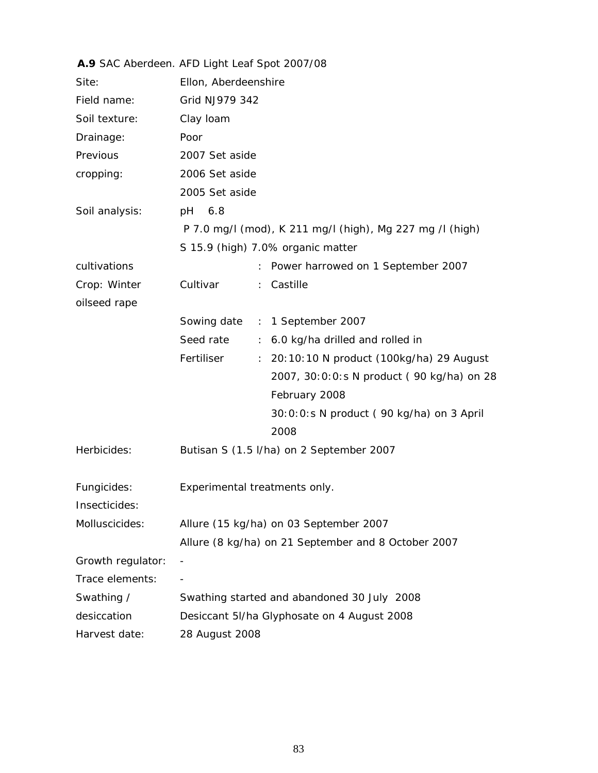|                   | A.9 SAC Aberdeen. AFD Light Leaf Spot 2007/08                         |
|-------------------|-----------------------------------------------------------------------|
| Site:             | Ellon, Aberdeenshire                                                  |
| Field name:       | Grid NJ979 342                                                        |
| Soil texture:     | Clay Ioam                                                             |
| Drainage:         | Poor                                                                  |
| Previous          | 2007 Set aside                                                        |
| cropping:         | 2006 Set aside                                                        |
|                   | 2005 Set aside                                                        |
| Soil analysis:    | 6.8<br>рH                                                             |
|                   | P 7.0 mg/l (mod), K 211 mg/l (high), Mg 227 mg /l (high)              |
|                   | S 15.9 (high) 7.0% organic matter                                     |
| cultivations      | Power harrowed on 1 September 2007<br>÷.                              |
| Crop: Winter      | Cultivar<br>Castille<br>$\mathbb{R}^{\mathbb{Z}}$                     |
| oilseed rape      |                                                                       |
|                   | Sowing date : 1 September 2007                                        |
|                   | Seed rate<br>6.0 kg/ha drilled and rolled in<br>$\mathbb{Z}^{\times}$ |
|                   | Fertiliser<br>20:10:10 N product (100kg/ha) 29 August<br>÷.           |
|                   | 2007, 30:0:0:s N product (90 kg/ha) on 28                             |
|                   | February 2008                                                         |
|                   | 30:0:0:s N product (90 kg/ha) on 3 April                              |
|                   | 2008                                                                  |
| Herbicides:       | Butisan S (1.5 I/ha) on 2 September 2007                              |
|                   |                                                                       |
| Fungicides:       | Experimental treatments only.                                         |
| Insecticides:     |                                                                       |
| Molluscicides:    | Allure (15 kg/ha) on 03 September 2007                                |
|                   | Allure (8 kg/ha) on 21 September and 8 October 2007                   |
| Growth regulator: |                                                                       |
| Trace elements:   |                                                                       |
| Swathing /        | Swathing started and abandoned 30 July 2008                           |
| desiccation       | Desiccant 5I/ha Glyphosate on 4 August 2008                           |
| Harvest date:     | 28 August 2008                                                        |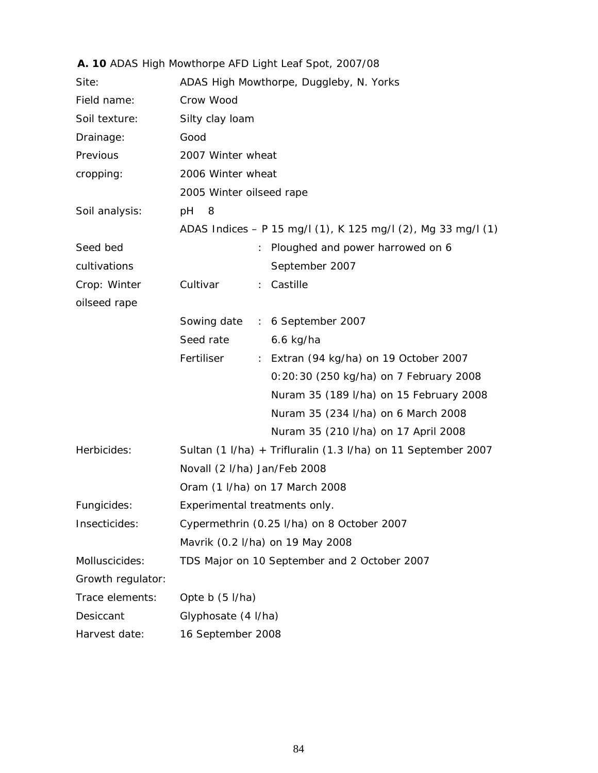|                   | A. 10 ADAS High Mowthorpe AFD Light Leaf Spot, 2007/08        |
|-------------------|---------------------------------------------------------------|
| Site:             | ADAS High Mowthorpe, Duggleby, N. Yorks                       |
| Field name:       | Crow Wood                                                     |
| Soil texture:     | Silty clay loam                                               |
| Drainage:         | Good                                                          |
| Previous          | 2007 Winter wheat                                             |
| cropping:         | 2006 Winter wheat                                             |
|                   | 2005 Winter oilseed rape                                      |
| Soil analysis:    | pH<br>8                                                       |
|                   | ADAS Indices - P 15 mg/l (1), K 125 mg/l (2), Mg 33 mg/l (1)  |
| Seed bed          | Ploughed and power harrowed on 6                              |
| cultivations      | September 2007                                                |
| Crop: Winter      | Cultivar<br>: Castille                                        |
| oilseed rape      |                                                               |
|                   | Sowing date : 6 September 2007                                |
|                   | Seed rate<br>$6.6$ kg/ha                                      |
|                   | Fertiliser<br>: Extran (94 kg/ha) on 19 October 2007          |
|                   | 0:20:30 (250 kg/ha) on 7 February 2008                        |
|                   | Nuram 35 (189 I/ha) on 15 February 2008                       |
|                   | Nuram 35 (234 I/ha) on 6 March 2008                           |
|                   | Nuram 35 (210 I/ha) on 17 April 2008                          |
| Herbicides:       | Sultan (1 I/ha) + Trifluralin (1.3 I/ha) on 11 September 2007 |
|                   | Novall (2 I/ha) Jan/Feb 2008                                  |
|                   | Oram (1 I/ha) on 17 March 2008                                |
| Fungicides:       | Experimental treatments only.                                 |
| Insecticides:     | Cypermethrin (0.25 I/ha) on 8 October 2007                    |
|                   | Mavrik (0.2 l/ha) on 19 May 2008                              |
| Molluscicides:    | TDS Major on 10 September and 2 October 2007                  |
| Growth regulator: |                                                               |
| Trace elements:   | Opte b (5 l/ha)                                               |
| Desiccant         | Glyphosate (4 l/ha)                                           |
| Harvest date:     | 16 September 2008                                             |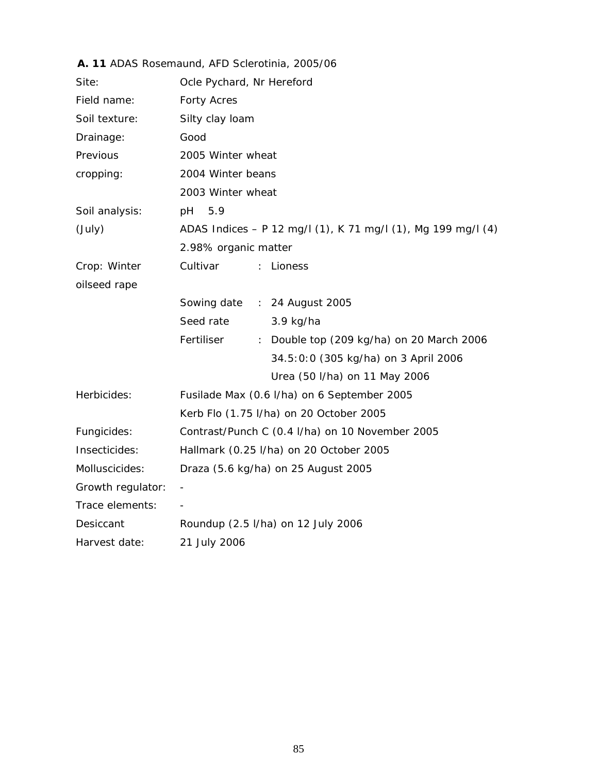| Site:             | Ocle Pychard, Nr Hereford                                    |
|-------------------|--------------------------------------------------------------|
| Field name:       | <b>Forty Acres</b>                                           |
| Soil texture:     | Silty clay loam                                              |
| Drainage:         | Good                                                         |
| Previous          | 2005 Winter wheat                                            |
| cropping:         | 2004 Winter beans                                            |
|                   | 2003 Winter wheat                                            |
| Soil analysis:    | 5.9<br>рH                                                    |
| (July)            | ADAS Indices - P 12 mg/l (1), K 71 mg/l (1), Mg 199 mg/l (4) |
|                   | 2.98% organic matter                                         |
| Crop: Winter      | Cultivar<br>Lioness<br>$\mathbb{R}^{\mathbb{Z}}$             |
| oilseed rape      |                                                              |
|                   | Sowing date : 24 August 2005                                 |
|                   | Seed rate<br>3.9 kg/ha                                       |
|                   | Fertiliser<br>: Double top (209 kg/ha) on 20 March 2006      |
|                   | 34.5:0:0 (305 kg/ha) on 3 April 2006                         |
|                   | Urea (50 I/ha) on 11 May 2006                                |
| Herbicides:       | Fusilade Max (0.6 I/ha) on 6 September 2005                  |
|                   | Kerb Flo (1.75 l/ha) on 20 October 2005                      |
| Fungicides:       | Contrast/Punch C (0.4 I/ha) on 10 November 2005              |
| Insecticides:     | Hallmark (0.25 l/ha) on 20 October 2005                      |
| Molluscicides:    | Draza (5.6 kg/ha) on 25 August 2005                          |
| Growth regulator: |                                                              |
| Trace elements:   |                                                              |
| Desiccant         | Roundup (2.5 I/ha) on 12 July 2006                           |
| Harvest date:     | 21 July 2006                                                 |

### **A. 11** ADAS Rosemaund, AFD Sclerotinia, 2005/06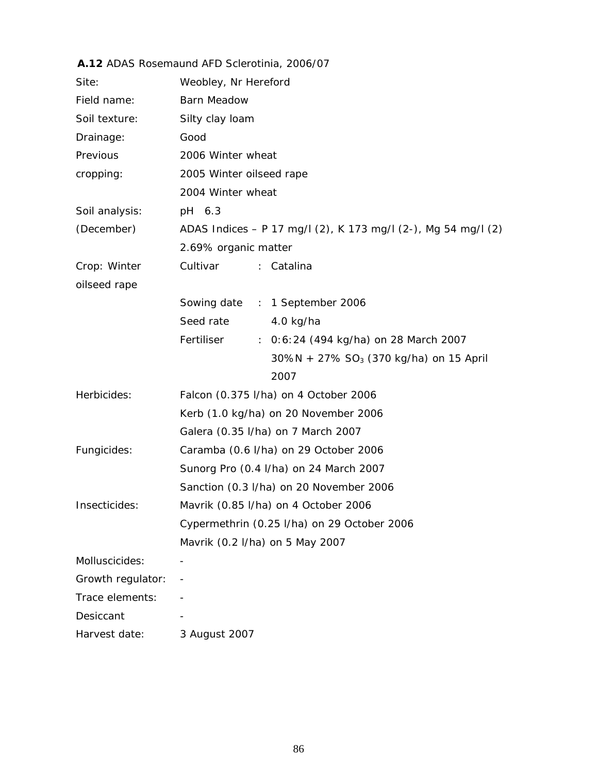### **A.12** ADAS Rosemaund AFD Sclerotinia, 2006/07

| Site:             | Weobley, Nr Hereford                                          |
|-------------------|---------------------------------------------------------------|
| Field name:       | <b>Barn Meadow</b>                                            |
| Soil texture:     | Silty clay loam                                               |
| Drainage:         | Good                                                          |
| Previous          | 2006 Winter wheat                                             |
| cropping:         | 2005 Winter oilseed rape                                      |
|                   | 2004 Winter wheat                                             |
| Soil analysis:    | pH 6.3                                                        |
| (December)        | ADAS Indices - P 17 mg/l (2), K 173 mg/l (2-), Mg 54 mg/l (2) |
|                   | 2.69% organic matter                                          |
| Crop: Winter      | Cultivar<br>: Catalina                                        |
| oilseed rape      |                                                               |
|                   | Sowing date : 1 September 2006                                |
|                   | Seed rate<br>4.0 kg/ha                                        |
|                   | Fertiliser<br>: 0:6:24 (494 kg/ha) on 28 March 2007           |
|                   | $30\%N + 27\% SO_3$ (370 kg/ha) on 15 April                   |
|                   | 2007                                                          |
| Herbicides:       | Falcon (0.375 l/ha) on 4 October 2006                         |
|                   | Kerb (1.0 kg/ha) on 20 November 2006                          |
|                   | Galera (0.35 l/ha) on 7 March 2007                            |
| Fungicides:       | Caramba (0.6 I/ha) on 29 October 2006                         |
|                   | Sunorg Pro (0.4 I/ha) on 24 March 2007                        |
|                   | Sanction (0.3 I/ha) on 20 November 2006                       |
| Insecticides:     | Mavrik (0.85 I/ha) on 4 October 2006                          |
|                   | Cypermethrin (0.25 I/ha) on 29 October 2006                   |
|                   | Mavrik (0.2 l/ha) on 5 May 2007                               |
| Molluscicides:    |                                                               |
| Growth regulator: |                                                               |
| Trace elements:   |                                                               |
| Desiccant         |                                                               |
| Harvest date:     | 3 August 2007                                                 |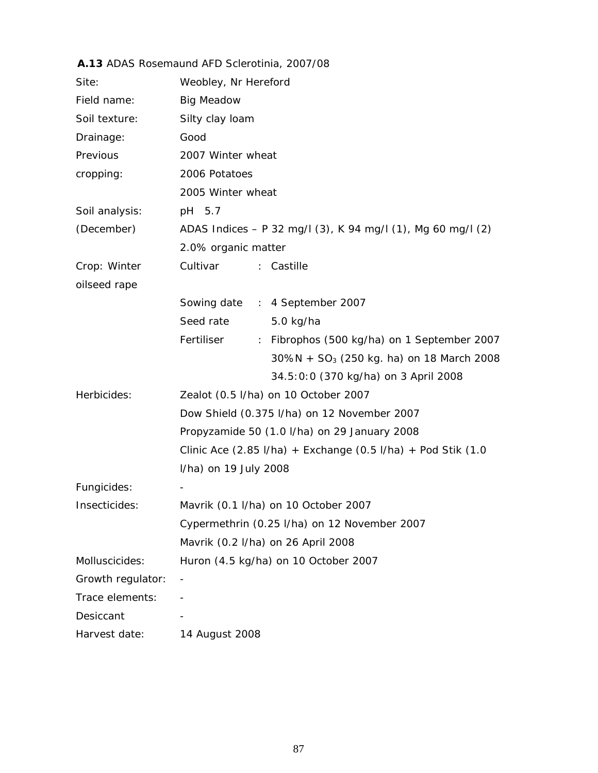| Site:             | Weobley, Nr Hereford                                         |  |  |
|-------------------|--------------------------------------------------------------|--|--|
| Field name:       | <b>Big Meadow</b>                                            |  |  |
| Soil texture:     | Silty clay loam                                              |  |  |
| Drainage:         | Good                                                         |  |  |
| Previous          | 2007 Winter wheat                                            |  |  |
| cropping:         | 2006 Potatoes                                                |  |  |
|                   | 2005 Winter wheat                                            |  |  |
| Soil analysis:    | pH 5.7                                                       |  |  |
| (December)        | ADAS Indices - P 32 mg/l (3), K 94 mg/l (1), Mg 60 mg/l (2)  |  |  |
|                   | 2.0% organic matter                                          |  |  |
| Crop: Winter      | Cultivar<br>: Castille                                       |  |  |
| oilseed rape      |                                                              |  |  |
|                   | Sowing date : 4 September 2007                               |  |  |
|                   | Seed rate<br>5.0 kg/ha                                       |  |  |
|                   | Fertiliser<br>: Fibrophos (500 kg/ha) on 1 September 2007    |  |  |
|                   | $30\%N + SO_3$ (250 kg. ha) on 18 March 2008                 |  |  |
|                   | 34.5:0:0 (370 kg/ha) on 3 April 2008                         |  |  |
| Herbicides:       | Zealot (0.5 l/ha) on 10 October 2007                         |  |  |
|                   | Dow Shield (0.375 l/ha) on 12 November 2007                  |  |  |
|                   | Propyzamide 50 (1.0 I/ha) on 29 January 2008                 |  |  |
|                   | Clinic Ace (2.85 I/ha) + Exchange (0.5 I/ha) + Pod Stik (1.0 |  |  |
|                   | I/ha) on 19 July 2008                                        |  |  |
| Fungicides:       |                                                              |  |  |
| Insecticides:     | Mavrik (0.1 I/ha) on 10 October 2007                         |  |  |
|                   | Cypermethrin (0.25 I/ha) on 12 November 2007                 |  |  |
|                   | Mavrik (0.2 l/ha) on 26 April 2008                           |  |  |
| Molluscicides:    | Huron (4.5 kg/ha) on 10 October 2007                         |  |  |
| Growth regulator: |                                                              |  |  |
| Trace elements:   |                                                              |  |  |
| Desiccant         |                                                              |  |  |
| Harvest date:     | 14 August 2008                                               |  |  |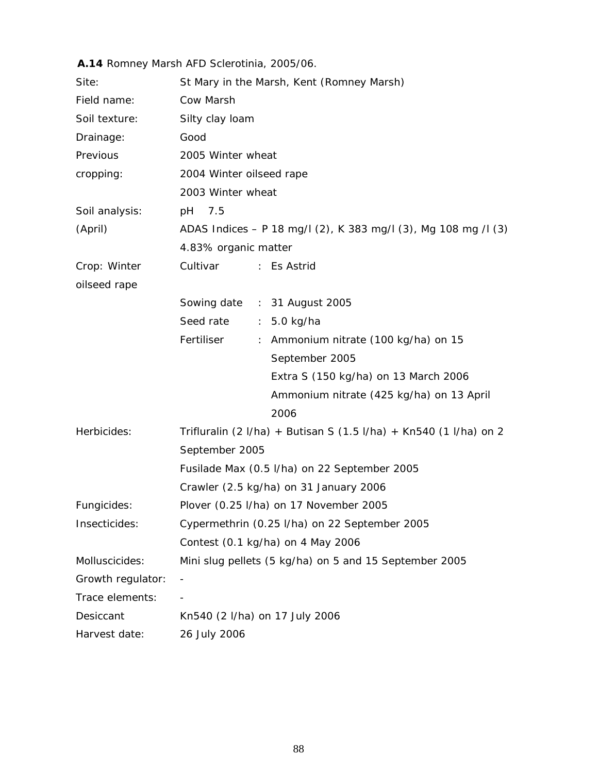|                   | A.14 Romney Marsh AFD Sclerotinia, 2005/06.                       |  |  |
|-------------------|-------------------------------------------------------------------|--|--|
| Site:             | St Mary in the Marsh, Kent (Romney Marsh)                         |  |  |
| Field name:       | Cow Marsh                                                         |  |  |
| Soil texture:     | Silty clay loam                                                   |  |  |
| Drainage:         | Good                                                              |  |  |
| Previous          | 2005 Winter wheat                                                 |  |  |
| cropping:         | 2004 Winter oilseed rape                                          |  |  |
|                   | 2003 Winter wheat                                                 |  |  |
| Soil analysis:    | 7.5<br>рH                                                         |  |  |
| (April)           | ADAS Indices - P 18 mg/l (2), K 383 mg/l (3), Mg 108 mg /l (3)    |  |  |
|                   | 4.83% organic matter                                              |  |  |
| Crop: Winter      | Cultivar<br>: Es Astrid                                           |  |  |
| oilseed rape      |                                                                   |  |  |
|                   | Sowing date : 31 August 2005                                      |  |  |
|                   | Seed rate : 5.0 kg/ha                                             |  |  |
|                   | Fertiliser<br>: Ammonium nitrate (100 kg/ha) on 15                |  |  |
|                   | September 2005                                                    |  |  |
|                   | Extra S (150 kg/ha) on 13 March 2006                              |  |  |
|                   | Ammonium nitrate (425 kg/ha) on 13 April                          |  |  |
|                   | 2006                                                              |  |  |
| Herbicides:       | Trifluralin (2 I/ha) + Butisan S (1.5 I/ha) + Kn540 (1 I/ha) on 2 |  |  |
|                   | September 2005                                                    |  |  |
|                   | Fusilade Max (0.5 I/ha) on 22 September 2005                      |  |  |
|                   | Crawler (2.5 kg/ha) on 31 January 2006                            |  |  |
| Fungicides:       | Plover (0.25 I/ha) on 17 November 2005                            |  |  |
| Insecticides:     | Cypermethrin (0.25 I/ha) on 22 September 2005                     |  |  |
|                   | Contest (0.1 kg/ha) on 4 May 2006                                 |  |  |
| Molluscicides:    | Mini slug pellets (5 kg/ha) on 5 and 15 September 2005            |  |  |
| Growth regulator: | $\overline{\phantom{a}}$                                          |  |  |
| Trace elements:   |                                                                   |  |  |
| Desiccant         | Kn540 (2 l/ha) on 17 July 2006                                    |  |  |
| Harvest date:     | 26 July 2006                                                      |  |  |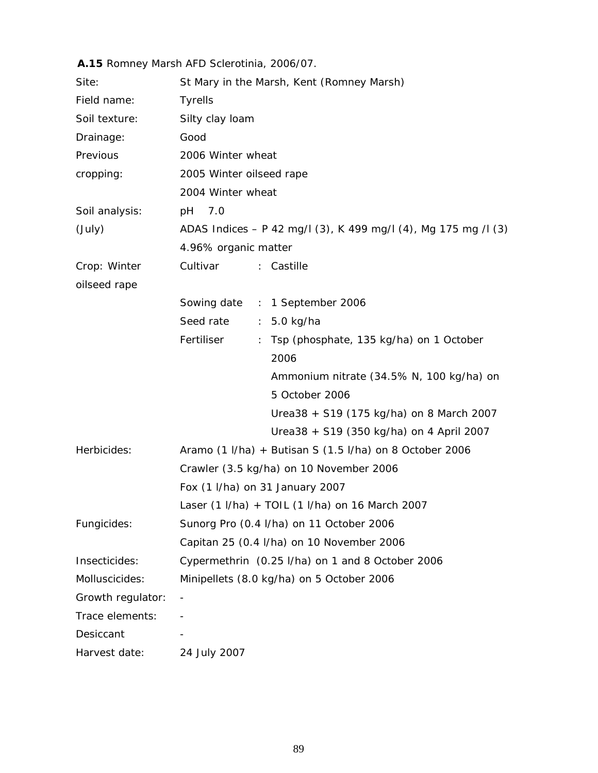|                              | A.15 Romney Marsh AFD Sclerotinia, 2006/07.                                   |  |  |
|------------------------------|-------------------------------------------------------------------------------|--|--|
| Site:                        | St Mary in the Marsh, Kent (Romney Marsh)                                     |  |  |
| Field name:                  | <b>Tyrells</b>                                                                |  |  |
| Soil texture:                | Silty clay loam                                                               |  |  |
| Drainage:                    | Good                                                                          |  |  |
| Previous                     | 2006 Winter wheat                                                             |  |  |
| cropping:                    | 2005 Winter oilseed rape                                                      |  |  |
|                              | 2004 Winter wheat                                                             |  |  |
| Soil analysis:               | 7.0<br>рH                                                                     |  |  |
| (July)                       | ADAS Indices - P 42 mg/l (3), K 499 mg/l (4), Mg 175 mg /l (3)                |  |  |
|                              | 4.96% organic matter                                                          |  |  |
| Crop: Winter<br>oilseed rape | Cultivar<br>: Castille                                                        |  |  |
|                              | Sowing date : 1 September 2006                                                |  |  |
|                              | Seed rate :<br>5.0 kg/ha                                                      |  |  |
|                              | Fertiliser<br>Tsp (phosphate, 135 kg/ha) on 1 October<br>$\ddot{\phantom{a}}$ |  |  |
|                              | 2006                                                                          |  |  |
|                              | Ammonium nitrate (34.5% N, 100 kg/ha) on                                      |  |  |
|                              | 5 October 2006                                                                |  |  |
|                              | Urea38 + S19 (175 kg/ha) on 8 March 2007                                      |  |  |
|                              | Urea38 + S19 (350 kg/ha) on 4 April 2007                                      |  |  |
| Herbicides:                  | Aramo (1 I/ha) + Butisan S (1.5 I/ha) on 8 October 2006                       |  |  |
|                              | Crawler (3.5 kg/ha) on 10 November 2006                                       |  |  |
|                              | Fox (1 I/ha) on 31 January 2007                                               |  |  |
|                              | Laser (1 I/ha) + TOIL (1 I/ha) on 16 March 2007                               |  |  |
| Fungicides:                  | Sunorg Pro (0.4 I/ha) on 11 October 2006                                      |  |  |
|                              | Capitan 25 (0.4 I/ha) on 10 November 2006                                     |  |  |
| Insecticides:                | Cypermethrin (0.25 I/ha) on 1 and 8 October 2006                              |  |  |
| Molluscicides:               | Minipellets (8.0 kg/ha) on 5 October 2006                                     |  |  |
| Growth regulator:            |                                                                               |  |  |
| Trace elements:              |                                                                               |  |  |
| Desiccant                    |                                                                               |  |  |
| Harvest date:                | 24 July 2007                                                                  |  |  |

# 89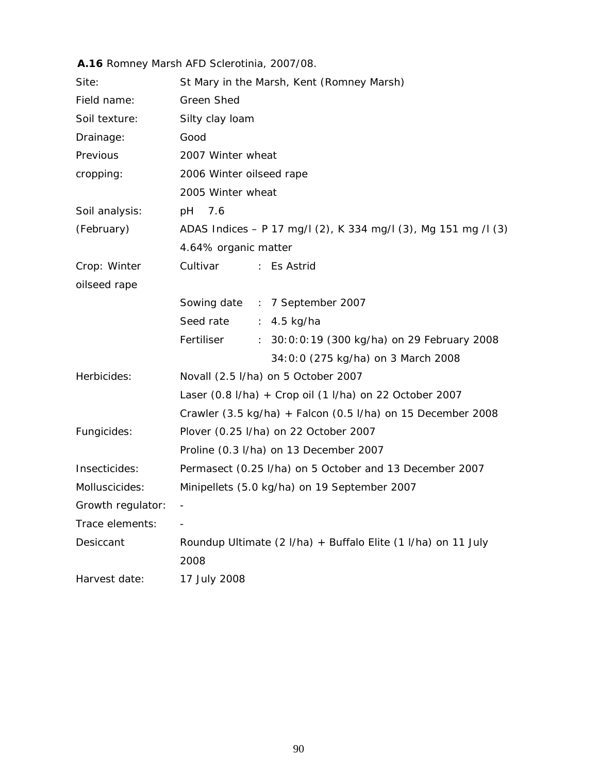|                   | A.16 Romney Marsh AFD Sclerotinia, 2007/08.                                          |  |  |
|-------------------|--------------------------------------------------------------------------------------|--|--|
| Site:             | St Mary in the Marsh, Kent (Romney Marsh)                                            |  |  |
| Field name:       | <b>Green Shed</b>                                                                    |  |  |
| Soil texture:     | Silty clay loam                                                                      |  |  |
| Drainage:         | Good                                                                                 |  |  |
| Previous          | 2007 Winter wheat                                                                    |  |  |
| cropping:         | 2006 Winter oilseed rape                                                             |  |  |
|                   | 2005 Winter wheat                                                                    |  |  |
| Soil analysis:    | pH<br>7.6                                                                            |  |  |
| (February)        | ADAS Indices - P 17 mg/l (2), K 334 mg/l (3), Mg 151 mg /l (3)                       |  |  |
|                   | 4.64% organic matter                                                                 |  |  |
| Crop: Winter      | Cultivar<br>: Es Astrid                                                              |  |  |
| oilseed rape      |                                                                                      |  |  |
|                   | Sowing date : 7 September 2007                                                       |  |  |
|                   | Seed rate<br>$: 4.5$ kg/ha                                                           |  |  |
|                   | Fertiliser<br>: 30:0:0:19 (300 kg/ha) on 29 February 2008                            |  |  |
|                   | 34:0:0 (275 kg/ha) on 3 March 2008                                                   |  |  |
| Herbicides:       | Novall (2.5 l/ha) on 5 October 2007                                                  |  |  |
|                   | Laser (0.8 I/ha) + Crop oil (1 I/ha) on 22 October 2007                              |  |  |
|                   | Crawler $(3.5 \text{ kg/ha}) + \text{Falcon} (0.5 \text{ I/ha})$ on 15 December 2008 |  |  |
| Fungicides:       | Plover (0.25 l/ha) on 22 October 2007                                                |  |  |
|                   | Proline (0.3 I/ha) on 13 December 2007                                               |  |  |
| Insecticides:     | Permasect (0.25 I/ha) on 5 October and 13 December 2007                              |  |  |
| Molluscicides:    | Minipellets (5.0 kg/ha) on 19 September 2007                                         |  |  |
| Growth regulator: |                                                                                      |  |  |
| Trace elements:   |                                                                                      |  |  |
| Desiccant         | Roundup Ultimate (2 I/ha) + Buffalo Elite (1 I/ha) on 11 July                        |  |  |
|                   | 2008                                                                                 |  |  |
| Harvest date:     | 17 July 2008                                                                         |  |  |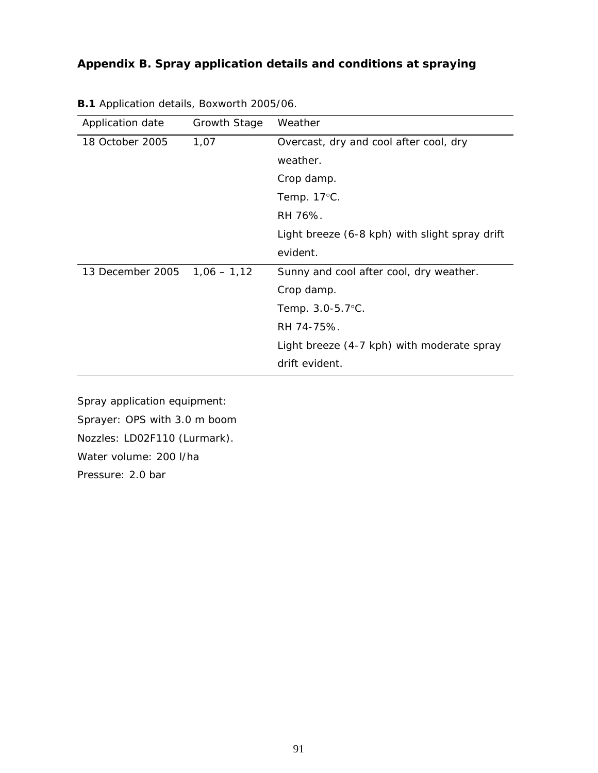| Application date | Growth Stage  | Weather                                        |
|------------------|---------------|------------------------------------------------|
| 18 October 2005  | 1,07          | Overcast, dry and cool after cool, dry         |
|                  |               | weather.                                       |
|                  |               | Crop damp.                                     |
|                  |               | Temp. $17^{\circ}$ C.                          |
|                  |               | RH 76%.                                        |
|                  |               | Light breeze (6-8 kph) with slight spray drift |
|                  |               | evident.                                       |
| 13 December 2005 | $1,06 - 1,12$ | Sunny and cool after cool, dry weather.        |
|                  |               | Crop damp.                                     |
|                  |               | Temp. 3.0-5.7°C.                               |
|                  |               | RH 74-75%.                                     |
|                  |               | Light breeze (4-7 kph) with moderate spray     |
|                  |               | drift evident.                                 |

**B.1** Application details, Boxworth 2005/06.

Spray application equipment: Sprayer: OPS with 3.0 m boom

Nozzles: LD02F110 (Lurmark).

Water volume: 200 l/ha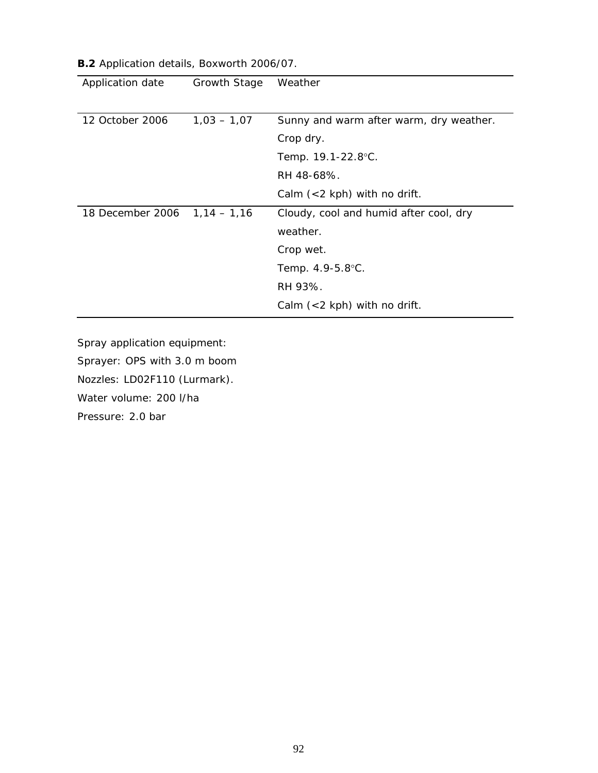| Application date             | Growth Stage  | Weather                                 |
|------------------------------|---------------|-----------------------------------------|
|                              |               |                                         |
| 12 October 2006              | $1,03 - 1,07$ | Sunny and warm after warm, dry weather. |
|                              |               | Crop dry.                               |
|                              |               | Temp. 19.1-22.8°C.                      |
|                              |               | RH 48-68%.                              |
|                              |               | Calm $(< 2$ kph) with no drift.         |
| 18 December 2006 1,14 - 1,16 |               | Cloudy, cool and humid after cool, dry  |
|                              |               | weather.                                |
|                              |               | Crop wet.                               |
|                              |               | Temp. 4.9-5.8°C.                        |
|                              |               | RH 93%.                                 |
|                              |               | Calm $(< 2$ kph) with no drift.         |

**B.2** Application details, Boxworth 2006/07.

Sprayer: OPS with 3.0 m boom

Nozzles: LD02F110 (Lurmark).

Water volume: 200 l/ha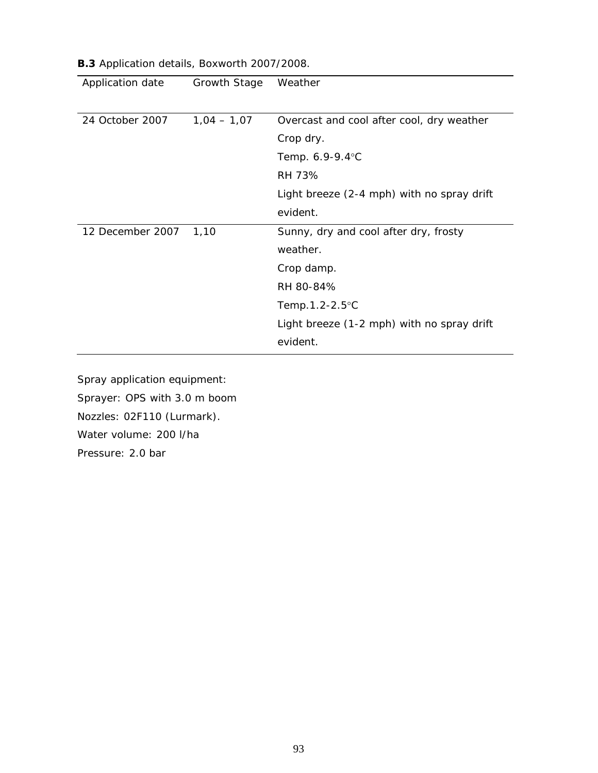| Application date | Growth Stage  | Weather                                    |
|------------------|---------------|--------------------------------------------|
|                  |               |                                            |
| 24 October 2007  | $1,04 - 1,07$ | Overcast and cool after cool, dry weather  |
|                  |               | Crop dry.                                  |
|                  |               | Temp. 6.9-9.4°C                            |
|                  |               | RH 73%                                     |
|                  |               | Light breeze (2-4 mph) with no spray drift |
|                  |               | evident.                                   |
| 12 December 2007 | 1,10          | Sunny, dry and cool after dry, frosty      |
|                  |               | weather.                                   |
|                  |               | Crop damp.                                 |
|                  |               | RH 80-84%                                  |
|                  |               | Temp.1.2-2.5°C                             |
|                  |               | Light breeze (1-2 mph) with no spray drift |
|                  |               | evident.                                   |

**B.3** Application details, Boxworth 2007/2008.

Spray application equipment: Sprayer: OPS with 3.0 m boom Nozzles: 02F110 (Lurmark). Water volume: 200 l/ha Pressure: 2.0 bar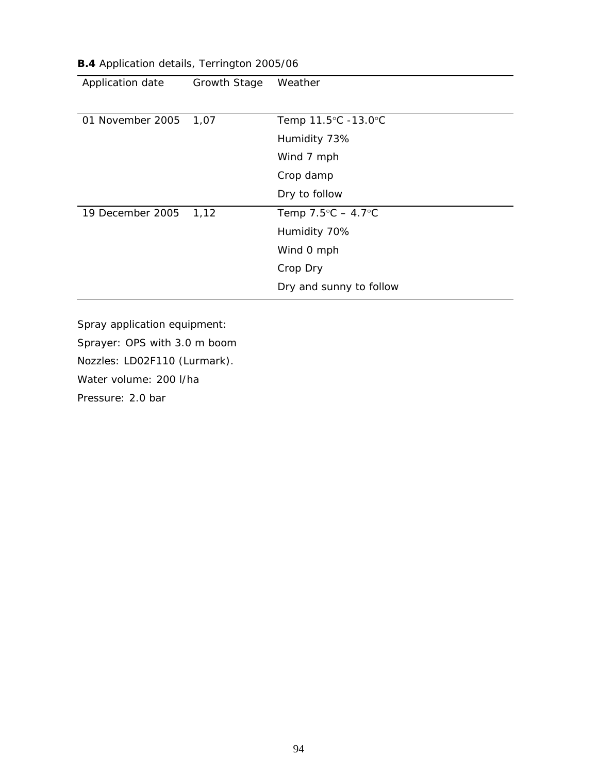| Application date | Growth Stage | Weather                            |
|------------------|--------------|------------------------------------|
|                  |              |                                    |
| 01 November 2005 | 1,07         | Temp 11.5°C -13.0°C                |
|                  |              | Humidity 73%                       |
|                  |              | Wind 7 mph                         |
|                  |              | Crop damp                          |
|                  |              | Dry to follow                      |
| 19 December 2005 | 1,12         | Temp $7.5^{\circ}C - 4.7^{\circ}C$ |
|                  |              | Humidity 70%                       |
|                  |              | Wind 0 mph                         |
|                  |              | Crop Dry                           |
|                  |              | Dry and sunny to follow            |

**B.4** Application details, Terrington 2005/06

Sprayer: OPS with 3.0 m boom

Nozzles: LD02F110 (Lurmark).

Water volume: 200 l/ha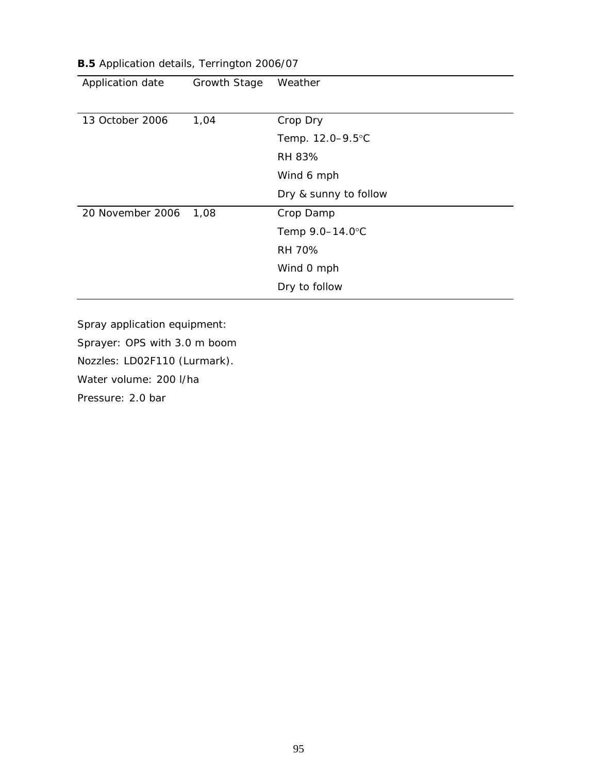| Application date | Growth Stage | Weather               |
|------------------|--------------|-----------------------|
| 13 October 2006  | 1,04         | Crop Dry              |
|                  |              | Temp. 12.0-9.5°C      |
|                  |              | RH 83%                |
|                  |              | Wind 6 mph            |
|                  |              | Dry & sunny to follow |
| 20 November 2006 | 1,08         | Crop Damp             |
|                  |              | Temp 9.0-14.0°C       |
|                  |              | <b>RH 70%</b>         |
|                  |              | Wind 0 mph            |
|                  |              | Dry to follow         |

**B.5** Application details, Terrington 2006/07

Sprayer: OPS with 3.0 m boom

Nozzles: LD02F110 (Lurmark).

Water volume: 200 l/ha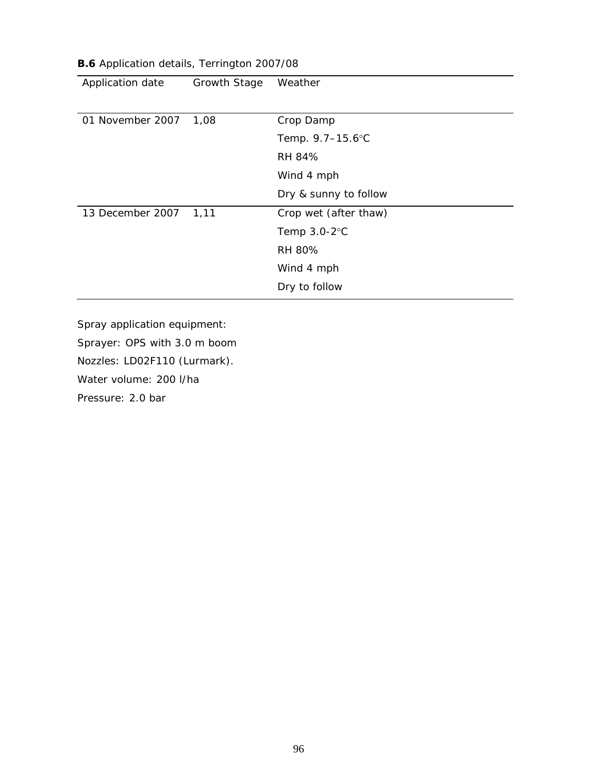| Application date | Growth Stage | Weather               |
|------------------|--------------|-----------------------|
| 01 November 2007 | 1,08         | Crop Damp             |
|                  |              | Temp. 9.7-15.6°C      |
|                  |              | RH 84%                |
|                  |              | Wind 4 mph            |
|                  |              | Dry & sunny to follow |
| 13 December 2007 | 1,11         | Crop wet (after thaw) |
|                  |              | Temp $3.0 - 2$ °C     |
|                  |              | RH 80%                |
|                  |              | Wind 4 mph            |
|                  |              | Dry to follow         |

**B.6** Application details, Terrington 2007/08

Sprayer: OPS with 3.0 m boom

Nozzles: LD02F110 (Lurmark).

Water volume: 200 l/ha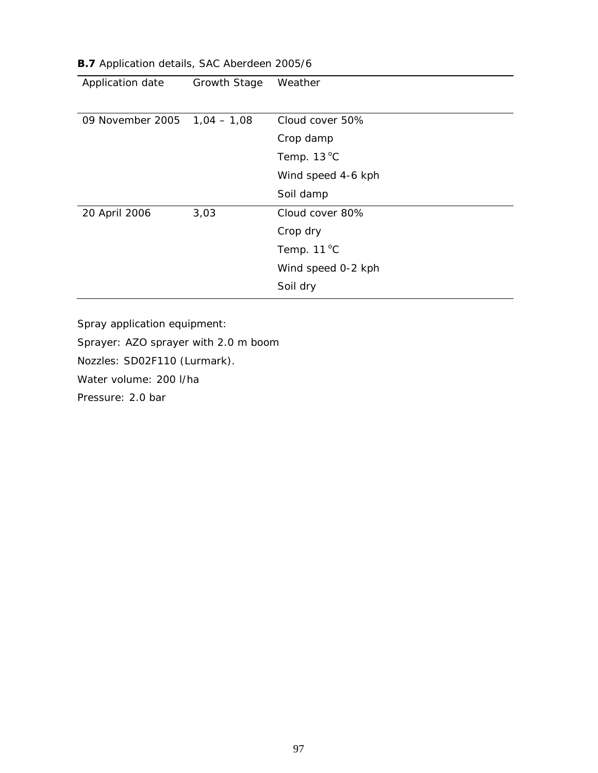| Application date             | <b>Growth Stage</b> | Weather              |
|------------------------------|---------------------|----------------------|
|                              |                     |                      |
| 09 November 2005 1,04 - 1,08 |                     | Cloud cover 50%      |
|                              |                     | Crop damp            |
|                              |                     | Temp. $13^{\circ}$ C |
|                              |                     | Wind speed 4-6 kph   |
|                              |                     | Soil damp            |
| 20 April 2006                | 3,03                | Cloud cover 80%      |
|                              |                     | Crop dry             |
|                              |                     | Temp. $11^{\circ}$ C |
|                              |                     | Wind speed 0-2 kph   |
|                              |                     | Soil dry             |

#### **B.7** Application details, SAC Aberdeen 2005/6

Spray application equipment:

Sprayer: AZO sprayer with 2.0 m boom

Nozzles: SD02F110 (Lurmark).

Water volume: 200 l/ha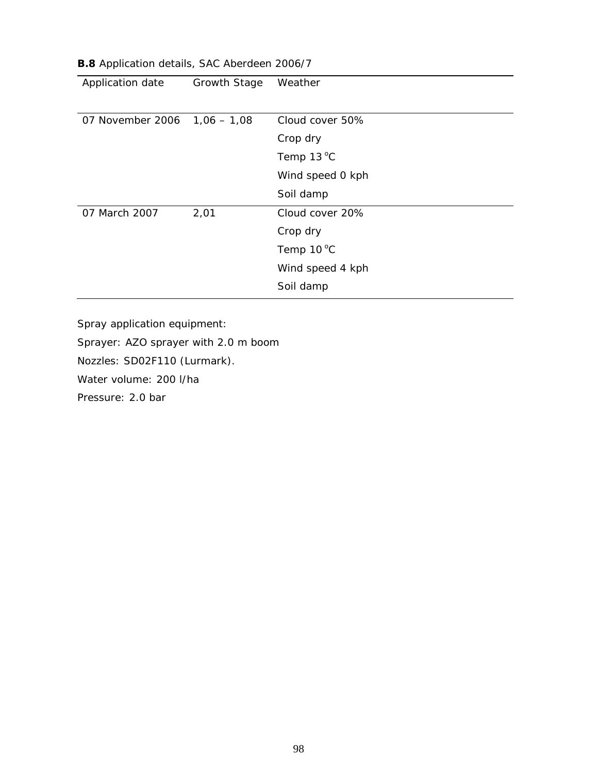| Application date               | <b>Growth Stage</b> | Weather          |
|--------------------------------|---------------------|------------------|
|                                |                     |                  |
| 07 November 2006 $1,06 - 1,08$ |                     | Cloud cover 50%  |
|                                |                     | Crop dry         |
|                                |                     | Temp 13 °C       |
|                                |                     | Wind speed 0 kph |
|                                |                     | Soil damp        |
| 07 March 2007                  | 2,01                | Cloud cover 20%  |
|                                |                     | Crop dry         |
|                                |                     | Temp 10 °C       |
|                                |                     | Wind speed 4 kph |
|                                |                     | Soil damp        |

#### **B.8** Application details, SAC Aberdeen 2006/7

Spray application equipment:

Sprayer: AZO sprayer with 2.0 m boom

Nozzles: SD02F110 (Lurmark).

Water volume: 200 l/ha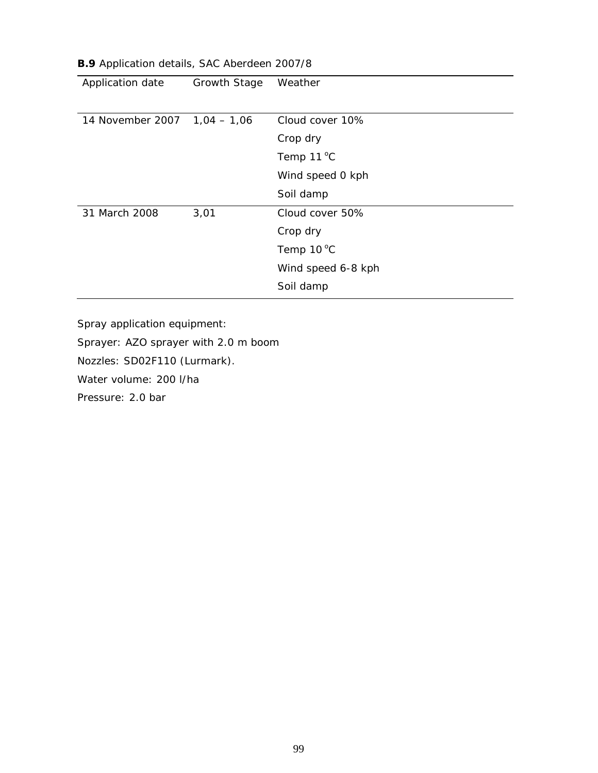| Application date              | Growth Stage | Weather             |
|-------------------------------|--------------|---------------------|
|                               |              |                     |
| 14 November 2007  1,04 - 1,06 |              | Cloud cover 10%     |
|                               |              | Crop dry            |
|                               |              | Temp $11^{\circ}$ C |
|                               |              | Wind speed 0 kph    |
|                               |              | Soil damp           |
| 31 March 2008                 | 3,01         | Cloud cover 50%     |
|                               |              | Crop dry            |
|                               |              | Temp 10 °C          |
|                               |              | Wind speed 6-8 kph  |
|                               |              | Soil damp           |

#### **B.9** Application details, SAC Aberdeen 2007/8

Spray application equipment:

Sprayer: AZO sprayer with 2.0 m boom

Nozzles: SD02F110 (Lurmark).

Water volume: 200 l/ha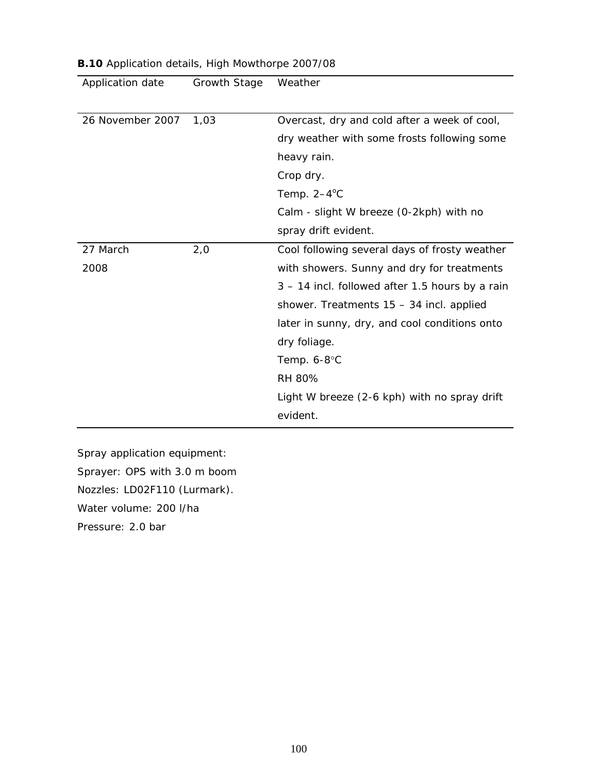| Application date | <b>Growth Stage</b> | Weather                                         |
|------------------|---------------------|-------------------------------------------------|
|                  |                     |                                                 |
| 26 November 2007 | 1,03                | Overcast, dry and cold after a week of cool,    |
|                  |                     | dry weather with some frosts following some     |
|                  |                     | heavy rain.                                     |
|                  |                     | Crop dry.                                       |
|                  |                     | Temp. $2-4$ <sup>o</sup> C                      |
|                  |                     | Calm - slight W breeze (0-2kph) with no         |
|                  |                     | spray drift evident.                            |
| 27 March         | 2,0                 | Cool following several days of frosty weather   |
| 2008             |                     | with showers. Sunny and dry for treatments      |
|                  |                     | 3 – 14 incl. followed after 1.5 hours by a rain |
|                  |                     | shower. Treatments 15 - 34 incl. applied        |
|                  |                     | later in sunny, dry, and cool conditions onto   |
|                  |                     | dry foliage.                                    |
|                  |                     | Temp. 6-8°C                                     |
|                  |                     | <b>RH 80%</b>                                   |
|                  |                     | Light W breeze (2-6 kph) with no spray drift    |
|                  |                     | evident.                                        |

Sprayer: OPS with 3.0 m boom

Nozzles: LD02F110 (Lurmark).

Water volume: 200 l/ha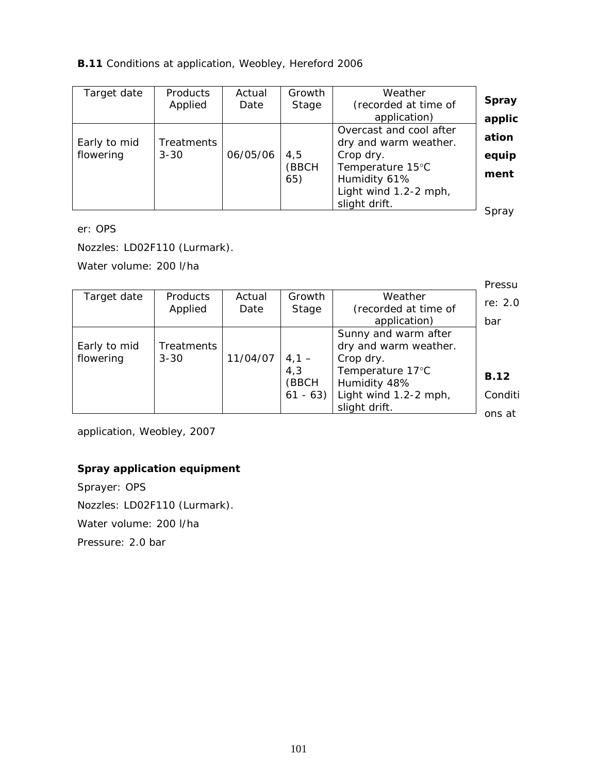#### **B.11** Conditions at application, Weobley, Hereford 2006

| Target date  | <b>Products</b><br>Applied | Actual<br>Date | Growth<br>Stage | Weather<br>(recorded at time of                  | <b>Spray</b> |
|--------------|----------------------------|----------------|-----------------|--------------------------------------------------|--------------|
|              |                            |                |                 | application)                                     | applic       |
| Early to mid | Treatments                 |                |                 | Overcast and cool after<br>dry and warm weather. | ation        |
| flowering    | $3 - 30$                   | 06/05/06       | 4,5             | Crop dry.                                        | equip        |
|              |                            |                | (BBCH<br>65)    | Temperature 15°C<br>Humidity 61%                 | ment         |
|              |                            |                |                 | Light wind 1.2-2 mph,<br>slight drift.           | Corgy        |

Spray

er: OPS

Nozzles: LD02F110 (Lurmark).

Water volume: 200 l/ha

|              |                   |          |           |                       | Pressu      |
|--------------|-------------------|----------|-----------|-----------------------|-------------|
| Target date  | <b>Products</b>   | Actual   | Growth    | Weather               | re: 2.0     |
|              | Applied           | Date     | Stage     | (recorded at time of  |             |
|              |                   |          |           | application)          | bar         |
|              |                   |          |           | Sunny and warm after  |             |
| Early to mid | <b>Treatments</b> |          |           | dry and warm weather. |             |
| flowering    | $3 - 30$          | 11/04/07 | $4,1 -$   | Crop dry.             |             |
|              |                   |          | 4,3       | Temperature 17°C      | <b>B.12</b> |
|              |                   |          | (BBCH     | Humidity 48%          |             |
|              |                   |          | $61 - 63$ | Light wind 1.2-2 mph, | Conditi     |
|              |                   |          |           | slight drift.         |             |
|              |                   |          |           |                       | ons at      |

application, Weobley, 2007

## **Spray application equipment**

Sprayer: OPS Nozzles: LD02F110 (Lurmark). Water volume: 200 l/ha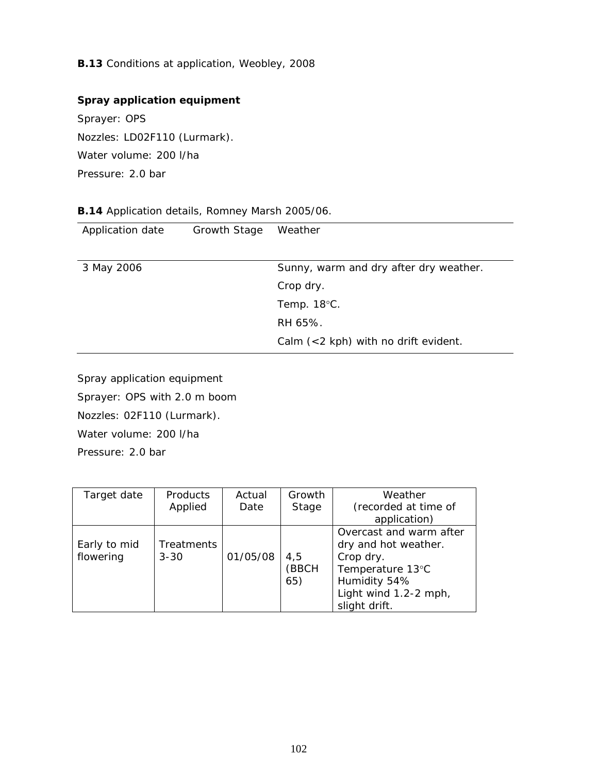**B.13** Conditions at application, Weobley, 2008

# **Spray application equipment**

Sprayer: OPS Nozzles: LD02F110 (Lurmark). Water volume: 200 l/ha Pressure: 2.0 bar

### **B.14** Application details, Romney Marsh 2005/06.

| Application date | Growth Stage | Weather                                             |
|------------------|--------------|-----------------------------------------------------|
| 3 May 2006       |              | Sunny, warm and dry after dry weather.<br>Crop dry. |
|                  |              | Temp. $18^{\circ}$ C.                               |
|                  |              | RH 65%.                                             |
|                  |              | Calm $(<$ 2 kph) with no drift evident.             |

Spray application equipment Sprayer: OPS with 2.0 m boom Nozzles: 02F110 (Lurmark). Water volume: 200 l/ha Pressure: 2.0 bar

| Target date               | <b>Products</b><br>Applied | Actual<br>Date | Growth<br>Stage     | Weather<br>(recorded at time of<br>application)                                                                                            |
|---------------------------|----------------------------|----------------|---------------------|--------------------------------------------------------------------------------------------------------------------------------------------|
| Early to mid<br>flowering | Treatments<br>$3 - 30$     | 01/05/08       | 4,5<br>(BBCH<br>65) | Overcast and warm after<br>dry and hot weather.<br>Crop dry.<br>Temperature 13°C<br>Humidity 54%<br>Light wind 1.2-2 mph,<br>slight drift. |